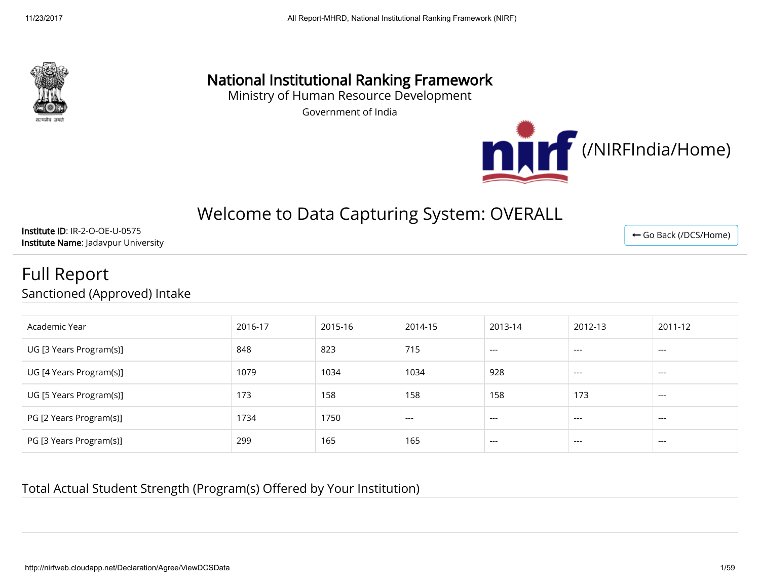

# National Institutional Ranking Framework

Ministry of Human Resource Development

Government of India



← [Go Back \(/DCS/Home\)](http://nirfweb.cloudapp.net/DCS/Home)

# Welcome to Data Capturing System: OVERALL

Institute ID: IR-2-O-OE-U-0575 Institute Name: Jadavpur University

# Full Report Sanctioned (Approved) Intake

| Academic Year           | 2016-17 | 2015-16 | 2014-15 | 2013-14 | 2012-13 | 2011-12 |
|-------------------------|---------|---------|---------|---------|---------|---------|
| UG [3 Years Program(s)] | 848     | 823     | 715     | $---$   | $---$   | $---$   |
| UG [4 Years Program(s)] | 1079    | 1034    | 1034    | 928     | $---$   | $---$   |
| UG [5 Years Program(s)] | 173     | 158     | 158     | 158     | 173     | $---$   |
| PG [2 Years Program(s)] | 1734    | 1750    | $---$   | $---$   | $---$   | $---$   |
| PG [3 Years Program(s)] | 299     | 165     | 165     | $---$   | $---$   | $---$   |

Total Actual Student Strength (Program(s) Offered by Your Institution)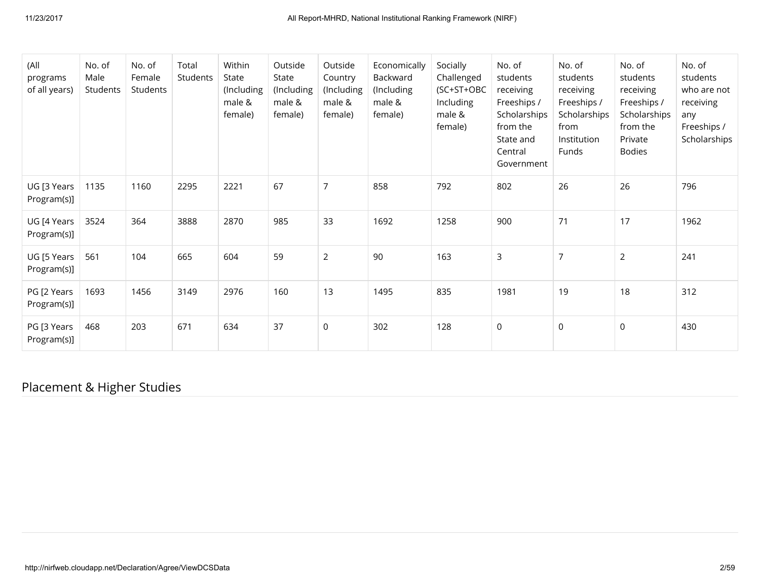| (All<br>programs<br>of all years) | No. of<br>Male<br>Students | No. of<br>Female<br>Students | Total<br>Students | Within<br>State<br>(Including<br>male &<br>female) | Outside<br>State<br>(Including<br>male &<br>female) | Outside<br>Country<br>(Including<br>male &<br>female) | Economically<br>Backward<br>(Including<br>male &<br>female) | Socially<br>Challenged<br>(SC+ST+OBC<br>Including<br>male &<br>female) | No. of<br>students<br>receiving<br>Freeships /<br>Scholarships<br>from the<br>State and<br>Central<br>Government | No. of<br>students<br>receiving<br>Freeships /<br>Scholarships<br>from<br>Institution<br>Funds | No. of<br>students<br>receiving<br>Freeships /<br>Scholarships<br>from the<br>Private<br><b>Bodies</b> | No. of<br>students<br>who are not<br>receiving<br>any<br>Freeships /<br>Scholarships |
|-----------------------------------|----------------------------|------------------------------|-------------------|----------------------------------------------------|-----------------------------------------------------|-------------------------------------------------------|-------------------------------------------------------------|------------------------------------------------------------------------|------------------------------------------------------------------------------------------------------------------|------------------------------------------------------------------------------------------------|--------------------------------------------------------------------------------------------------------|--------------------------------------------------------------------------------------|
| UG [3 Years<br>Program(s)]        | 1135                       | 1160                         | 2295              | 2221                                               | 67                                                  | $\overline{7}$                                        | 858                                                         | 792                                                                    | 802                                                                                                              | 26                                                                                             | 26                                                                                                     | 796                                                                                  |
| UG [4 Years<br>Program(s)]        | 3524                       | 364                          | 3888              | 2870                                               | 985                                                 | 33                                                    | 1692                                                        | 1258                                                                   | 900                                                                                                              | 71                                                                                             | 17                                                                                                     | 1962                                                                                 |
| UG [5 Years<br>Program(s)]        | 561                        | 104                          | 665               | 604                                                | 59                                                  | $\overline{2}$                                        | 90                                                          | 163                                                                    | $\mathsf{3}$                                                                                                     | $\overline{7}$                                                                                 | $\overline{2}$                                                                                         | 241                                                                                  |
| PG [2 Years<br>Program(s)]        | 1693                       | 1456                         | 3149              | 2976                                               | 160                                                 | 13                                                    | 1495                                                        | 835                                                                    | 1981                                                                                                             | 19                                                                                             | 18                                                                                                     | 312                                                                                  |
| PG [3 Years<br>Program(s)]        | 468                        | 203                          | 671               | 634                                                | 37                                                  | $\mathsf 0$                                           | 302                                                         | 128                                                                    | 0                                                                                                                | $\mathsf 0$                                                                                    | $\mathsf 0$                                                                                            | 430                                                                                  |

# Placement & Higher Studies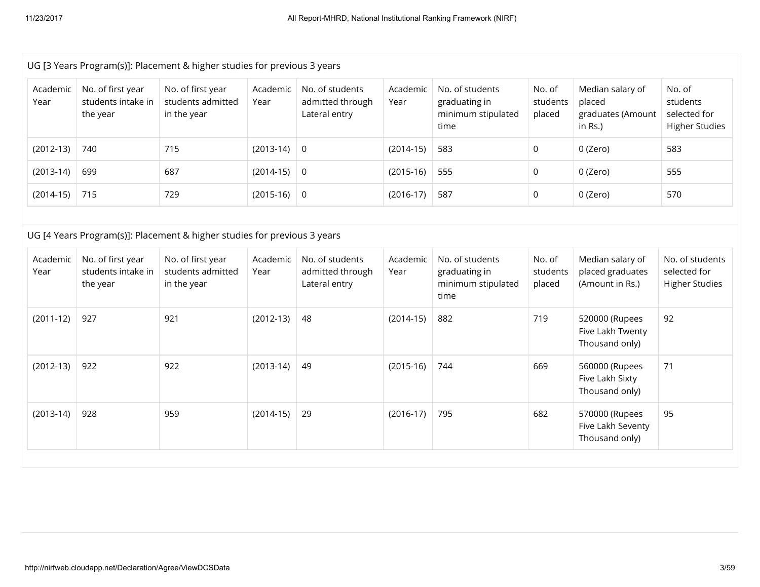|                  |                                                     | UG [3 Years Program(s)]: Placement & higher studies for previous 3 years |                  |                                                      |                  |                                                                |                              |                                                               |                                                             |
|------------------|-----------------------------------------------------|--------------------------------------------------------------------------|------------------|------------------------------------------------------|------------------|----------------------------------------------------------------|------------------------------|---------------------------------------------------------------|-------------------------------------------------------------|
| Academic<br>Year | No. of first year<br>students intake in<br>the year | No. of first year<br>students admitted<br>in the year                    | Academic<br>Year | No. of students<br>admitted through<br>Lateral entry | Academic<br>Year | No. of students<br>graduating in<br>minimum stipulated<br>time | No. of<br>students<br>placed | Median salary of<br>placed<br>graduates (Amount<br>in $Rs.$ ) | No. of<br>students<br>selected for<br><b>Higher Studies</b> |
| $(2012-13)$      | 740                                                 | 715                                                                      | $(2013-14)$      | $\mathsf 0$                                          | $(2014-15)$      | 583                                                            | $\Omega$                     | 0 (Zero)                                                      | 583                                                         |
| $(2013-14)$      | 699                                                 | 687                                                                      | $(2014-15)$      | $\overline{0}$                                       | $(2015-16)$      | 555                                                            | 0                            | 0 (Zero)                                                      | 555                                                         |
| $(2014-15)$      | 715                                                 | 729                                                                      | $(2015-16)$      | $\overline{0}$                                       | $(2016-17)$      | 587                                                            | 0                            | 0 (Zero)                                                      | 570                                                         |
|                  |                                                     |                                                                          |                  |                                                      |                  |                                                                |                              |                                                               |                                                             |
|                  |                                                     | UG [4 Years Program(s)]: Placement & higher studies for previous 3 years |                  |                                                      |                  |                                                                |                              |                                                               |                                                             |
| Academic<br>Year | No. of first year<br>students intake in<br>the year | No. of first year<br>students admitted<br>in the year                    | Academic<br>Year | No. of students<br>admitted through<br>Lateral entry | Academic<br>Year | No. of students<br>graduating in<br>minimum stipulated<br>time | No. of<br>students<br>placed | Median salary of<br>placed graduates<br>(Amount in Rs.)       | No. of students<br>selected for<br><b>Higher Studies</b>    |
| $(2011-12)$      | 927                                                 | 921                                                                      | $(2012-13)$      | 48                                                   | $(2014-15)$      | 882                                                            | 719                          | 520000 (Rupees<br>Five Lakh Twenty<br>Thousand only)          | 92                                                          |
|                  |                                                     |                                                                          |                  |                                                      |                  |                                                                |                              |                                                               |                                                             |
| $(2012-13)$      | 922                                                 | 922                                                                      | $(2013-14)$      | 49                                                   | $(2015-16)$      | 744                                                            | 669                          | 560000 (Rupees<br>Five Lakh Sixty<br>Thousand only)           | 71                                                          |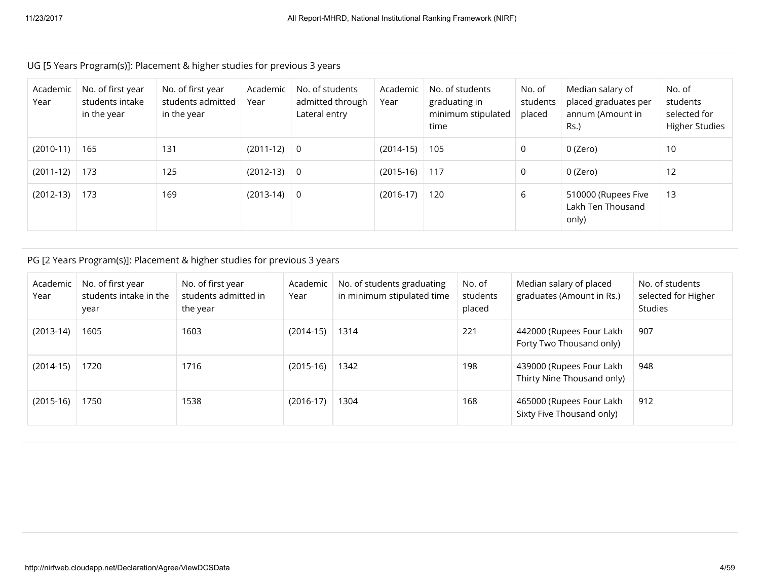|                  | UG [5 Years Program(s)]: Placement & higher studies for previous 3 years |     |                                                       |                  |                                                      |                                                                       |                                                          |      |                                                        |                              |                                                                      |         |                                                             |
|------------------|--------------------------------------------------------------------------|-----|-------------------------------------------------------|------------------|------------------------------------------------------|-----------------------------------------------------------------------|----------------------------------------------------------|------|--------------------------------------------------------|------------------------------|----------------------------------------------------------------------|---------|-------------------------------------------------------------|
| Academic<br>Year | No. of first year<br>students intake<br>in the year                      |     | No. of first year<br>students admitted<br>in the year | Academic<br>Year | No. of students<br>admitted through<br>Lateral entry |                                                                       | Academic<br>Year                                         | time | No. of students<br>graduating in<br>minimum stipulated | No. of<br>students<br>placed | Median salary of<br>placed graduates per<br>annum (Amount in<br>Rs.) |         | No. of<br>students<br>selected for<br><b>Higher Studies</b> |
| $(2010-11)$      | 165                                                                      | 131 |                                                       | $(2011-12)$      | $\mathsf 0$                                          |                                                                       | $(2014-15)$                                              | 105  |                                                        | $\mathbf 0$                  | 0 (Zero)                                                             |         | 10                                                          |
| $(2011-12)$      | 173                                                                      | 125 |                                                       | $(2012-13)$      | $\overline{0}$                                       |                                                                       | $(2015-16)$                                              | 117  |                                                        | $\mathbf 0$                  | 0 (Zero)                                                             |         | 12                                                          |
| $(2012-13)$      | 173                                                                      | 169 |                                                       | $(2013-14)$      | $\overline{0}$                                       |                                                                       | $(2016-17)$                                              | 120  |                                                        | 6                            | 510000 (Rupees Five<br>Lakh Ten Thousand<br>only)                    |         | 13                                                          |
|                  | PG [2 Years Program(s)]: Placement & higher studies for previous 3 years |     |                                                       |                  |                                                      |                                                                       |                                                          |      |                                                        |                              |                                                                      |         |                                                             |
| Academic<br>Year | No. of first year<br>students intake in the<br>year                      |     | No. of first year<br>students admitted in<br>the year |                  | Academic<br>Year                                     |                                                                       | No. of students graduating<br>in minimum stipulated time |      | No. of<br>students<br>placed                           |                              | Median salary of placed<br>graduates (Amount in Rs.)                 | Studies | No. of students<br>selected for Higher                      |
| $(2013-14)$      | 1605                                                                     |     | 1603                                                  |                  | $(2014-15)$                                          | 1314                                                                  |                                                          |      | 221                                                    |                              | 442000 (Rupees Four Lakh<br>Forty Two Thousand only)                 | 907     |                                                             |
| $(2014-15)$      | 1720                                                                     |     | 1716                                                  |                  | $(2015-16)$                                          | 439000 (Rupees Four Lakh<br>1342<br>198<br>Thirty Nine Thousand only) |                                                          |      | 948                                                    |                              |                                                                      |         |                                                             |
| $(2015-16)$      | 1750                                                                     |     | 1538                                                  |                  | $(2016-17)$                                          | 1304                                                                  |                                                          |      | 168                                                    |                              | 465000 (Rupees Four Lakh<br>Sixty Five Thousand only)                | 912     |                                                             |
|                  |                                                                          |     |                                                       |                  |                                                      |                                                                       |                                                          |      |                                                        |                              |                                                                      |         |                                                             |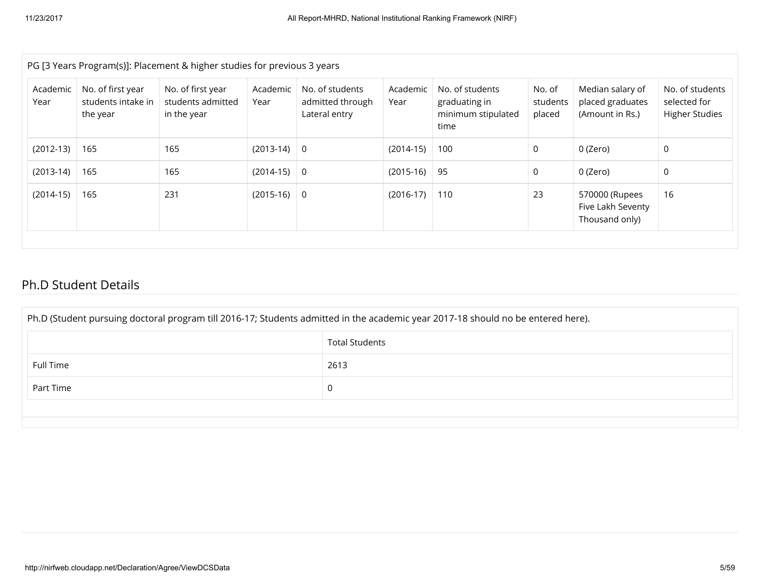| PG [3 Years Program(s)]: Placement & higher studies for previous 3 years |                                                     |                                                       |                  |                                                      |                  |                                                                |                              |                                                         |                                                          |
|--------------------------------------------------------------------------|-----------------------------------------------------|-------------------------------------------------------|------------------|------------------------------------------------------|------------------|----------------------------------------------------------------|------------------------------|---------------------------------------------------------|----------------------------------------------------------|
| Academic<br>Year                                                         | No. of first year<br>students intake in<br>the year | No. of first year<br>students admitted<br>in the year | Academic<br>Year | No. of students<br>admitted through<br>Lateral entry | Academic<br>Year | No. of students<br>graduating in<br>minimum stipulated<br>time | No. of<br>students<br>placed | Median salary of<br>placed graduates<br>(Amount in Rs.) | No. of students<br>selected for<br><b>Higher Studies</b> |
| $(2012-13)$                                                              | $\vert$ 165                                         | 165                                                   | $(2013-14)$      | - 0                                                  | $(2014-15)$      | 100                                                            | 0                            | 0 (Zero)                                                | 0                                                        |
| $(2013-14)$                                                              | 165                                                 | 165                                                   | $(2014-15)$      | $\overline{0}$                                       | $(2015-16)$      | 95                                                             | 0                            | 0 (Zero)                                                | 0                                                        |
| $(2014-15)$                                                              | 165                                                 | 231                                                   | $(2015-16)$      | 0                                                    | $(2016-17)$      | 110                                                            | 23                           | 570000 (Rupees<br>Five Lakh Seventy<br>Thousand only)   | 16                                                       |

#### Ph.D Student Details

| Ph.D (Student pursuing doctoral program till 2016-17; Students admitted in the academic year 2017-18 should no be entered here). |      |  |  |  |  |  |
|----------------------------------------------------------------------------------------------------------------------------------|------|--|--|--|--|--|
| <b>Total Students</b>                                                                                                            |      |  |  |  |  |  |
| Full Time                                                                                                                        | 2613 |  |  |  |  |  |
| Part Time                                                                                                                        | 0    |  |  |  |  |  |
|                                                                                                                                  |      |  |  |  |  |  |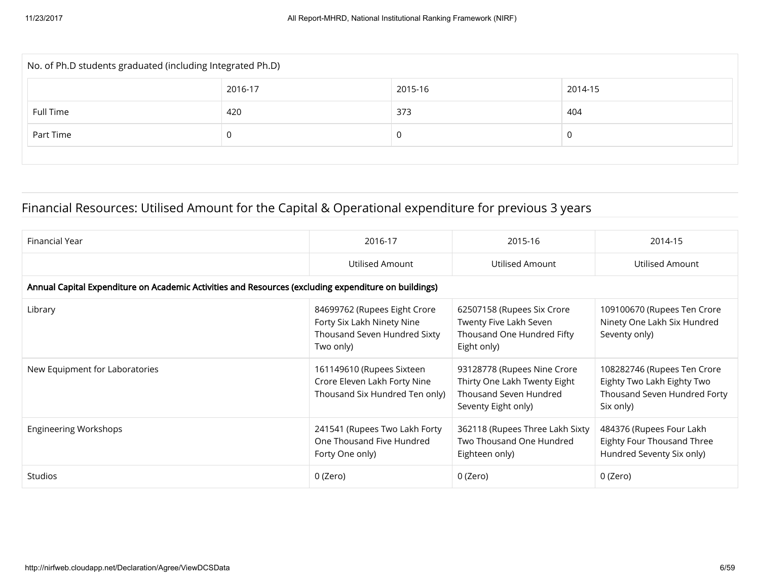| No. of Ph.D students graduated (including Integrated Ph.D) |         |         |         |  |  |  |
|------------------------------------------------------------|---------|---------|---------|--|--|--|
|                                                            | 2016-17 | 2015-16 | 2014-15 |  |  |  |
| Full Time                                                  | 420     | 373     | 404     |  |  |  |
| Part Time<br>υ                                             |         |         |         |  |  |  |
|                                                            |         |         |         |  |  |  |

### Financial Resources: Utilised Amount for the Capital & Operational expenditure for previous 3 years

| Financial Year                                                                                       | 2016-17                                                                                                 | 2015-16                                                                                                      | 2014-15                                                                                                |  |  |  |  |
|------------------------------------------------------------------------------------------------------|---------------------------------------------------------------------------------------------------------|--------------------------------------------------------------------------------------------------------------|--------------------------------------------------------------------------------------------------------|--|--|--|--|
|                                                                                                      | Utilised Amount                                                                                         | Utilised Amount                                                                                              | Utilised Amount                                                                                        |  |  |  |  |
| Annual Capital Expenditure on Academic Activities and Resources (excluding expenditure on buildings) |                                                                                                         |                                                                                                              |                                                                                                        |  |  |  |  |
| Library                                                                                              | 84699762 (Rupees Eight Crore<br>Forty Six Lakh Ninety Nine<br>Thousand Seven Hundred Sixty<br>Two only) | 62507158 (Rupees Six Crore<br>Twenty Five Lakh Seven<br>Thousand One Hundred Fifty<br>Eight only)            | 109100670 (Rupees Ten Crore<br>Ninety One Lakh Six Hundred<br>Seventy only)                            |  |  |  |  |
| New Equipment for Laboratories                                                                       | 161149610 (Rupees Sixteen<br>Crore Eleven Lakh Forty Nine<br>Thousand Six Hundred Ten only)             | 93128778 (Rupees Nine Crore<br>Thirty One Lakh Twenty Eight<br>Thousand Seven Hundred<br>Seventy Eight only) | 108282746 (Rupees Ten Crore<br>Eighty Two Lakh Eighty Two<br>Thousand Seven Hundred Forty<br>Six only) |  |  |  |  |
| <b>Engineering Workshops</b>                                                                         | 241541 (Rupees Two Lakh Forty<br>One Thousand Five Hundred<br>Forty One only)                           | 362118 (Rupees Three Lakh Sixty<br>Two Thousand One Hundred<br>Eighteen only)                                | 484376 (Rupees Four Lakh<br>Eighty Four Thousand Three<br>Hundred Seventy Six only)                    |  |  |  |  |
| <b>Studios</b>                                                                                       | 0 (Zero)                                                                                                | 0 (Zero)                                                                                                     | 0 (Zero)                                                                                               |  |  |  |  |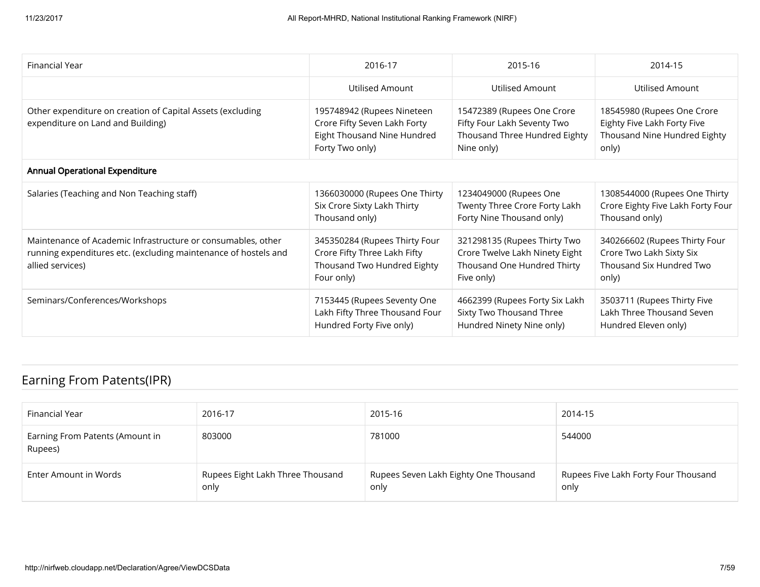| Financial Year                                                                                                                                      | 2016-17                                                                                                      | 2015-16                                                                                                     | 2014-15                                                                                            |
|-----------------------------------------------------------------------------------------------------------------------------------------------------|--------------------------------------------------------------------------------------------------------------|-------------------------------------------------------------------------------------------------------------|----------------------------------------------------------------------------------------------------|
|                                                                                                                                                     | Utilised Amount                                                                                              | Utilised Amount                                                                                             | Utilised Amount                                                                                    |
| Other expenditure on creation of Capital Assets (excluding<br>expenditure on Land and Building)                                                     | 195748942 (Rupees Nineteen<br>Crore Fifty Seven Lakh Forty<br>Eight Thousand Nine Hundred<br>Forty Two only) | 15472389 (Rupees One Crore<br>Fifty Four Lakh Seventy Two<br>Thousand Three Hundred Eighty<br>Nine only)    | 18545980 (Rupees One Crore<br>Eighty Five Lakh Forty Five<br>Thousand Nine Hundred Eighty<br>only) |
| <b>Annual Operational Expenditure</b>                                                                                                               |                                                                                                              |                                                                                                             |                                                                                                    |
| Salaries (Teaching and Non Teaching staff)                                                                                                          | 1366030000 (Rupees One Thirty<br>Six Crore Sixty Lakh Thirty<br>Thousand only)                               | 1234049000 (Rupees One<br>Twenty Three Crore Forty Lakh<br>Forty Nine Thousand only)                        | 1308544000 (Rupees One Thirty<br>Crore Eighty Five Lakh Forty Four<br>Thousand only)               |
| Maintenance of Academic Infrastructure or consumables, other<br>running expenditures etc. (excluding maintenance of hostels and<br>allied services) | 345350284 (Rupees Thirty Four<br>Crore Fifty Three Lakh Fifty<br>Thousand Two Hundred Eighty<br>Four only)   | 321298135 (Rupees Thirty Two<br>Crore Twelve Lakh Ninety Eight<br>Thousand One Hundred Thirty<br>Five only) | 340266602 (Rupees Thirty Four<br>Crore Two Lakh Sixty Six<br>Thousand Six Hundred Two<br>only)     |
| Seminars/Conferences/Workshops                                                                                                                      | 7153445 (Rupees Seventy One<br>Lakh Fifty Three Thousand Four<br>Hundred Forty Five only)                    | 4662399 (Rupees Forty Six Lakh<br>Sixty Two Thousand Three<br>Hundred Ninety Nine only)                     | 3503711 (Rupees Thirty Five<br>Lakh Three Thousand Seven<br>Hundred Eleven only)                   |

### Earning From Patents(IPR)

| Financial Year                             | 2016-17                                  | 2015-16                                       | 2014-15                                      |
|--------------------------------------------|------------------------------------------|-----------------------------------------------|----------------------------------------------|
| Earning From Patents (Amount in<br>Rupees) | 803000                                   | 781000                                        | 544000                                       |
| Enter Amount in Words                      | Rupees Eight Lakh Three Thousand<br>only | Rupees Seven Lakh Eighty One Thousand<br>only | Rupees Five Lakh Forty Four Thousand<br>only |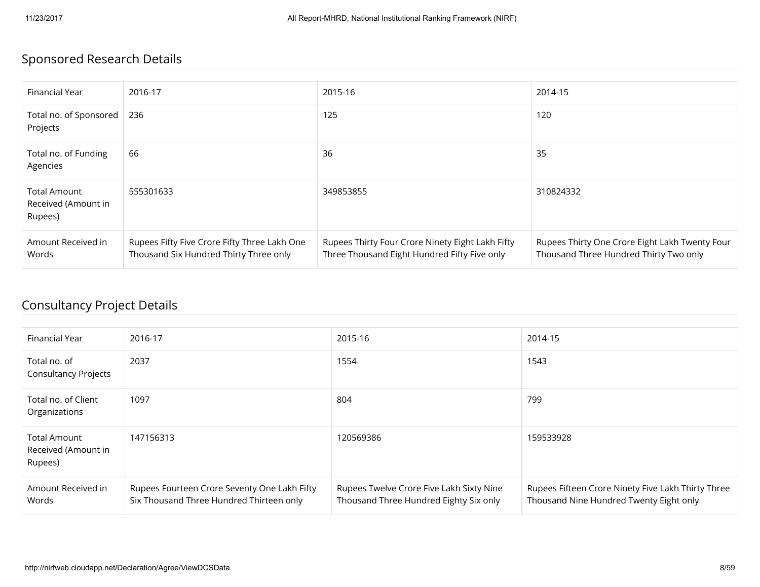# Sponsored Research Details

| Financial Year                                        | 2016-17                                                                                | 2015-16                                                                                          | 2014-15                                                                                  |
|-------------------------------------------------------|----------------------------------------------------------------------------------------|--------------------------------------------------------------------------------------------------|------------------------------------------------------------------------------------------|
| Total no. of Sponsored<br>Projects                    | 236                                                                                    | 125                                                                                              | 120                                                                                      |
| Total no. of Funding<br>Agencies                      | 66                                                                                     | 36                                                                                               | 35                                                                                       |
| <b>Total Amount</b><br>Received (Amount in<br>Rupees) | 555301633                                                                              | 349853855                                                                                        | 310824332                                                                                |
| Amount Received in<br>Words                           | Rupees Fifty Five Crore Fifty Three Lakh One<br>Thousand Six Hundred Thirty Three only | Rupees Thirty Four Crore Ninety Eight Lakh Fifty<br>Three Thousand Eight Hundred Fifty Five only | Rupees Thirty One Crore Eight Lakh Twenty Four<br>Thousand Three Hundred Thirty Two only |

### Consultancy Project Details

| Financial Year                                        | 2016-17                                                                                  | 2015-16                                                                            | 2014-15                                                                                       |
|-------------------------------------------------------|------------------------------------------------------------------------------------------|------------------------------------------------------------------------------------|-----------------------------------------------------------------------------------------------|
| Total no. of<br><b>Consultancy Projects</b>           | 2037                                                                                     | 1554                                                                               | 1543                                                                                          |
| Total no. of Client<br>Organizations                  | 1097                                                                                     | 804                                                                                | 799                                                                                           |
| <b>Total Amount</b><br>Received (Amount in<br>Rupees) | 147156313                                                                                | 120569386                                                                          | 159533928                                                                                     |
| Amount Received in<br>Words                           | Rupees Fourteen Crore Seventy One Lakh Fifty<br>Six Thousand Three Hundred Thirteen only | Rupees Twelve Crore Five Lakh Sixty Nine<br>Thousand Three Hundred Eighty Six only | Rupees Fifteen Crore Ninety Five Lakh Thirty Three<br>Thousand Nine Hundred Twenty Eight only |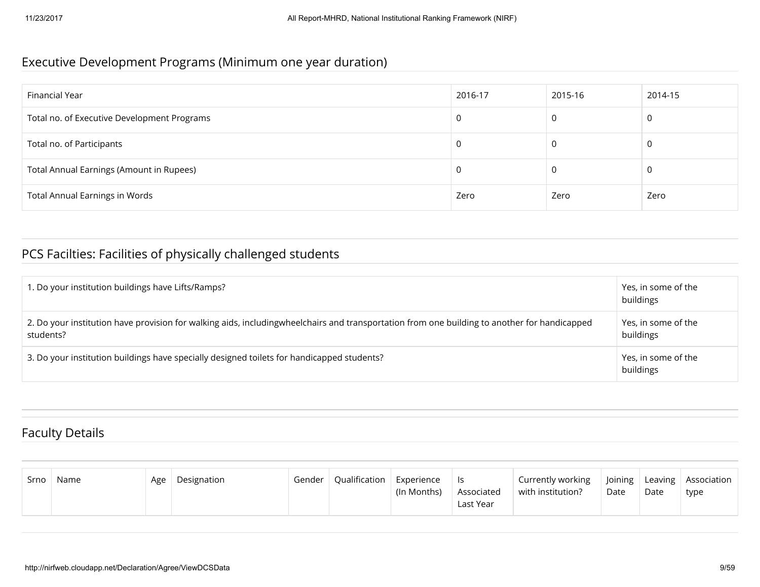#### Executive Development Programs (Minimum one year duration)

| Financial Year                              | 2016-17 | 2015-16 | 2014-15 |
|---------------------------------------------|---------|---------|---------|
| Total no. of Executive Development Programs | 0       | 0       | 0       |
| Total no. of Participants                   | 0       | C       | 0       |
| Total Annual Earnings (Amount in Rupees)    | 0       | C       | 0       |
| <b>Total Annual Earnings in Words</b>       | Zero    | Zero    | Zero    |

# PCS Facilties: Facilities of physically challenged students

| 1. Do your institution buildings have Lifts/Ramps?                                                                                                        | Yes, in some of the<br>buildings |
|-----------------------------------------------------------------------------------------------------------------------------------------------------------|----------------------------------|
| 2. Do your institution have provision for walking aids, includingwheelchairs and transportation from one building to another for handicapped<br>students? | Yes, in some of the<br>buildings |
| 3. Do your institution buildings have specially designed toilets for handicapped students?                                                                | Yes, in some of the<br>buildings |

### Faculty Details

| Srno | Name | Age | Designation | Gender | Qualification | Experience<br>(In Months) | - Is<br>Associated<br>Last Year | Currently working<br>with institution? | Joining<br>Date | Date | Leaving   Association<br>type |
|------|------|-----|-------------|--------|---------------|---------------------------|---------------------------------|----------------------------------------|-----------------|------|-------------------------------|
|------|------|-----|-------------|--------|---------------|---------------------------|---------------------------------|----------------------------------------|-----------------|------|-------------------------------|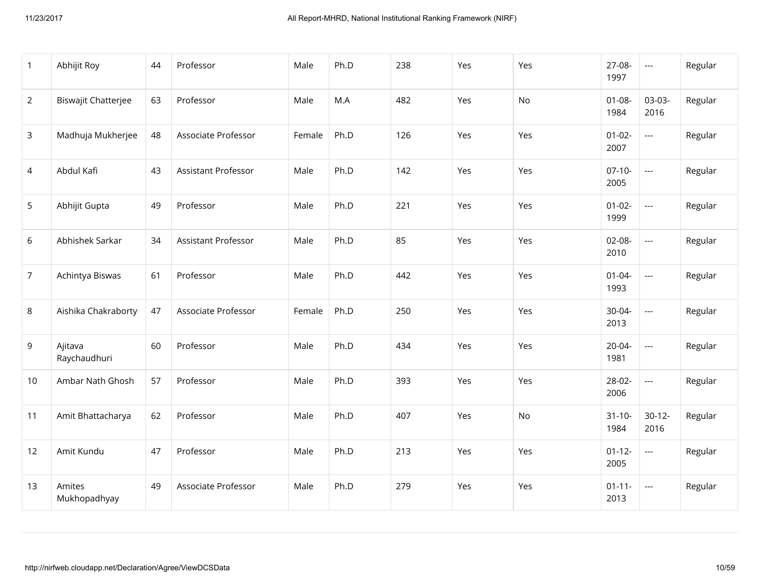| $\overline{1}$ | Abhijit Roy             | 44 | Professor           | Male   | Ph.D | 238 | Yes | Yes | 27-08-<br>1997      | $\hspace{0.05cm} \ldots$ | Regular |
|----------------|-------------------------|----|---------------------|--------|------|-----|-----|-----|---------------------|--------------------------|---------|
| $\overline{2}$ | Biswajit Chatterjee     | 63 | Professor           | Male   | M.A  | 482 | Yes | No  | $01 - 08 -$<br>1984 | 03-03-<br>2016           | Regular |
| $\mathbf{3}$   | Madhuja Mukherjee       | 48 | Associate Professor | Female | Ph.D | 126 | Yes | Yes | $01 - 02 -$<br>2007 | $\overline{\phantom{a}}$ | Regular |
| 4              | Abdul Kafi              | 43 | Assistant Professor | Male   | Ph.D | 142 | Yes | Yes | $07-10-$<br>2005    | $\overline{\phantom{a}}$ | Regular |
| 5              | Abhijit Gupta           | 49 | Professor           | Male   | Ph.D | 221 | Yes | Yes | $01 - 02 -$<br>1999 | $\overline{a}$           | Regular |
| 6              | Abhishek Sarkar         | 34 | Assistant Professor | Male   | Ph.D | 85  | Yes | Yes | $02-08-$<br>2010    | $\overline{\phantom{a}}$ | Regular |
| $\overline{7}$ | Achintya Biswas         | 61 | Professor           | Male   | Ph.D | 442 | Yes | Yes | $01 - 04 -$<br>1993 | $\overline{\phantom{a}}$ | Regular |
| 8              | Aishika Chakraborty     | 47 | Associate Professor | Female | Ph.D | 250 | Yes | Yes | 30-04-<br>2013      | $\overline{a}$           | Regular |
| 9              | Ajitava<br>Raychaudhuri | 60 | Professor           | Male   | Ph.D | 434 | Yes | Yes | $20 - 04 -$<br>1981 | $\overline{a}$           | Regular |
| 10             | Ambar Nath Ghosh        | 57 | Professor           | Male   | Ph.D | 393 | Yes | Yes | 28-02-<br>2006      | $\overline{\phantom{a}}$ | Regular |
| 11             | Amit Bhattacharya       | 62 | Professor           | Male   | Ph.D | 407 | Yes | No  | $31 - 10 -$<br>1984 | $30-12-$<br>2016         | Regular |
| 12             | Amit Kundu              | 47 | Professor           | Male   | Ph.D | 213 | Yes | Yes | $01 - 12 -$<br>2005 | $\overline{\phantom{a}}$ | Regular |
| 13             | Amites<br>Mukhopadhyay  | 49 | Associate Professor | Male   | Ph.D | 279 | Yes | Yes | $01 - 11 -$<br>2013 | $\hspace{0.05cm} \ldots$ | Regular |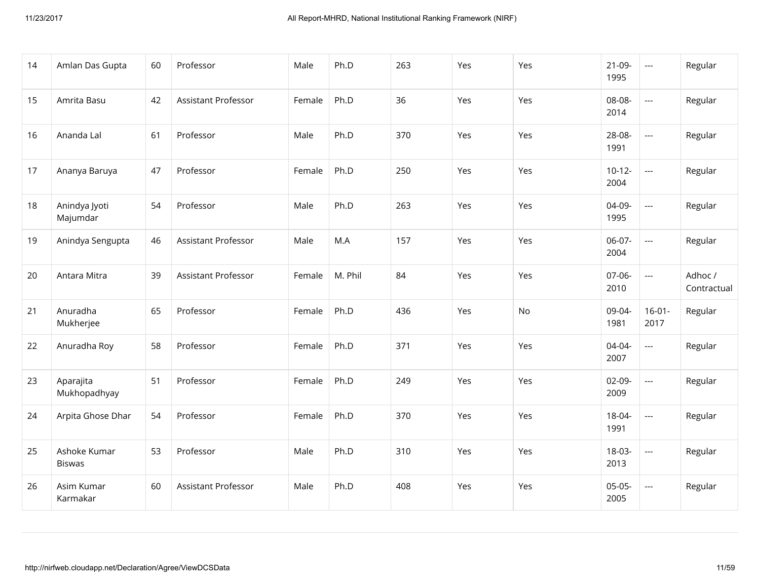| 14 | Amlan Das Gupta               | 60 | Professor                  | Male   | Ph.D    | 263 | Yes | Yes | $21-09-$<br>1995 | $\hspace{0.05cm} \ldots$                 | Regular                |
|----|-------------------------------|----|----------------------------|--------|---------|-----|-----|-----|------------------|------------------------------------------|------------------------|
| 15 | Amrita Basu                   | 42 | Assistant Professor        | Female | Ph.D    | 36  | Yes | Yes | 08-08-<br>2014   | $\hspace{0.05cm} \ldots \hspace{0.05cm}$ | Regular                |
| 16 | Ananda Lal                    | 61 | Professor                  | Male   | Ph.D    | 370 | Yes | Yes | 28-08-<br>1991   | $\overline{\phantom{a}}$                 | Regular                |
| 17 | Ananya Baruya                 | 47 | Professor                  | Female | Ph.D    | 250 | Yes | Yes | $10-12-$<br>2004 | $\overline{\phantom{a}}$                 | Regular                |
| 18 | Anindya Jyoti<br>Majumdar     | 54 | Professor                  | Male   | Ph.D    | 263 | Yes | Yes | 04-09-<br>1995   | $\overline{\phantom{a}}$                 | Regular                |
| 19 | Anindya Sengupta              | 46 | <b>Assistant Professor</b> | Male   | M.A     | 157 | Yes | Yes | 06-07-<br>2004   | $\overline{\phantom{a}}$                 | Regular                |
| 20 | Antara Mitra                  | 39 | Assistant Professor        | Female | M. Phil | 84  | Yes | Yes | 07-06-<br>2010   | $\hspace{0.05cm} \ldots \hspace{0.05cm}$ | Adhoc /<br>Contractual |
| 21 | Anuradha<br>Mukherjee         | 65 | Professor                  | Female | Ph.D    | 436 | Yes | No  | 09-04-<br>1981   | $16-01-$<br>2017                         | Regular                |
| 22 | Anuradha Roy                  | 58 | Professor                  | Female | Ph.D    | 371 | Yes | Yes | 04-04-<br>2007   | $\overline{a}$                           | Regular                |
| 23 | Aparajita<br>Mukhopadhyay     | 51 | Professor                  | Female | Ph.D    | 249 | Yes | Yes | $02-09-$<br>2009 | $\overline{\phantom{a}}$                 | Regular                |
| 24 | Arpita Ghose Dhar             | 54 | Professor                  | Female | Ph.D    | 370 | Yes | Yes | 18-04-<br>1991   | $\overline{\phantom{a}}$                 | Regular                |
| 25 | Ashoke Kumar<br><b>Biswas</b> | 53 | Professor                  | Male   | Ph.D    | 310 | Yes | Yes | 18-03-<br>2013   | $\overline{a}$                           | Regular                |
| 26 | Asim Kumar<br>Karmakar        | 60 | Assistant Professor        | Male   | Ph.D    | 408 | Yes | Yes | $05-05-$<br>2005 | $\hspace{0.05cm} \ldots \hspace{0.05cm}$ | Regular                |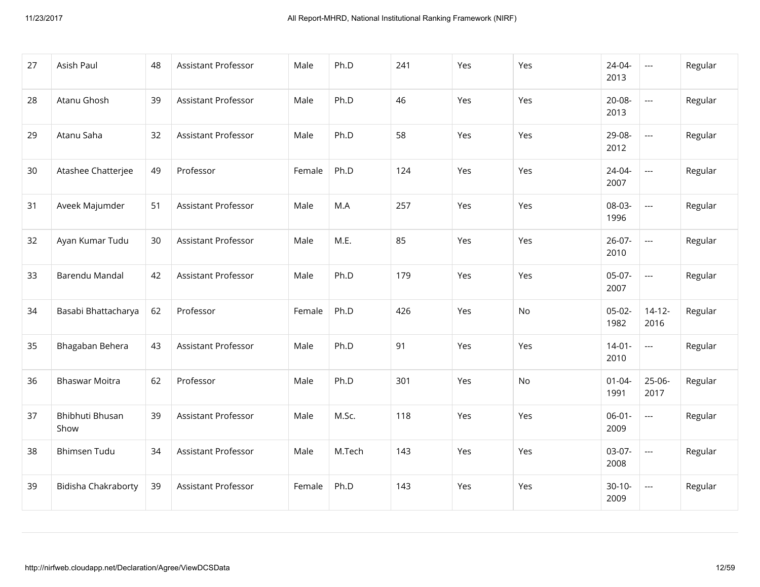| 27 | Asish Paul                 | 48 | Assistant Professor        | Male   | Ph.D   | 241 | Yes | Yes | 24-04-<br>2013      | $\scriptstyle\cdots$     | Regular |
|----|----------------------------|----|----------------------------|--------|--------|-----|-----|-----|---------------------|--------------------------|---------|
| 28 | Atanu Ghosh                | 39 | <b>Assistant Professor</b> | Male   | Ph.D   | 46  | Yes | Yes | $20-08-$<br>2013    | $\overline{\phantom{a}}$ | Regular |
| 29 | Atanu Saha                 | 32 | Assistant Professor        | Male   | Ph.D   | 58  | Yes | Yes | 29-08-<br>2012      | $\overline{\phantom{a}}$ | Regular |
| 30 | Atashee Chatterjee         | 49 | Professor                  | Female | Ph.D   | 124 | Yes | Yes | $24 - 04 -$<br>2007 | $\overline{\phantom{a}}$ | Regular |
| 31 | Aveek Majumder             | 51 | <b>Assistant Professor</b> | Male   | M.A    | 257 | Yes | Yes | 08-03-<br>1996      | $\overline{\phantom{a}}$ | Regular |
| 32 | Ayan Kumar Tudu            | 30 | Assistant Professor        | Male   | M.E.   | 85  | Yes | Yes | $26-07-$<br>2010    | $\overline{\phantom{a}}$ | Regular |
| 33 | Barendu Mandal             | 42 | Assistant Professor        | Male   | Ph.D   | 179 | Yes | Yes | $05-07-$<br>2007    | ---                      | Regular |
| 34 | Basabi Bhattacharya        | 62 | Professor                  | Female | Ph.D   | 426 | Yes | No  | $05-02-$<br>1982    | $14 - 12 -$<br>2016      | Regular |
| 35 | Bhagaban Behera            | 43 | Assistant Professor        | Male   | Ph.D   | 91  | Yes | Yes | $14 - 01 -$<br>2010 | $\overline{\phantom{a}}$ | Regular |
| 36 | <b>Bhaswar Moitra</b>      | 62 | Professor                  | Male   | Ph.D   | 301 | Yes | No  | $01 - 04 -$<br>1991 | 25-06-<br>2017           | Regular |
| 37 | Bhibhuti Bhusan<br>Show    | 39 | Assistant Professor        | Male   | M.Sc.  | 118 | Yes | Yes | $06-01-$<br>2009    | $\overline{\phantom{a}}$ | Regular |
| 38 | <b>Bhimsen Tudu</b>        | 34 | Assistant Professor        | Male   | M.Tech | 143 | Yes | Yes | 03-07-<br>2008      | $\overline{\phantom{a}}$ | Regular |
| 39 | <b>Bidisha Chakraborty</b> | 39 | Assistant Professor        | Female | Ph.D   | 143 | Yes | Yes | $30-10-$<br>2009    | $\scriptstyle\cdots$     | Regular |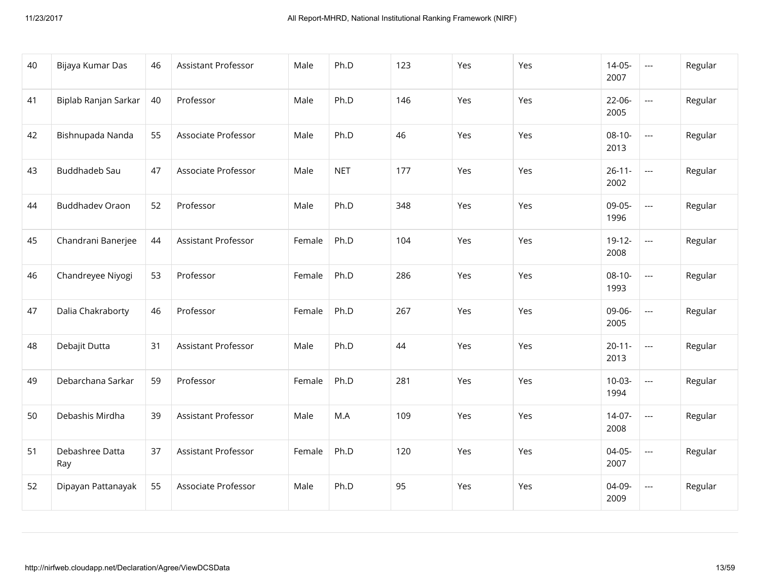| 40 | Bijaya Kumar Das       | 46 | Assistant Professor | Male   | Ph.D       | 123 | Yes | Yes | $14-05-$<br>2007    | $\scriptstyle\cdots$     | Regular |
|----|------------------------|----|---------------------|--------|------------|-----|-----|-----|---------------------|--------------------------|---------|
| 41 | Biplab Ranjan Sarkar   | 40 | Professor           | Male   | Ph.D       | 146 | Yes | Yes | $22-06-$<br>2005    | $\overline{\phantom{a}}$ | Regular |
| 42 | Bishnupada Nanda       | 55 | Associate Professor | Male   | Ph.D       | 46  | Yes | Yes | $08-10-$<br>2013    | $\overline{\phantom{a}}$ | Regular |
| 43 | Buddhadeb Sau          | 47 | Associate Professor | Male   | <b>NET</b> | 177 | Yes | Yes | $26 - 11 -$<br>2002 | $\overline{\phantom{a}}$ | Regular |
| 44 | <b>Buddhadev Oraon</b> | 52 | Professor           | Male   | Ph.D       | 348 | Yes | Yes | 09-05-<br>1996      | $\overline{\phantom{a}}$ | Regular |
| 45 | Chandrani Banerjee     | 44 | Assistant Professor | Female | Ph.D       | 104 | Yes | Yes | $19-12-$<br>2008    | $\overline{a}$           | Regular |
| 46 | Chandreyee Niyogi      | 53 | Professor           | Female | Ph.D       | 286 | Yes | Yes | $08-10-$<br>1993    | $\overline{\phantom{a}}$ | Regular |
| 47 | Dalia Chakraborty      | 46 | Professor           | Female | Ph.D       | 267 | Yes | Yes | 09-06-<br>2005      | $\overline{a}$           | Regular |
| 48 | Debajit Dutta          | 31 | Assistant Professor | Male   | Ph.D       | 44  | Yes | Yes | $20 - 11 -$<br>2013 | $\overline{\phantom{a}}$ | Regular |
| 49 | Debarchana Sarkar      | 59 | Professor           | Female | Ph.D       | 281 | Yes | Yes | $10-03-$<br>1994    | $\overline{\phantom{a}}$ | Regular |
| 50 | Debashis Mirdha        | 39 | Assistant Professor | Male   | M.A        | 109 | Yes | Yes | $14-07-$<br>2008    | $\overline{\phantom{a}}$ | Regular |
| 51 | Debashree Datta<br>Ray | 37 | Assistant Professor | Female | Ph.D       | 120 | Yes | Yes | $04-05-$<br>2007    | $\overline{\phantom{a}}$ | Regular |
| 52 | Dipayan Pattanayak     | 55 | Associate Professor | Male   | Ph.D       | 95  | Yes | Yes | 04-09-<br>2009      | $\overline{\phantom{a}}$ | Regular |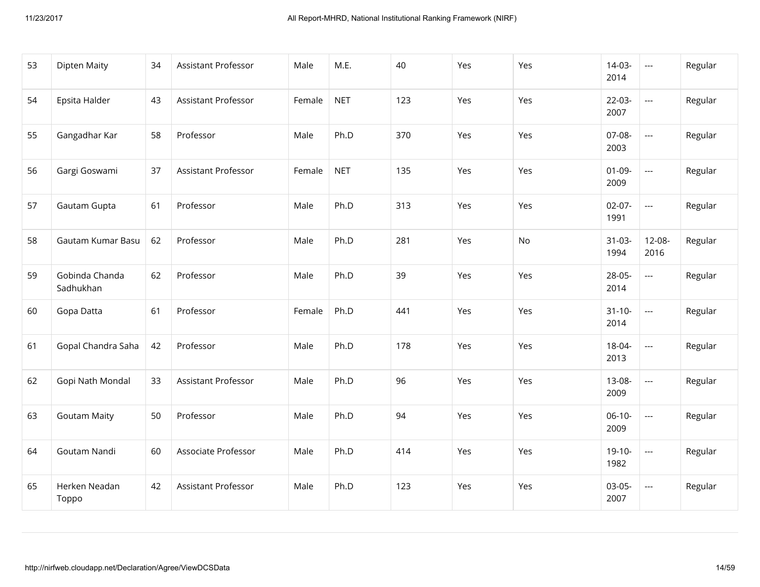| 53 | <b>Dipten Maity</b>         | 34 | Assistant Professor        | Male   | M.E.       | 40  | Yes | Yes | $14-03-$<br>2014    | $\hspace{0.05cm} \ldots$                 | Regular |
|----|-----------------------------|----|----------------------------|--------|------------|-----|-----|-----|---------------------|------------------------------------------|---------|
| 54 | Epsita Halder               | 43 | <b>Assistant Professor</b> | Female | <b>NET</b> | 123 | Yes | Yes | $22-03-$<br>2007    | $\hspace{0.05cm} \ldots \hspace{0.05cm}$ | Regular |
| 55 | Gangadhar Kar               | 58 | Professor                  | Male   | Ph.D       | 370 | Yes | Yes | 07-08-<br>2003      | $\overline{\phantom{a}}$                 | Regular |
| 56 | Gargi Goswami               | 37 | <b>Assistant Professor</b> | Female | <b>NET</b> | 135 | Yes | Yes | $01-09-$<br>2009    | $\overline{a}$                           | Regular |
| 57 | Gautam Gupta                | 61 | Professor                  | Male   | Ph.D       | 313 | Yes | Yes | $02-07-$<br>1991    | $\overline{\phantom{a}}$                 | Regular |
| 58 | Gautam Kumar Basu           | 62 | Professor                  | Male   | Ph.D       | 281 | Yes | No  | $31 - 03 -$<br>1994 | 12-08-<br>2016                           | Regular |
| 59 | Gobinda Chanda<br>Sadhukhan | 62 | Professor                  | Male   | Ph.D       | 39  | Yes | Yes | 28-05-<br>2014      | $\overline{\phantom{a}}$                 | Regular |
| 60 | Gopa Datta                  | 61 | Professor                  | Female | Ph.D       | 441 | Yes | Yes | $31 - 10 -$<br>2014 | $\overline{\phantom{a}}$                 | Regular |
| 61 | Gopal Chandra Saha          | 42 | Professor                  | Male   | Ph.D       | 178 | Yes | Yes | 18-04-<br>2013      | $\overline{\phantom{a}}$                 | Regular |
| 62 | Gopi Nath Mondal            | 33 | <b>Assistant Professor</b> | Male   | Ph.D       | 96  | Yes | Yes | 13-08-<br>2009      | $\overline{\phantom{a}}$                 | Regular |
| 63 | <b>Goutam Maity</b>         | 50 | Professor                  | Male   | Ph.D       | 94  | Yes | Yes | $06-10-$<br>2009    | $\overline{\phantom{a}}$                 | Regular |
| 64 | Goutam Nandi                | 60 | Associate Professor        | Male   | Ph.D       | 414 | Yes | Yes | $19-10-$<br>1982    | $\overline{\phantom{a}}$                 | Regular |
| 65 | Herken Neadan<br>Toppo      | 42 | Assistant Professor        | Male   | Ph.D       | 123 | Yes | Yes | $03-05-$<br>2007    | $\overline{\phantom{a}}$                 | Regular |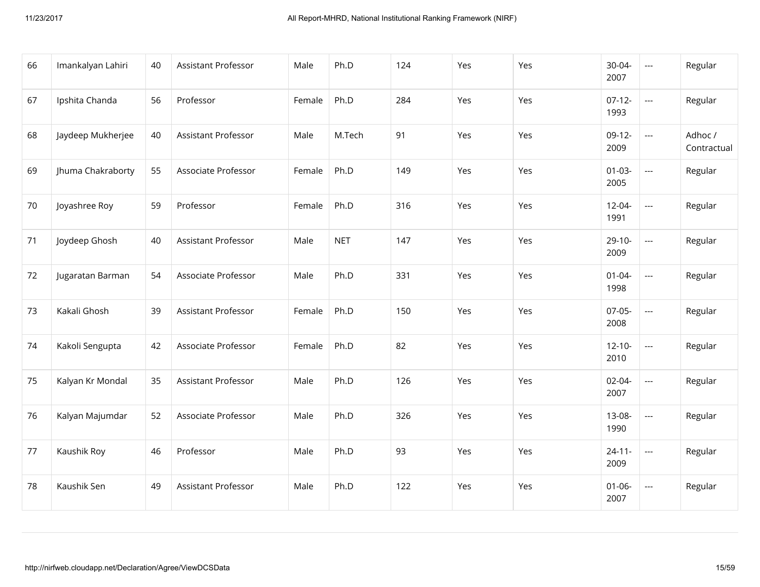| 66 | Imankalyan Lahiri | 40 | Assistant Professor | Male   | Ph.D       | 124 | Yes | Yes | 30-04-<br>2007      | $\scriptstyle\cdots$                     | Regular                |
|----|-------------------|----|---------------------|--------|------------|-----|-----|-----|---------------------|------------------------------------------|------------------------|
| 67 | Ipshita Chanda    | 56 | Professor           | Female | Ph.D       | 284 | Yes | Yes | $07-12-$<br>1993    | $\overline{\phantom{a}}$                 | Regular                |
| 68 | Jaydeep Mukherjee | 40 | Assistant Professor | Male   | M.Tech     | 91  | Yes | Yes | $09-12-$<br>2009    | $\hspace{0.05cm} \ldots$                 | Adhoc /<br>Contractual |
| 69 | Jhuma Chakraborty | 55 | Associate Professor | Female | Ph.D       | 149 | Yes | Yes | $01 - 03 -$<br>2005 | $\overline{\phantom{a}}$                 | Regular                |
| 70 | Joyashree Roy     | 59 | Professor           | Female | Ph.D       | 316 | Yes | Yes | $12 - 04 -$<br>1991 | $\overline{\phantom{a}}$                 | Regular                |
| 71 | Joydeep Ghosh     | 40 | Assistant Professor | Male   | <b>NET</b> | 147 | Yes | Yes | $29-10-$<br>2009    | $\overline{\phantom{a}}$                 | Regular                |
| 72 | Jugaratan Barman  | 54 | Associate Professor | Male   | Ph.D       | 331 | Yes | Yes | $01 - 04 -$<br>1998 | $\overline{\phantom{a}}$                 | Regular                |
| 73 | Kakali Ghosh      | 39 | Assistant Professor | Female | Ph.D       | 150 | Yes | Yes | $07-05-$<br>2008    | $\overline{\phantom{a}}$                 | Regular                |
| 74 | Kakoli Sengupta   | 42 | Associate Professor | Female | Ph.D       | 82  | Yes | Yes | $12 - 10 -$<br>2010 | $\overline{\phantom{a}}$                 | Regular                |
| 75 | Kalyan Kr Mondal  | 35 | Assistant Professor | Male   | Ph.D       | 126 | Yes | Yes | $02 - 04 -$<br>2007 | $\hspace{0.05cm} \ldots \hspace{0.05cm}$ | Regular                |
| 76 | Kalyan Majumdar   | 52 | Associate Professor | Male   | Ph.D       | 326 | Yes | Yes | 13-08-<br>1990      | $\overline{\phantom{a}}$                 | Regular                |
| 77 | Kaushik Roy       | 46 | Professor           | Male   | Ph.D       | 93  | Yes | Yes | $24 - 11 -$<br>2009 | $\overline{a}$                           | Regular                |
| 78 | Kaushik Sen       | 49 | Assistant Professor | Male   | Ph.D       | 122 | Yes | Yes | $01 - 06 -$<br>2007 | $\hspace{0.05cm} \ldots \hspace{0.05cm}$ | Regular                |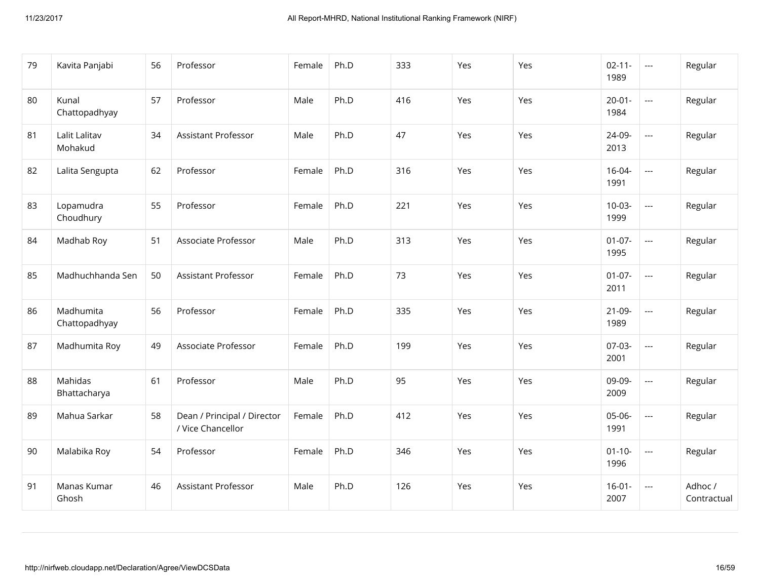| 79 | Kavita Panjabi             | 56 | Professor                                        | Female | Ph.D | 333 | Yes | Yes        | $02 - 11 -$<br>1989 | $\hspace{0.05cm} \ldots$                 | Regular                |
|----|----------------------------|----|--------------------------------------------------|--------|------|-----|-----|------------|---------------------|------------------------------------------|------------------------|
| 80 | Kunal<br>Chattopadhyay     | 57 | Professor                                        | Male   | Ph.D | 416 | Yes | Yes        | $20 - 01 -$<br>1984 | $\overline{\phantom{a}}$                 | Regular                |
| 81 | Lalit Lalitav<br>Mohakud   | 34 | <b>Assistant Professor</b>                       | Male   | Ph.D | 47  | Yes | Yes        | 24-09-<br>2013      | $\overline{\phantom{a}}$                 | Regular                |
| 82 | Lalita Sengupta            | 62 | Professor                                        | Female | Ph.D | 316 | Yes | Yes        | $16 - 04 -$<br>1991 | $\overline{\phantom{a}}$                 | Regular                |
| 83 | Lopamudra<br>Choudhury     | 55 | Professor                                        | Female | Ph.D | 221 | Yes | <b>Yes</b> | $10-03-$<br>1999    | $\hspace{0.05cm} \ldots$                 | Regular                |
| 84 | Madhab Roy                 | 51 | Associate Professor                              | Male   | Ph.D | 313 | Yes | Yes        | $01 - 07 -$<br>1995 | $\hspace{0.05cm} \ldots \hspace{0.05cm}$ | Regular                |
| 85 | Madhuchhanda Sen           | 50 | <b>Assistant Professor</b>                       | Female | Ph.D | 73  | Yes | Yes        | $01-07-$<br>2011    | $\hspace{0.05cm} \ldots$                 | Regular                |
| 86 | Madhumita<br>Chattopadhyay | 56 | Professor                                        | Female | Ph.D | 335 | Yes | Yes        | $21-09-$<br>1989    | $\overline{a}$                           | Regular                |
| 87 | Madhumita Roy              | 49 | Associate Professor                              | Female | Ph.D | 199 | Yes | Yes        | $07-03-$<br>2001    | $\overline{\phantom{a}}$                 | Regular                |
| 88 | Mahidas<br>Bhattacharya    | 61 | Professor                                        | Male   | Ph.D | 95  | Yes | Yes        | 09-09-<br>2009      | ---                                      | Regular                |
| 89 | Mahua Sarkar               | 58 | Dean / Principal / Director<br>/ Vice Chancellor | Female | Ph.D | 412 | Yes | Yes        | 05-06-<br>1991      | $\hspace{0.05cm} \ldots$                 | Regular                |
| 90 | Malabika Roy               | 54 | Professor                                        | Female | Ph.D | 346 | Yes | Yes        | $01 - 10 -$<br>1996 | $\hspace{0.05cm} \ldots \hspace{0.05cm}$ | Regular                |
| 91 | Manas Kumar<br>Ghosh       | 46 | Assistant Professor                              | Male   | Ph.D | 126 | Yes | Yes        | $16 - 01 -$<br>2007 | $\hspace{0.05cm} \ldots$                 | Adhoc /<br>Contractual |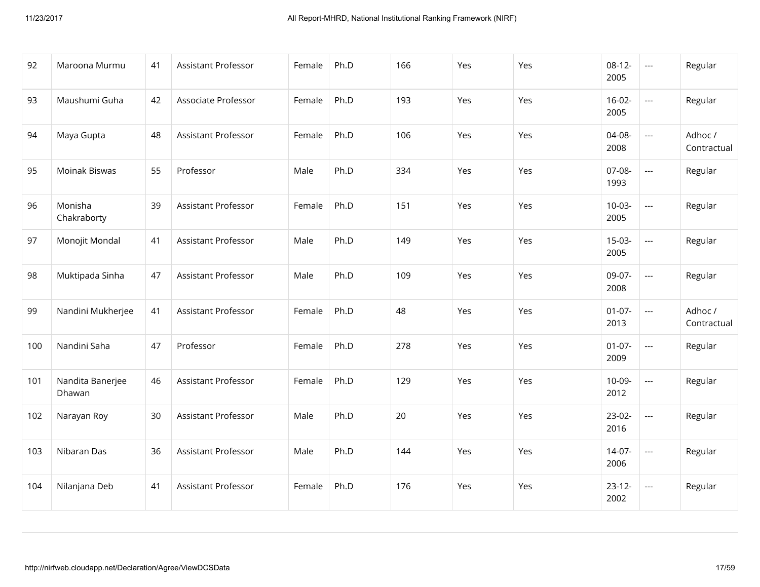| 92  | Maroona Murmu              | 41 | Assistant Professor | Female | Ph.D | 166 | Yes | Yes | $08-12-$<br>2005 | $\sim$ $\sim$            | Regular                |
|-----|----------------------------|----|---------------------|--------|------|-----|-----|-----|------------------|--------------------------|------------------------|
| 93  | Maushumi Guha              | 42 | Associate Professor | Female | Ph.D | 193 | Yes | Yes | $16-02-$<br>2005 | $\hspace{0.05cm} \ldots$ | Regular                |
| 94  | Maya Gupta                 | 48 | Assistant Professor | Female | Ph.D | 106 | Yes | Yes | 04-08-<br>2008   | $\overline{a}$           | Adhoc /<br>Contractual |
| 95  | Moinak Biswas              | 55 | Professor           | Male   | Ph.D | 334 | Yes | Yes | 07-08-<br>1993   | $\overline{a}$           | Regular                |
| 96  | Monisha<br>Chakraborty     | 39 | Assistant Professor | Female | Ph.D | 151 | Yes | Yes | $10-03-$<br>2005 | $\sim$ $\sim$            | Regular                |
| 97  | Monojit Mondal             | 41 | Assistant Professor | Male   | Ph.D | 149 | Yes | Yes | $15-03-$<br>2005 | $\hspace{0.05cm} \ldots$ | Regular                |
| 98  | Muktipada Sinha            | 47 | Assistant Professor | Male   | Ph.D | 109 | Yes | Yes | 09-07-<br>2008   | $\overline{a}$           | Regular                |
| 99  | Nandini Mukherjee          | 41 | Assistant Professor | Female | Ph.D | 48  | Yes | Yes | $01-07-$<br>2013 | $\overline{\phantom{a}}$ | Adhoc /<br>Contractual |
| 100 | Nandini Saha               | 47 | Professor           | Female | Ph.D | 278 | Yes | Yes | $01-07-$<br>2009 | $\overline{\phantom{a}}$ | Regular                |
| 101 | Nandita Banerjee<br>Dhawan | 46 | Assistant Professor | Female | Ph.D | 129 | Yes | Yes | 10-09-<br>2012   | $\hspace{0.05cm} \ldots$ | Regular                |
| 102 | Narayan Roy                | 30 | Assistant Professor | Male   | Ph.D | 20  | Yes | Yes | $23-02-$<br>2016 | $\overline{\phantom{a}}$ | Regular                |
| 103 | Nibaran Das                | 36 | Assistant Professor | Male   | Ph.D | 144 | Yes | Yes | $14-07-$<br>2006 | $\overline{a}$           | Regular                |
| 104 | Nilanjana Deb              | 41 | Assistant Professor | Female | Ph.D | 176 | Yes | Yes | $23-12-$<br>2002 | $---$                    | Regular                |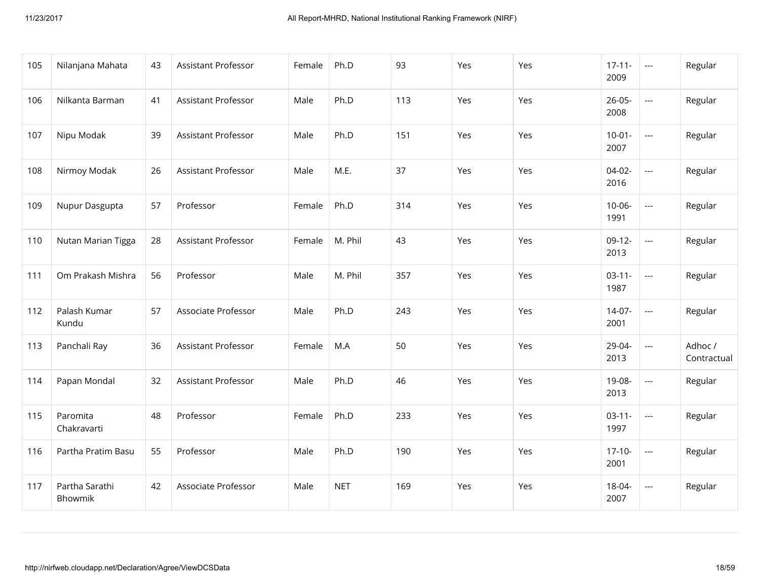| 105 | Nilanjana Mahata          | 43 | Assistant Professor | Female | Ph.D       | 93  | Yes | Yes | $17 - 11 -$<br>2009 | $\scriptstyle\cdots$     | Regular                |
|-----|---------------------------|----|---------------------|--------|------------|-----|-----|-----|---------------------|--------------------------|------------------------|
| 106 | Nilkanta Barman           | 41 | Assistant Professor | Male   | Ph.D       | 113 | Yes | Yes | $26 - 05 -$<br>2008 | $\overline{\phantom{a}}$ | Regular                |
| 107 | Nipu Modak                | 39 | Assistant Professor | Male   | Ph.D       | 151 | Yes | Yes | $10-01-$<br>2007    | $\overline{\phantom{a}}$ | Regular                |
| 108 | Nirmoy Modak              | 26 | Assistant Professor | Male   | M.E.       | 37  | Yes | Yes | $04-02-$<br>2016    | $\overline{\phantom{a}}$ | Regular                |
| 109 | Nupur Dasgupta            | 57 | Professor           | Female | Ph.D       | 314 | Yes | Yes | $10 - 06 -$<br>1991 | $\overline{\phantom{a}}$ | Regular                |
| 110 | Nutan Marian Tigga        | 28 | Assistant Professor | Female | M. Phil    | 43  | Yes | Yes | $09-12-$<br>2013    | $\overline{\phantom{a}}$ | Regular                |
| 111 | Om Prakash Mishra         | 56 | Professor           | Male   | M. Phil    | 357 | Yes | Yes | $03-11-$<br>1987    | ---                      | Regular                |
| 112 | Palash Kumar<br>Kundu     | 57 | Associate Professor | Male   | Ph.D       | 243 | Yes | Yes | $14-07-$<br>2001    | $\overline{\phantom{a}}$ | Regular                |
| 113 | Panchali Ray              | 36 | Assistant Professor | Female | M.A        | 50  | Yes | Yes | 29-04-<br>2013      | $\overline{a}$           | Adhoc /<br>Contractual |
| 114 | Papan Mondal              | 32 | Assistant Professor | Male   | Ph.D       | 46  | Yes | Yes | 19-08-<br>2013      | ---                      | Regular                |
| 115 | Paromita<br>Chakravarti   | 48 | Professor           | Female | Ph.D       | 233 | Yes | Yes | $03 - 11 -$<br>1997 | $\overline{\phantom{a}}$ | Regular                |
| 116 | Partha Pratim Basu        | 55 | Professor           | Male   | Ph.D       | 190 | Yes | Yes | $17-10-$<br>2001    | $\hspace{0.05cm} \ldots$ | Regular                |
| 117 | Partha Sarathi<br>Bhowmik | 42 | Associate Professor | Male   | <b>NET</b> | 169 | Yes | Yes | 18-04-<br>2007      | $\scriptstyle\cdots$     | Regular                |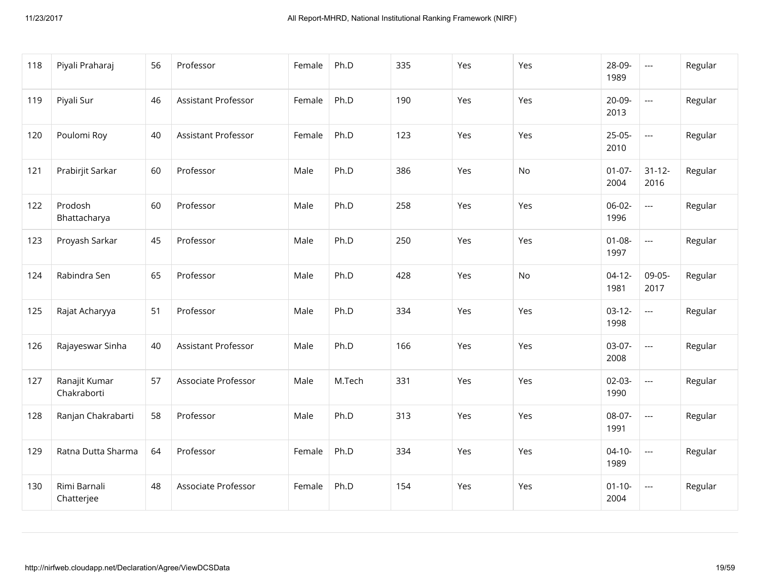| 118 | Piyali Praharaj              | 56 | Professor                  | Female | Ph.D   | 335 | Yes | Yes | 28-09-<br>1989      | $\overline{\phantom{a}}$ | Regular |
|-----|------------------------------|----|----------------------------|--------|--------|-----|-----|-----|---------------------|--------------------------|---------|
| 119 | Piyali Sur                   | 46 | Assistant Professor        | Female | Ph.D   | 190 | Yes | Yes | 20-09-<br>2013      | $\overline{\phantom{a}}$ | Regular |
| 120 | Poulomi Roy                  | 40 | <b>Assistant Professor</b> | Female | Ph.D   | 123 | Yes | Yes | $25-05-$<br>2010    | $\overline{\phantom{a}}$ | Regular |
| 121 | Prabirjit Sarkar             | 60 | Professor                  | Male   | Ph.D   | 386 | Yes | No  | $01-07-$<br>2004    | $31 - 12 -$<br>2016      | Regular |
| 122 | Prodosh<br>Bhattacharya      | 60 | Professor                  | Male   | Ph.D   | 258 | Yes | Yes | $06-02-$<br>1996    | $\ddotsc$                | Regular |
| 123 | Proyash Sarkar               | 45 | Professor                  | Male   | Ph.D   | 250 | Yes | Yes | $01 - 08 -$<br>1997 | $\overline{\phantom{a}}$ | Regular |
| 124 | Rabindra Sen                 | 65 | Professor                  | Male   | Ph.D   | 428 | Yes | No  | $04-12-$<br>1981    | 09-05-<br>2017           | Regular |
| 125 | Rajat Acharyya               | 51 | Professor                  | Male   | Ph.D   | 334 | Yes | Yes | $03-12-$<br>1998    | $\overline{\phantom{a}}$ | Regular |
| 126 | Rajayeswar Sinha             | 40 | Assistant Professor        | Male   | Ph.D   | 166 | Yes | Yes | 03-07-<br>2008      | $\overline{\phantom{a}}$ | Regular |
| 127 | Ranajit Kumar<br>Chakraborti | 57 | Associate Professor        | Male   | M.Tech | 331 | Yes | Yes | $02-03-$<br>1990    | $\overline{\phantom{a}}$ | Regular |
| 128 | Ranjan Chakrabarti           | 58 | Professor                  | Male   | Ph.D   | 313 | Yes | Yes | 08-07-<br>1991      | $\overline{\phantom{a}}$ | Regular |
| 129 | Ratna Dutta Sharma           | 64 | Professor                  | Female | Ph.D   | 334 | Yes | Yes | $04 - 10 -$<br>1989 | $\overline{\phantom{a}}$ | Regular |
| 130 | Rimi Barnali<br>Chatterjee   | 48 | Associate Professor        | Female | Ph.D   | 154 | Yes | Yes | $01 - 10 -$<br>2004 | $\overline{\phantom{a}}$ | Regular |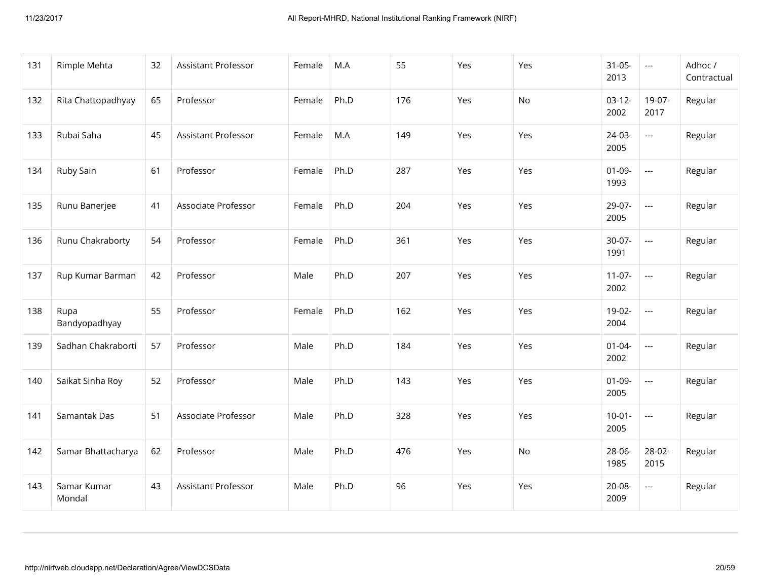| 131 | Rimple Mehta          | 32 | Assistant Professor        | Female | M.A  | 55  | Yes | Yes | $31 - 05 -$<br>2013 | $\scriptstyle \cdots$    | Adhoc /<br>Contractual |
|-----|-----------------------|----|----------------------------|--------|------|-----|-----|-----|---------------------|--------------------------|------------------------|
| 132 | Rita Chattopadhyay    | 65 | Professor                  | Female | Ph.D | 176 | Yes | No  | $03-12-$<br>2002    | 19-07-<br>2017           | Regular                |
| 133 | Rubai Saha            | 45 | <b>Assistant Professor</b> | Female | M.A  | 149 | Yes | Yes | 24-03-<br>2005      | $\overline{\phantom{a}}$ | Regular                |
| 134 | Ruby Sain             | 61 | Professor                  | Female | Ph.D | 287 | Yes | Yes | $01-09-$<br>1993    | $\overline{\phantom{a}}$ | Regular                |
| 135 | Runu Banerjee         | 41 | Associate Professor        | Female | Ph.D | 204 | Yes | Yes | 29-07-<br>2005      | $\overline{a}$           | Regular                |
| 136 | Runu Chakraborty      | 54 | Professor                  | Female | Ph.D | 361 | Yes | Yes | 30-07-<br>1991      | $\overline{\phantom{a}}$ | Regular                |
| 137 | Rup Kumar Barman      | 42 | Professor                  | Male   | Ph.D | 207 | Yes | Yes | $11-07-$<br>2002    | $\overline{\phantom{a}}$ | Regular                |
| 138 | Rupa<br>Bandyopadhyay | 55 | Professor                  | Female | Ph.D | 162 | Yes | Yes | 19-02-<br>2004      | $\overline{\phantom{a}}$ | Regular                |
| 139 | Sadhan Chakraborti    | 57 | Professor                  | Male   | Ph.D | 184 | Yes | Yes | $01 - 04 -$<br>2002 | $\overline{\phantom{a}}$ | Regular                |
| 140 | Saikat Sinha Roy      | 52 | Professor                  | Male   | Ph.D | 143 | Yes | Yes | $01-09-$<br>2005    | $\overline{\phantom{a}}$ | Regular                |
| 141 | Samantak Das          | 51 | Associate Professor        | Male   | Ph.D | 328 | Yes | Yes | $10-01 -$<br>2005   | $\hspace{0.05cm} \ldots$ | Regular                |
| 142 | Samar Bhattacharya    | 62 | Professor                  | Male   | Ph.D | 476 | Yes | No  | 28-06-<br>1985      | 28-02-<br>2015           | Regular                |
| 143 | Samar Kumar<br>Mondal | 43 | Assistant Professor        | Male   | Ph.D | 96  | Yes | Yes | 20-08-<br>2009      | $\overline{\phantom{a}}$ | Regular                |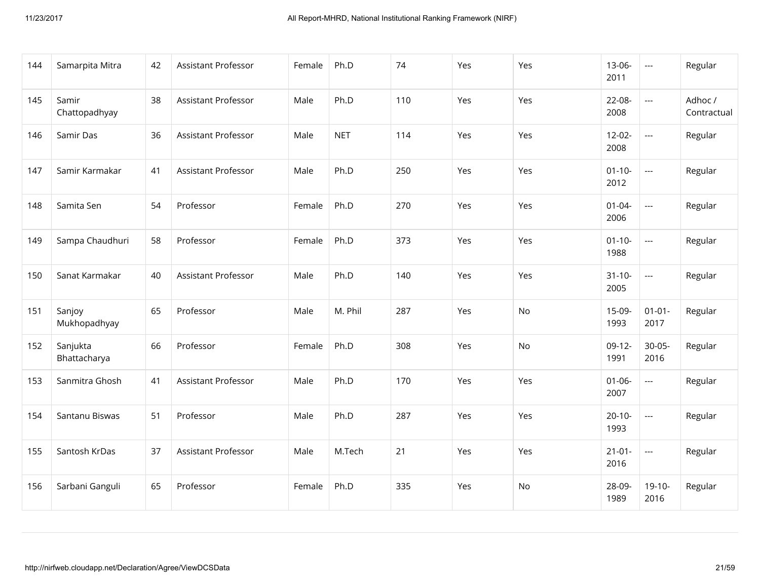| 144 | Samarpita Mitra          | 42 | Assistant Professor        | Female | Ph.D       | 74  | Yes | Yes | $13-06-$<br>2011    | $\scriptstyle\cdots$     | Regular                |
|-----|--------------------------|----|----------------------------|--------|------------|-----|-----|-----|---------------------|--------------------------|------------------------|
| 145 | Samir<br>Chattopadhyay   | 38 | <b>Assistant Professor</b> | Male   | Ph.D       | 110 | Yes | Yes | 22-08-<br>2008      | $\overline{a}$           | Adhoc /<br>Contractual |
| 146 | Samir Das                | 36 | <b>Assistant Professor</b> | Male   | <b>NET</b> | 114 | Yes | Yes | $12 - 02 -$<br>2008 | $\overline{\phantom{a}}$ | Regular                |
| 147 | Samir Karmakar           | 41 | Assistant Professor        | Male   | Ph.D       | 250 | Yes | Yes | $01 - 10 -$<br>2012 | $\overline{\phantom{a}}$ | Regular                |
| 148 | Samita Sen               | 54 | Professor                  | Female | Ph.D       | 270 | Yes | Yes | $01 - 04 -$<br>2006 | $\overline{\phantom{a}}$ | Regular                |
| 149 | Sampa Chaudhuri          | 58 | Professor                  | Female | Ph.D       | 373 | Yes | Yes | $01 - 10 -$<br>1988 | $\overline{\phantom{a}}$ | Regular                |
| 150 | Sanat Karmakar           | 40 | Assistant Professor        | Male   | Ph.D       | 140 | Yes | Yes | $31 - 10 -$<br>2005 | $\overline{\phantom{a}}$ | Regular                |
| 151 | Sanjoy<br>Mukhopadhyay   | 65 | Professor                  | Male   | M. Phil    | 287 | Yes | No  | 15-09-<br>1993      | $01 - 01 -$<br>2017      | Regular                |
| 152 | Sanjukta<br>Bhattacharya | 66 | Professor                  | Female | Ph.D       | 308 | Yes | No  | $09-12-$<br>1991    | $30 - 05 -$<br>2016      | Regular                |
| 153 | Sanmitra Ghosh           | 41 | Assistant Professor        | Male   | Ph.D       | 170 | Yes | Yes | $01 - 06 -$<br>2007 | $\overline{\phantom{a}}$ | Regular                |
| 154 | Santanu Biswas           | 51 | Professor                  | Male   | Ph.D       | 287 | Yes | Yes | $20-10-$<br>1993    | $\overline{\phantom{a}}$ | Regular                |
| 155 | Santosh KrDas            | 37 | Assistant Professor        | Male   | M.Tech     | 21  | Yes | Yes | $21-01-$<br>2016    | $\overline{a}$           | Regular                |
| 156 | Sarbani Ganguli          | 65 | Professor                  | Female | Ph.D       | 335 | Yes | No  | 28-09-<br>1989      | $19-10-$<br>2016         | Regular                |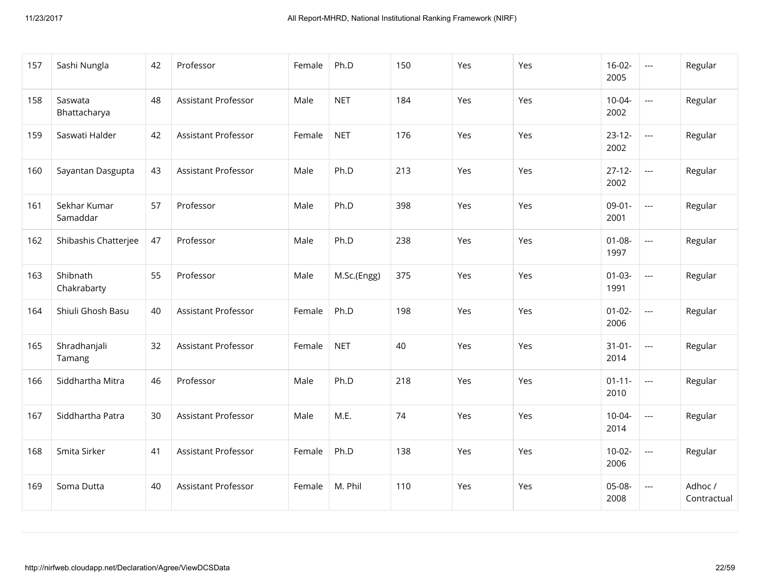| 157 | Sashi Nungla             | 42 | Professor           | Female | Ph.D        | 150 | Yes | Yes | $16-02-$<br>2005    | $\hspace{0.05cm} \ldots \hspace{0.05cm}$ | Regular                |
|-----|--------------------------|----|---------------------|--------|-------------|-----|-----|-----|---------------------|------------------------------------------|------------------------|
| 158 | Saswata<br>Bhattacharya  | 48 | Assistant Professor | Male   | <b>NET</b>  | 184 | Yes | Yes | $10-04-$<br>2002    | $\hspace{0.05cm} \ldots \hspace{0.05cm}$ | Regular                |
| 159 | Saswati Halder           | 42 | Assistant Professor | Female | <b>NET</b>  | 176 | Yes | Yes | $23 - 12 -$<br>2002 | $\overline{\phantom{a}}$                 | Regular                |
| 160 | Sayantan Dasgupta        | 43 | Assistant Professor | Male   | Ph.D        | 213 | Yes | Yes | $27 - 12 -$<br>2002 | $\hspace{0.05cm} \ldots$                 | Regular                |
| 161 | Sekhar Kumar<br>Samaddar | 57 | Professor           | Male   | Ph.D        | 398 | Yes | Yes | $09-01-$<br>2001    | $\hspace{0.05cm} \ldots$                 | Regular                |
| 162 | Shibashis Chatterjee     | 47 | Professor           | Male   | Ph.D        | 238 | Yes | Yes | $01 - 08 -$<br>1997 | $\overline{\phantom{a}}$                 | Regular                |
| 163 | Shibnath<br>Chakrabarty  | 55 | Professor           | Male   | M.Sc.(Engg) | 375 | Yes | Yes | $01 - 03 -$<br>1991 | $\hspace{0.05cm} \ldots$                 | Regular                |
| 164 | Shiuli Ghosh Basu        | 40 | Assistant Professor | Female | Ph.D        | 198 | Yes | Yes | $01 - 02 -$<br>2006 | $\hspace{0.05cm} \ldots \hspace{0.05cm}$ | Regular                |
| 165 | Shradhanjali<br>Tamang   | 32 | Assistant Professor | Female | <b>NET</b>  | 40  | Yes | Yes | $31 - 01 -$<br>2014 | $\hspace{0.05cm} \ldots \hspace{0.05cm}$ | Regular                |
| 166 | Siddhartha Mitra         | 46 | Professor           | Male   | Ph.D        | 218 | Yes | Yes | $01 - 11 -$<br>2010 | $\hspace{0.05cm} \ldots$                 | Regular                |
| 167 | Siddhartha Patra         | 30 | Assistant Professor | Male   | M.E.        | 74  | Yes | Yes | $10 - 04 -$<br>2014 | $\hspace{0.05cm} \ldots$                 | Regular                |
| 168 | Smita Sirker             | 41 | Assistant Professor | Female | Ph.D        | 138 | Yes | Yes | $10-02-$<br>2006    | $\hspace{0.05cm} \ldots$                 | Regular                |
| 169 | Soma Dutta               | 40 | Assistant Professor | Female | M. Phil     | 110 | Yes | Yes | 05-08-<br>2008      | $\hspace{0.05cm} \ldots$                 | Adhoc /<br>Contractual |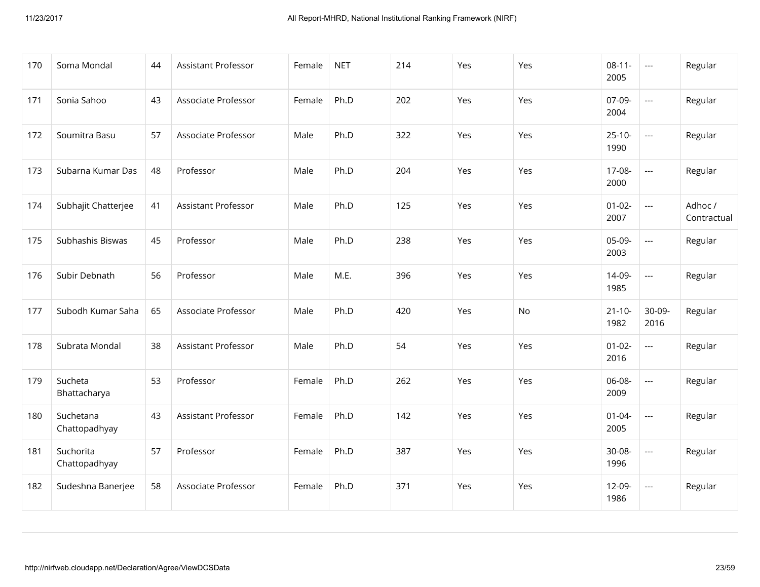| 170 | Soma Mondal                | 44 | Assistant Professor        | Female | <b>NET</b> | 214 | Yes        | Yes | $08-11-$<br>2005    | $\scriptstyle\cdots$     | Regular                |
|-----|----------------------------|----|----------------------------|--------|------------|-----|------------|-----|---------------------|--------------------------|------------------------|
| 171 | Sonia Sahoo                | 43 | Associate Professor        | Female | Ph.D       | 202 | Yes        | Yes | 07-09-<br>2004      | $---$                    | Regular                |
| 172 | Soumitra Basu              | 57 | Associate Professor        | Male   | Ph.D       | 322 | Yes        | Yes | $25-10-$<br>1990    | $\hspace{0.05cm} \ldots$ | Regular                |
| 173 | Subarna Kumar Das          | 48 | Professor                  | Male   | Ph.D       | 204 | <b>Yes</b> | Yes | 17-08-<br>2000      | $---$                    | Regular                |
| 174 | Subhajit Chatterjee        | 41 | <b>Assistant Professor</b> | Male   | Ph.D       | 125 | Yes        | Yes | $01 - 02 -$<br>2007 | $\overline{\phantom{a}}$ | Adhoc /<br>Contractual |
| 175 | Subhashis Biswas           | 45 | Professor                  | Male   | Ph.D       | 238 | Yes        | Yes | 05-09-<br>2003      | $---$                    | Regular                |
| 176 | Subir Debnath              | 56 | Professor                  | Male   | M.E.       | 396 | Yes        | Yes | 14-09-<br>1985      | $\overline{\phantom{a}}$ | Regular                |
| 177 | Subodh Kumar Saha          | 65 | Associate Professor        | Male   | Ph.D       | 420 | Yes        | No  | $21 - 10 -$<br>1982 | 30-09-<br>2016           | Regular                |
| 178 | Subrata Mondal             | 38 | <b>Assistant Professor</b> | Male   | Ph.D       | 54  | Yes        | Yes | $01-02-$<br>2016    | $\overline{\phantom{a}}$ | Regular                |
| 179 | Sucheta<br>Bhattacharya    | 53 | Professor                  | Female | Ph.D       | 262 | Yes        | Yes | 06-08-<br>2009      | $---$                    | Regular                |
| 180 | Suchetana<br>Chattopadhyay | 43 | Assistant Professor        | Female | Ph.D       | 142 | Yes        | Yes | $01 - 04 -$<br>2005 | $\overline{\phantom{a}}$ | Regular                |
| 181 | Suchorita<br>Chattopadhyay | 57 | Professor                  | Female | Ph.D       | 387 | Yes        | Yes | 30-08-<br>1996      | $---$                    | Regular                |
| 182 | Sudeshna Banerjee          | 58 | Associate Professor        | Female | Ph.D       | 371 | Yes        | Yes | 12-09-<br>1986      | $\overline{\phantom{a}}$ | Regular                |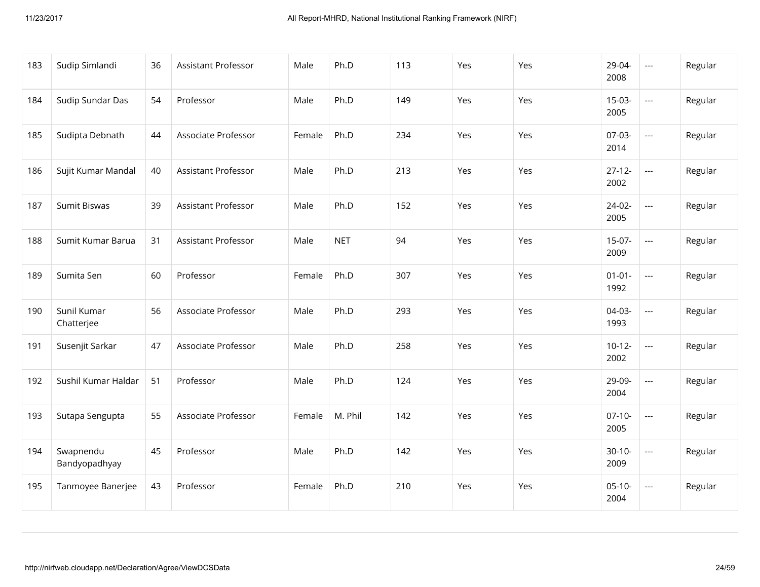| 183 | Sudip Simlandi             | 36 | Assistant Professor        | Male   | Ph.D       | 113 | Yes | Yes | 29-04-<br>2008      | $\scriptstyle\cdots$     | Regular |
|-----|----------------------------|----|----------------------------|--------|------------|-----|-----|-----|---------------------|--------------------------|---------|
| 184 | Sudip Sundar Das           | 54 | Professor                  | Male   | Ph.D       | 149 | Yes | Yes | $15-03-$<br>2005    | $\overline{\phantom{a}}$ | Regular |
| 185 | Sudipta Debnath            | 44 | Associate Professor        | Female | Ph.D       | 234 | Yes | Yes | $07-03-$<br>2014    | $\overline{\phantom{a}}$ | Regular |
| 186 | Sujit Kumar Mandal         | 40 | <b>Assistant Professor</b> | Male   | Ph.D       | 213 | Yes | Yes | $27 - 12 -$<br>2002 | $\overline{\phantom{a}}$ | Regular |
| 187 | Sumit Biswas               | 39 | Assistant Professor        | Male   | Ph.D       | 152 | Yes | Yes | $24-02-$<br>2005    | $\overline{\phantom{a}}$ | Regular |
| 188 | Sumit Kumar Barua          | 31 | Assistant Professor        | Male   | <b>NET</b> | 94  | Yes | Yes | $15-07-$<br>2009    | $\overline{a}$           | Regular |
| 189 | Sumita Sen                 | 60 | Professor                  | Female | Ph.D       | 307 | Yes | Yes | $01 - 01 -$<br>1992 | $\overline{\phantom{a}}$ | Regular |
| 190 | Sunil Kumar<br>Chatterjee  | 56 | Associate Professor        | Male   | Ph.D       | 293 | Yes | Yes | $04-03-$<br>1993    | $\overline{a}$           | Regular |
| 191 | Susenjit Sarkar            | 47 | Associate Professor        | Male   | Ph.D       | 258 | Yes | Yes | $10-12-$<br>2002    | ---                      | Regular |
| 192 | Sushil Kumar Haldar        | 51 | Professor                  | Male   | Ph.D       | 124 | Yes | Yes | 29-09-<br>2004      | $\overline{\phantom{a}}$ | Regular |
| 193 | Sutapa Sengupta            | 55 | Associate Professor        | Female | M. Phil    | 142 | Yes | Yes | $07-10-$<br>2005    | $\overline{\phantom{a}}$ | Regular |
| 194 | Swapnendu<br>Bandyopadhyay | 45 | Professor                  | Male   | Ph.D       | 142 | Yes | Yes | $30-10-$<br>2009    | $\overline{\phantom{a}}$ | Regular |
| 195 | Tanmoyee Banerjee          | 43 | Professor                  | Female | Ph.D       | 210 | Yes | Yes | $05-10-$<br>2004    | $\overline{\phantom{a}}$ | Regular |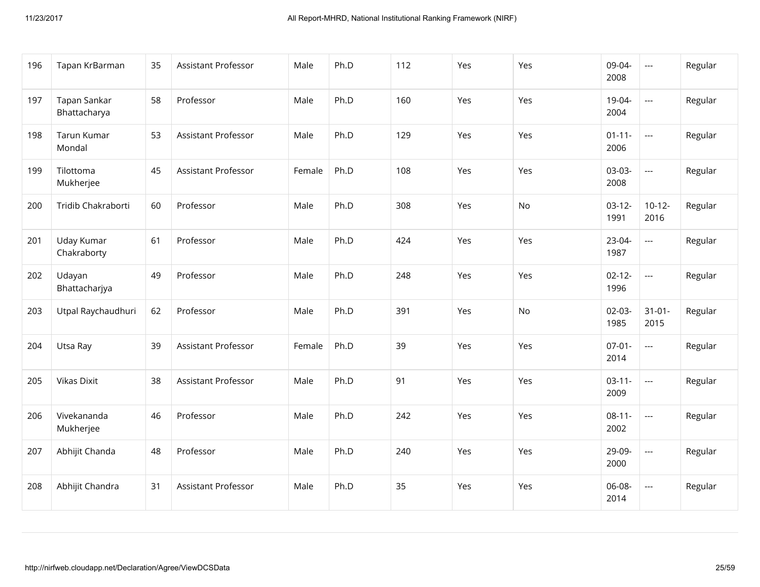| 196 | Tapan KrBarman               | 35 | Assistant Professor        | Male   | Ph.D | 112 | Yes | Yes       | 09-04-<br>2008      | $\overline{\phantom{a}}$ | Regular |
|-----|------------------------------|----|----------------------------|--------|------|-----|-----|-----------|---------------------|--------------------------|---------|
| 197 | Tapan Sankar<br>Bhattacharya | 58 | Professor                  | Male   | Ph.D | 160 | Yes | Yes       | 19-04-<br>2004      | $\overline{a}$           | Regular |
| 198 | Tarun Kumar<br>Mondal        | 53 | <b>Assistant Professor</b> | Male   | Ph.D | 129 | Yes | Yes       | $01 - 11 -$<br>2006 | $\overline{\phantom{a}}$ | Regular |
| 199 | Tilottoma<br>Mukherjee       | 45 | <b>Assistant Professor</b> | Female | Ph.D | 108 | Yes | Yes       | 03-03-<br>2008      | $\overline{\phantom{a}}$ | Regular |
| 200 | Tridib Chakraborti           | 60 | Professor                  | Male   | Ph.D | 308 | Yes | No        | $03-12-$<br>1991    | $10-12-$<br>2016         | Regular |
| 201 | Uday Kumar<br>Chakraborty    | 61 | Professor                  | Male   | Ph.D | 424 | Yes | Yes       | 23-04-<br>1987      | $\overline{\phantom{a}}$ | Regular |
| 202 | Udayan<br>Bhattacharjya      | 49 | Professor                  | Male   | Ph.D | 248 | Yes | Yes       | $02 - 12 -$<br>1996 | $\overline{\phantom{a}}$ | Regular |
| 203 | Utpal Raychaudhuri           | 62 | Professor                  | Male   | Ph.D | 391 | Yes | <b>No</b> | $02-03-$<br>1985    | $31 - 01 -$<br>2015      | Regular |
| 204 | Utsa Ray                     | 39 | <b>Assistant Professor</b> | Female | Ph.D | 39  | Yes | Yes       | $07 - 01 -$<br>2014 | $\overline{a}$           | Regular |
| 205 | <b>Vikas Dixit</b>           | 38 | Assistant Professor        | Male   | Ph.D | 91  | Yes | Yes       | $03-11-$<br>2009    | $\overline{\phantom{a}}$ | Regular |
| 206 | Vivekananda<br>Mukherjee     | 46 | Professor                  | Male   | Ph.D | 242 | Yes | Yes       | $08-11-$<br>2002    | $\mathbb{Z}_{\geq 0}$    | Regular |
| 207 | Abhijit Chanda               | 48 | Professor                  | Male   | Ph.D | 240 | Yes | Yes       | 29-09-<br>2000      | $\overline{\phantom{a}}$ | Regular |
| 208 | Abhijit Chandra              | 31 | Assistant Professor        | Male   | Ph.D | 35  | Yes | Yes       | 06-08-<br>2014      | $\overline{\phantom{a}}$ | Regular |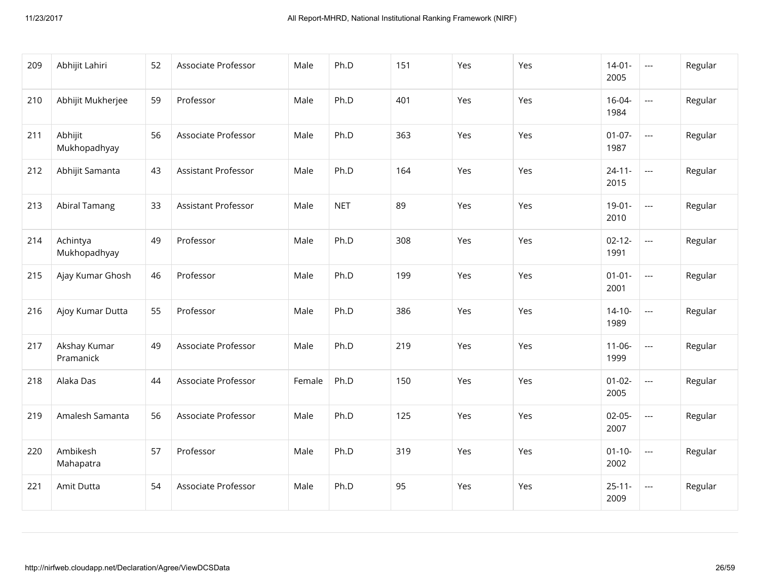| 209 | Abhijit Lahiri            | 52 | Associate Professor        | Male   | Ph.D       | 151 | Yes | Yes | $14-01-$<br>2005    | $\overline{\phantom{a}}$ | Regular |
|-----|---------------------------|----|----------------------------|--------|------------|-----|-----|-----|---------------------|--------------------------|---------|
| 210 | Abhijit Mukherjee         | 59 | Professor                  | Male   | Ph.D       | 401 | Yes | Yes | $16 - 04 -$<br>1984 | $\overline{a}$           | Regular |
| 211 | Abhijit<br>Mukhopadhyay   | 56 | Associate Professor        | Male   | Ph.D       | 363 | Yes | Yes | $01 - 07 -$<br>1987 | $\overline{\phantom{a}}$ | Regular |
| 212 | Abhijit Samanta           | 43 | <b>Assistant Professor</b> | Male   | Ph.D       | 164 | Yes | Yes | $24 - 11 -$<br>2015 | $\overline{a}$           | Regular |
| 213 | <b>Abiral Tamang</b>      | 33 | <b>Assistant Professor</b> | Male   | <b>NET</b> | 89  | Yes | Yes | $19-01-$<br>2010    | $\overline{a}$           | Regular |
| 214 | Achintya<br>Mukhopadhyay  | 49 | Professor                  | Male   | Ph.D       | 308 | Yes | Yes | $02 - 12 -$<br>1991 | $\overline{a}$           | Regular |
| 215 | Ajay Kumar Ghosh          | 46 | Professor                  | Male   | Ph.D       | 199 | Yes | Yes | $01 - 01 -$<br>2001 | $\overline{\phantom{a}}$ | Regular |
| 216 | Ajoy Kumar Dutta          | 55 | Professor                  | Male   | Ph.D       | 386 | Yes | Yes | $14 - 10 -$<br>1989 | $\overline{a}$           | Regular |
| 217 | Akshay Kumar<br>Pramanick | 49 | Associate Professor        | Male   | Ph.D       | 219 | Yes | Yes | $11 - 06 -$<br>1999 | $\overline{\phantom{a}}$ | Regular |
| 218 | Alaka Das                 | 44 | Associate Professor        | Female | Ph.D       | 150 | Yes | Yes | $01 - 02 -$<br>2005 | $\overline{a}$           | Regular |
| 219 | Amalesh Samanta           | 56 | Associate Professor        | Male   | Ph.D       | 125 | Yes | Yes | $02-05-$<br>2007    | $\overline{\phantom{a}}$ | Regular |
| 220 | Ambikesh<br>Mahapatra     | 57 | Professor                  | Male   | Ph.D       | 319 | Yes | Yes | $01 - 10 -$<br>2002 | $\overline{\phantom{a}}$ | Regular |
| 221 | Amit Dutta                | 54 | Associate Professor        | Male   | Ph.D       | 95  | Yes | Yes | $25 - 11 -$<br>2009 | $\hspace{0.05cm} \ldots$ | Regular |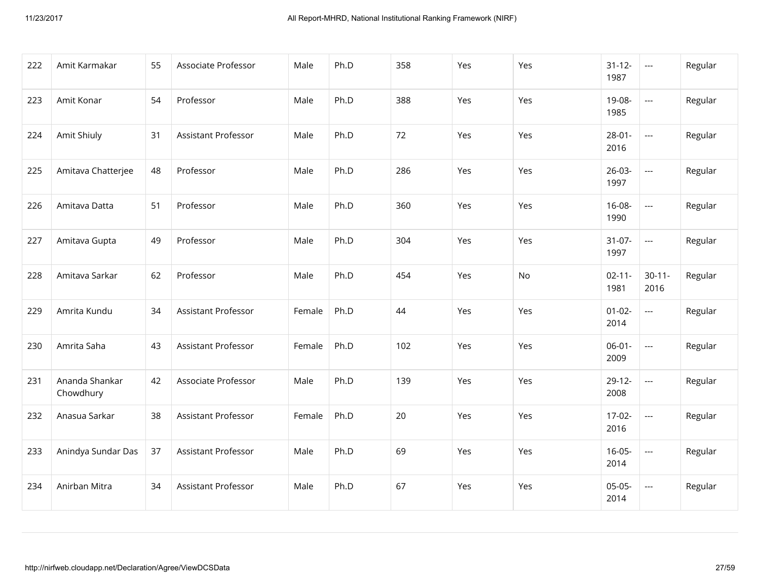| 222 | Amit Karmakar               | 55 | Associate Professor        | Male   | Ph.D | 358 | Yes | Yes | $31 - 12 -$<br>1987 | $\scriptstyle\cdots$     | Regular |
|-----|-----------------------------|----|----------------------------|--------|------|-----|-----|-----|---------------------|--------------------------|---------|
| 223 | Amit Konar                  | 54 | Professor                  | Male   | Ph.D | 388 | Yes | Yes | 19-08-<br>1985      | $\overline{\phantom{a}}$ | Regular |
| 224 | Amit Shiuly                 | 31 | <b>Assistant Professor</b> | Male   | Ph.D | 72  | Yes | Yes | $28 - 01 -$<br>2016 | $\overline{\phantom{a}}$ | Regular |
| 225 | Amitava Chatterjee          | 48 | Professor                  | Male   | Ph.D | 286 | Yes | Yes | $26-03-$<br>1997    | $\hspace{0.05cm} \ldots$ | Regular |
| 226 | Amitava Datta               | 51 | Professor                  | Male   | Ph.D | 360 | Yes | Yes | $16-08-$<br>1990    | $\overline{\phantom{a}}$ | Regular |
| 227 | Amitava Gupta               | 49 | Professor                  | Male   | Ph.D | 304 | Yes | Yes | $31-07-$<br>1997    | $\hspace{0.05cm} \ldots$ | Regular |
| 228 | Amitava Sarkar              | 62 | Professor                  | Male   | Ph.D | 454 | Yes | No  | $02 - 11 -$<br>1981 | $30 - 11 -$<br>2016      | Regular |
| 229 | Amrita Kundu                | 34 | Assistant Professor        | Female | Ph.D | 44  | Yes | Yes | $01 - 02 -$<br>2014 | $\overline{\phantom{a}}$ | Regular |
| 230 | Amrita Saha                 | 43 | Assistant Professor        | Female | Ph.D | 102 | Yes | Yes | $06-01-$<br>2009    | $\hspace{0.05cm} \ldots$ | Regular |
| 231 | Ananda Shankar<br>Chowdhury | 42 | Associate Professor        | Male   | Ph.D | 139 | Yes | Yes | $29-12-$<br>2008    | $\hspace{0.05cm} \ldots$ | Regular |
| 232 | Anasua Sarkar               | 38 | Assistant Professor        | Female | Ph.D | 20  | Yes | Yes | $17-02-$<br>2016    | $\hspace{0.05cm} \ldots$ | Regular |
| 233 | Anindya Sundar Das          | 37 | Assistant Professor        | Male   | Ph.D | 69  | Yes | Yes | $16 - 05 -$<br>2014 | $\overline{a}$           | Regular |
| 234 | Anirban Mitra               | 34 | Assistant Professor        | Male   | Ph.D | 67  | Yes | Yes | $05-05-$<br>2014    | $\hspace{0.05cm} \ldots$ | Regular |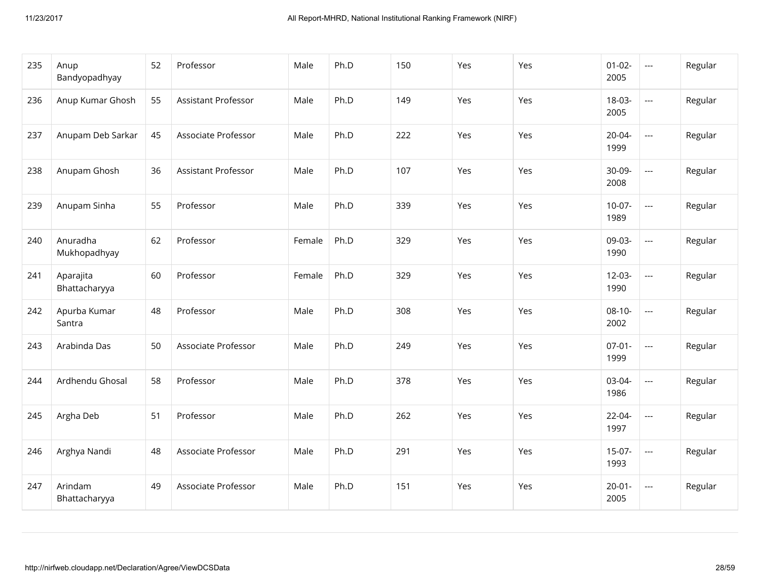| 235 | Anup<br>Bandyopadhyay      | 52 | Professor                  | Male   | Ph.D | 150 | Yes | Yes | $01 - 02 -$<br>2005 | $\hspace{0.05cm} \ldots$                 | Regular |
|-----|----------------------------|----|----------------------------|--------|------|-----|-----|-----|---------------------|------------------------------------------|---------|
| 236 | Anup Kumar Ghosh           | 55 | Assistant Professor        | Male   | Ph.D | 149 | Yes | Yes | 18-03-<br>2005      | $\overline{a}$                           | Regular |
| 237 | Anupam Deb Sarkar          | 45 | Associate Professor        | Male   | Ph.D | 222 | Yes | Yes | $20 - 04 -$<br>1999 | $\overline{\phantom{a}}$                 | Regular |
| 238 | Anupam Ghosh               | 36 | <b>Assistant Professor</b> | Male   | Ph.D | 107 | Yes | Yes | 30-09-<br>2008      | $\overline{a}$                           | Regular |
| 239 | Anupam Sinha               | 55 | Professor                  | Male   | Ph.D | 339 | Yes | Yes | $10-07-$<br>1989    | $\overline{\phantom{a}}$                 | Regular |
| 240 | Anuradha<br>Mukhopadhyay   | 62 | Professor                  | Female | Ph.D | 329 | Yes | Yes | 09-03-<br>1990      | $\overline{a}$                           | Regular |
| 241 | Aparajita<br>Bhattacharyya | 60 | Professor                  | Female | Ph.D | 329 | Yes | Yes | $12-03-$<br>1990    | $\overline{\phantom{a}}$                 | Regular |
| 242 | Apurba Kumar<br>Santra     | 48 | Professor                  | Male   | Ph.D | 308 | Yes | Yes | $08-10-$<br>2002    | $\overline{a}$                           | Regular |
| 243 | Arabinda Das               | 50 | Associate Professor        | Male   | Ph.D | 249 | Yes | Yes | $07 - 01 -$<br>1999 | $\hspace{0.05cm} \ldots \hspace{0.05cm}$ | Regular |
| 244 | Ardhendu Ghosal            | 58 | Professor                  | Male   | Ph.D | 378 | Yes | Yes | 03-04-<br>1986      | $\hspace{0.05cm} \ldots$                 | Regular |
| 245 | Argha Deb                  | 51 | Professor                  | Male   | Ph.D | 262 | Yes | Yes | 22-04-<br>1997      | $\overline{\phantom{a}}$                 | Regular |
| 246 | Arghya Nandi               | 48 | Associate Professor        | Male   | Ph.D | 291 | Yes | Yes | $15-07-$<br>1993    | $\overline{a}$                           | Regular |
| 247 | Arindam<br>Bhattacharyya   | 49 | Associate Professor        | Male   | Ph.D | 151 | Yes | Yes | $20 - 01 -$<br>2005 | $\overline{\phantom{a}}$                 | Regular |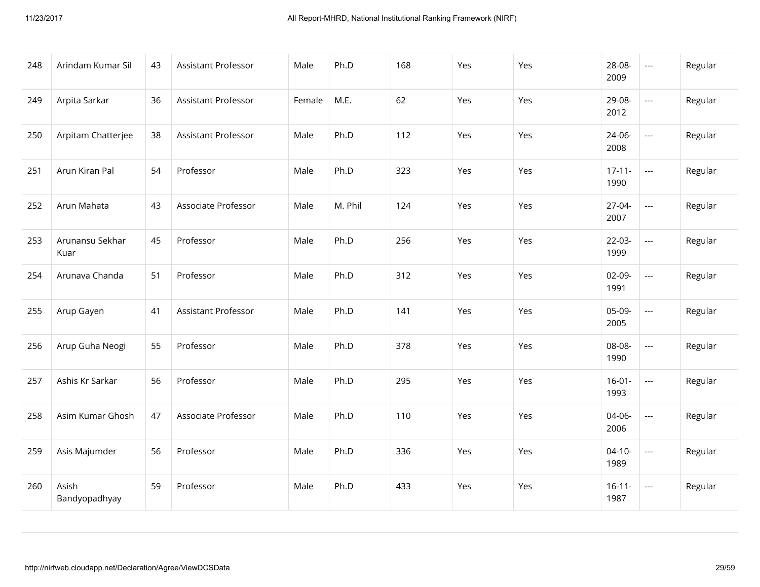| 248 | Arindam Kumar Sil       | 43 | Assistant Professor | Male   | Ph.D    | 168 | Yes | Yes | 28-08-<br>2009      | $\scriptstyle\cdots$     | Regular |
|-----|-------------------------|----|---------------------|--------|---------|-----|-----|-----|---------------------|--------------------------|---------|
| 249 | Arpita Sarkar           | 36 | Assistant Professor | Female | M.E.    | 62  | Yes | Yes | 29-08-<br>2012      | $\overline{\phantom{a}}$ | Regular |
| 250 | Arpitam Chatterjee      | 38 | Assistant Professor | Male   | Ph.D    | 112 | Yes | Yes | 24-06-<br>2008      | $\overline{\phantom{a}}$ | Regular |
| 251 | Arun Kiran Pal          | 54 | Professor           | Male   | Ph.D    | 323 | Yes | Yes | $17 - 11 -$<br>1990 | $\overline{\phantom{a}}$ | Regular |
| 252 | Arun Mahata             | 43 | Associate Professor | Male   | M. Phil | 124 | Yes | Yes | 27-04-<br>2007      | $\scriptstyle\cdots$     | Regular |
| 253 | Arunansu Sekhar<br>Kuar | 45 | Professor           | Male   | Ph.D    | 256 | Yes | Yes | $22-03-$<br>1999    | $\overline{\phantom{a}}$ | Regular |
| 254 | Arunava Chanda          | 51 | Professor           | Male   | Ph.D    | 312 | Yes | Yes | $02-09-$<br>1991    | $\scriptstyle\cdots$     | Regular |
| 255 | Arup Gayen              | 41 | Assistant Professor | Male   | Ph.D    | 141 | Yes | Yes | 05-09-<br>2005      | $\overline{\phantom{a}}$ | Regular |
| 256 | Arup Guha Neogi         | 55 | Professor           | Male   | Ph.D    | 378 | Yes | Yes | 08-08-<br>1990      | $\overline{\phantom{a}}$ | Regular |
| 257 | Ashis Kr Sarkar         | 56 | Professor           | Male   | Ph.D    | 295 | Yes | Yes | $16 - 01 -$<br>1993 | $\scriptstyle\cdots$     | Regular |
| 258 | Asim Kumar Ghosh        | 47 | Associate Professor | Male   | Ph.D    | 110 | Yes | Yes | 04-06-<br>2006      | $\overline{\phantom{a}}$ | Regular |
| 259 | Asis Majumder           | 56 | Professor           | Male   | Ph.D    | 336 | Yes | Yes | $04 - 10 -$<br>1989 | $\scriptstyle\cdots$     | Regular |
| 260 | Asish<br>Bandyopadhyay  | 59 | Professor           | Male   | Ph.D    | 433 | Yes | Yes | $16 - 11 -$<br>1987 | $\scriptstyle\cdots$     | Regular |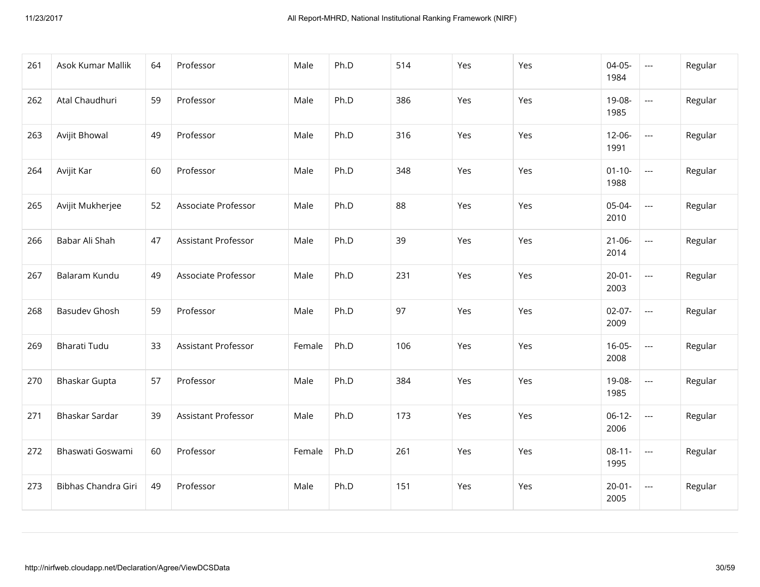| 261 | Asok Kumar Mallik    | 64 | Professor           | Male   | Ph.D | 514 | Yes | Yes | 04-05-<br>1984      | $\hspace{0.05cm} \ldots$ | Regular |
|-----|----------------------|----|---------------------|--------|------|-----|-----|-----|---------------------|--------------------------|---------|
| 262 | Atal Chaudhuri       | 59 | Professor           | Male   | Ph.D | 386 | Yes | Yes | 19-08-<br>1985      | $\hspace{0.05cm} \ldots$ | Regular |
| 263 | Avijit Bhowal        | 49 | Professor           | Male   | Ph.D | 316 | Yes | Yes | 12-06-<br>1991      | $\overline{\phantom{a}}$ | Regular |
| 264 | Avijit Kar           | 60 | Professor           | Male   | Ph.D | 348 | Yes | Yes | $01 - 10 -$<br>1988 | $\hspace{0.05cm} \ldots$ | Regular |
| 265 | Avijit Mukherjee     | 52 | Associate Professor | Male   | Ph.D | 88  | Yes | Yes | 05-04-<br>2010      | $\overline{\phantom{a}}$ | Regular |
| 266 | Babar Ali Shah       | 47 | Assistant Professor | Male   | Ph.D | 39  | Yes | Yes | $21 - 06 -$<br>2014 | $\hspace{0.05cm} \ldots$ | Regular |
| 267 | Balaram Kundu        | 49 | Associate Professor | Male   | Ph.D | 231 | Yes | Yes | $20 - 01 -$<br>2003 | $\overline{\phantom{a}}$ | Regular |
| 268 | <b>Basudev Ghosh</b> | 59 | Professor           | Male   | Ph.D | 97  | Yes | Yes | $02-07-$<br>2009    | $\overline{\phantom{a}}$ | Regular |
| 269 | Bharati Tudu         | 33 | Assistant Professor | Female | Ph.D | 106 | Yes | Yes | $16-05-$<br>2008    | $\hspace{0.05cm} \ldots$ | Regular |
| 270 | Bhaskar Gupta        | 57 | Professor           | Male   | Ph.D | 384 | Yes | Yes | 19-08-<br>1985      | $\hspace{0.05cm} \ldots$ | Regular |
| 271 | Bhaskar Sardar       | 39 | Assistant Professor | Male   | Ph.D | 173 | Yes | Yes | $06-12-$<br>2006    | $\hspace{0.05cm} \ldots$ | Regular |
| 272 | Bhaswati Goswami     | 60 | Professor           | Female | Ph.D | 261 | Yes | Yes | $08-11-$<br>1995    | $\hspace{0.05cm} \ldots$ | Regular |
| 273 | Bibhas Chandra Giri  | 49 | Professor           | Male   | Ph.D | 151 | Yes | Yes | $20 - 01 -$<br>2005 | $\hspace{0.05cm} \ldots$ | Regular |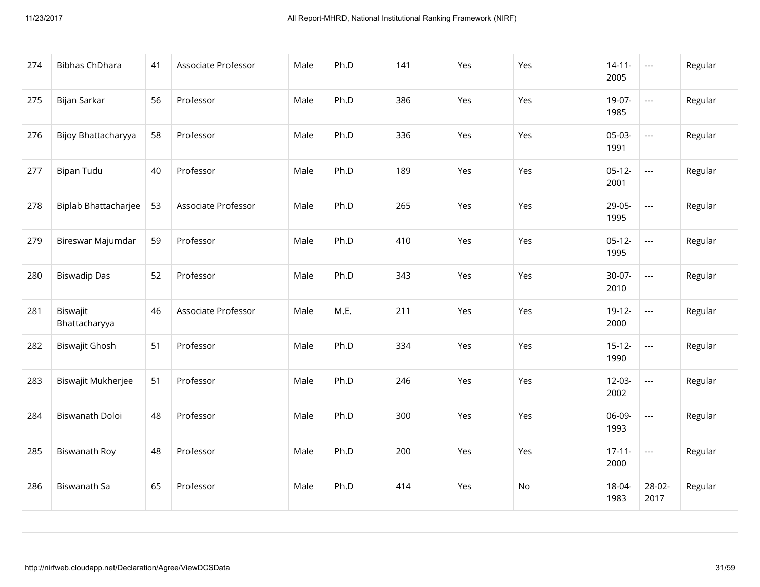| 274 | <b>Bibhas ChDhara</b>     | 41 | Associate Professor | Male | Ph.D | 141 | Yes | Yes | $14 - 11 -$<br>2005 | $\scriptstyle\cdots$                     | Regular |
|-----|---------------------------|----|---------------------|------|------|-----|-----|-----|---------------------|------------------------------------------|---------|
| 275 | Bijan Sarkar              | 56 | Professor           | Male | Ph.D | 386 | Yes | Yes | 19-07-<br>1985      | $\hspace{0.05cm} \ldots \hspace{0.05cm}$ | Regular |
| 276 | Bijoy Bhattacharyya       | 58 | Professor           | Male | Ph.D | 336 | Yes | Yes | 05-03-<br>1991      | $\overline{\phantom{a}}$                 | Regular |
| 277 | <b>Bipan Tudu</b>         | 40 | Professor           | Male | Ph.D | 189 | Yes | Yes | $05-12-$<br>2001    | $\hspace{0.05cm} \ldots$                 | Regular |
| 278 | Biplab Bhattacharjee      | 53 | Associate Professor | Male | Ph.D | 265 | Yes | Yes | 29-05-<br>1995      | $\overline{\phantom{a}}$                 | Regular |
| 279 | Bireswar Majumdar         | 59 | Professor           | Male | Ph.D | 410 | Yes | Yes | $05-12-$<br>1995    | $\overline{\phantom{a}}$                 | Regular |
| 280 | <b>Biswadip Das</b>       | 52 | Professor           | Male | Ph.D | 343 | Yes | Yes | $30-07-$<br>2010    | $\hspace{0.05cm} \ldots \hspace{0.05cm}$ | Regular |
| 281 | Biswajit<br>Bhattacharyya | 46 | Associate Professor | Male | M.E. | 211 | Yes | Yes | $19-12-$<br>2000    | $\overline{\phantom{a}}$                 | Regular |
| 282 | Biswajit Ghosh            | 51 | Professor           | Male | Ph.D | 334 | Yes | Yes | $15 - 12 -$<br>1990 | $\hspace{0.05cm} \ldots$                 | Regular |
| 283 | Biswajit Mukherjee        | 51 | Professor           | Male | Ph.D | 246 | Yes | Yes | $12-03-$<br>2002    | $\hspace{0.05cm} \ldots \hspace{0.05cm}$ | Regular |
| 284 | Biswanath Doloi           | 48 | Professor           | Male | Ph.D | 300 | Yes | Yes | 06-09-<br>1993      | $\hspace{0.05cm} \ldots$                 | Regular |
| 285 | Biswanath Roy             | 48 | Professor           | Male | Ph.D | 200 | Yes | Yes | $17 - 11 -$<br>2000 | $\overline{a}$                           | Regular |
| 286 | Biswanath Sa              | 65 | Professor           | Male | Ph.D | 414 | Yes | No  | 18-04-<br>1983      | 28-02-<br>2017                           | Regular |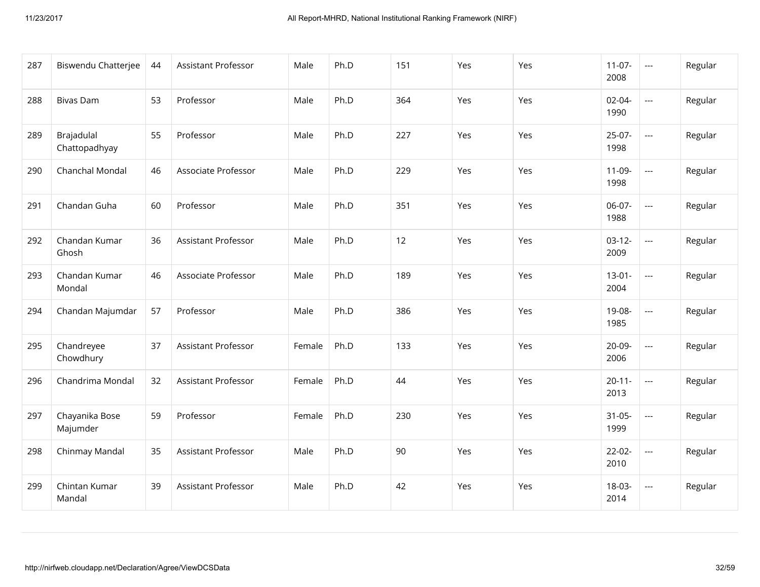| 287 | Biswendu Chatterjee         | 44 | Assistant Professor        | Male   | Ph.D | 151 | Yes | Yes | $11-07-$<br>2008    | $\scriptstyle \cdots$    | Regular |
|-----|-----------------------------|----|----------------------------|--------|------|-----|-----|-----|---------------------|--------------------------|---------|
| 288 | <b>Bivas Dam</b>            | 53 | Professor                  | Male   | Ph.D | 364 | Yes | Yes | $02 - 04 -$<br>1990 | $\overline{a}$           | Regular |
| 289 | Brajadulal<br>Chattopadhyay | 55 | Professor                  | Male   | Ph.D | 227 | Yes | Yes | $25-07-$<br>1998    | $\hspace{0.05cm} \ldots$ | Regular |
| 290 | Chanchal Mondal             | 46 | Associate Professor        | Male   | Ph.D | 229 | Yes | Yes | $11-09-$<br>1998    | $\overline{a}$           | Regular |
| 291 | Chandan Guha                | 60 | Professor                  | Male   | Ph.D | 351 | Yes | Yes | 06-07-<br>1988      | $\overline{a}$           | Regular |
| 292 | Chandan Kumar<br>Ghosh      | 36 | Assistant Professor        | Male   | Ph.D | 12  | Yes | Yes | $03-12-$<br>2009    | $\overline{a}$           | Regular |
| 293 | Chandan Kumar<br>Mondal     | 46 | Associate Professor        | Male   | Ph.D | 189 | Yes | Yes | $13-01-$<br>2004    | $\overline{\phantom{a}}$ | Regular |
| 294 | Chandan Majumdar            | 57 | Professor                  | Male   | Ph.D | 386 | Yes | Yes | 19-08-<br>1985      | $\overline{a}$           | Regular |
| 295 | Chandreyee<br>Chowdhury     | 37 | Assistant Professor        | Female | Ph.D | 133 | Yes | Yes | 20-09-<br>2006      | $\overline{\phantom{a}}$ | Regular |
| 296 | Chandrima Mondal            | 32 | Assistant Professor        | Female | Ph.D | 44  | Yes | Yes | $20 - 11 -$<br>2013 | $\hspace{0.05cm} \ldots$ | Regular |
| 297 | Chayanika Bose<br>Majumder  | 59 | Professor                  | Female | Ph.D | 230 | Yes | Yes | $31 - 05 -$<br>1999 | $\overline{\phantom{a}}$ | Regular |
| 298 | Chinmay Mandal              | 35 | Assistant Professor        | Male   | Ph.D | 90  | Yes | Yes | $22-02-$<br>2010    | $\overline{a}$           | Regular |
| 299 | Chintan Kumar<br>Mandal     | 39 | <b>Assistant Professor</b> | Male   | Ph.D | 42  | Yes | Yes | 18-03-<br>2014      | $\overline{\phantom{a}}$ | Regular |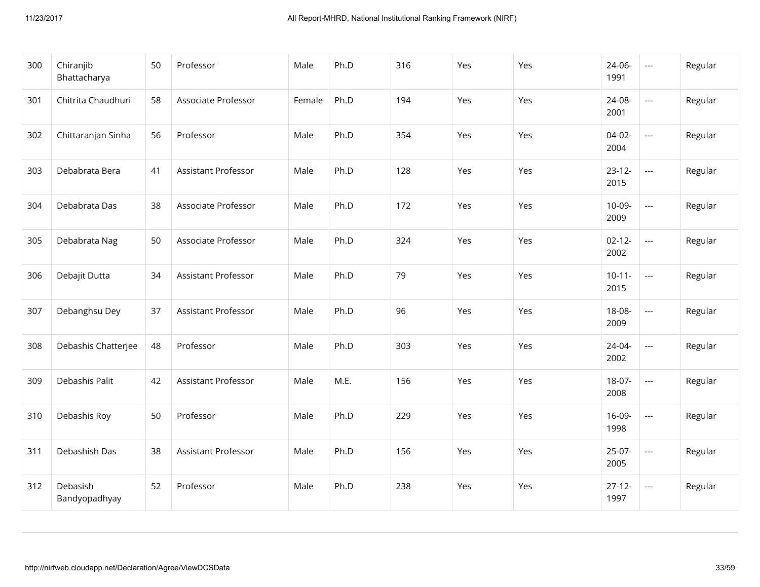| 300 | Chiranjib<br>Bhattacharya | 50 | Professor                  | Male   | Ph.D | 316 | Yes | Yes | 24-06-<br>1991      | $\hspace{0.05cm} \ldots$                 | Regular |
|-----|---------------------------|----|----------------------------|--------|------|-----|-----|-----|---------------------|------------------------------------------|---------|
| 301 | Chitrita Chaudhuri        | 58 | Associate Professor        | Female | Ph.D | 194 | Yes | Yes | 24-08-<br>2001      | $\hspace{0.05cm} \ldots \hspace{0.05cm}$ | Regular |
| 302 | Chittaranjan Sinha        | 56 | Professor                  | Male   | Ph.D | 354 | Yes | Yes | $04-02-$<br>2004    | $\overline{\phantom{a}}$                 | Regular |
| 303 | Debabrata Bera            | 41 | Assistant Professor        | Male   | Ph.D | 128 | Yes | Yes | $23 - 12 -$<br>2015 | $\hspace{0.05cm} \ldots \hspace{0.05cm}$ | Regular |
| 304 | Debabrata Das             | 38 | Associate Professor        | Male   | Ph.D | 172 | Yes | Yes | $10-09-$<br>2009    | $\hspace{0.05cm} \ldots \hspace{0.05cm}$ | Regular |
| 305 | Debabrata Nag             | 50 | Associate Professor        | Male   | Ph.D | 324 | Yes | Yes | $02 - 12 -$<br>2002 | $\overline{\phantom{a}}$                 | Regular |
| 306 | Debajit Dutta             | 34 | <b>Assistant Professor</b> | Male   | Ph.D | 79  | Yes | Yes | $10-11-$<br>2015    | $\hspace{0.05cm} \ldots \hspace{0.05cm}$ | Regular |
| 307 | Debanghsu Dey             | 37 | Assistant Professor        | Male   | Ph.D | 96  | Yes | Yes | 18-08-<br>2009      | $\overline{\phantom{a}}$                 | Regular |
| 308 | Debashis Chatterjee       | 48 | Professor                  | Male   | Ph.D | 303 | Yes | Yes | $24 - 04 -$<br>2002 | $\hspace{0.05cm} \ldots \hspace{0.05cm}$ | Regular |
| 309 | Debashis Palit            | 42 | Assistant Professor        | Male   | M.E. | 156 | Yes | Yes | 18-07-<br>2008      | $\hspace{0.05cm} \ldots$                 | Regular |
| 310 | Debashis Roy              | 50 | Professor                  | Male   | Ph.D | 229 | Yes | Yes | 16-09-<br>1998      | $\overline{\phantom{a}}$                 | Regular |
| 311 | Debashish Das             | 38 | Assistant Professor        | Male   | Ph.D | 156 | Yes | Yes | $25-07-$<br>2005    | $\hspace{0.05cm} \ldots$                 | Regular |
| 312 | Debasish<br>Bandyopadhyay | 52 | Professor                  | Male   | Ph.D | 238 | Yes | Yes | $27 - 12 -$<br>1997 | $\hspace{0.05cm} \ldots$                 | Regular |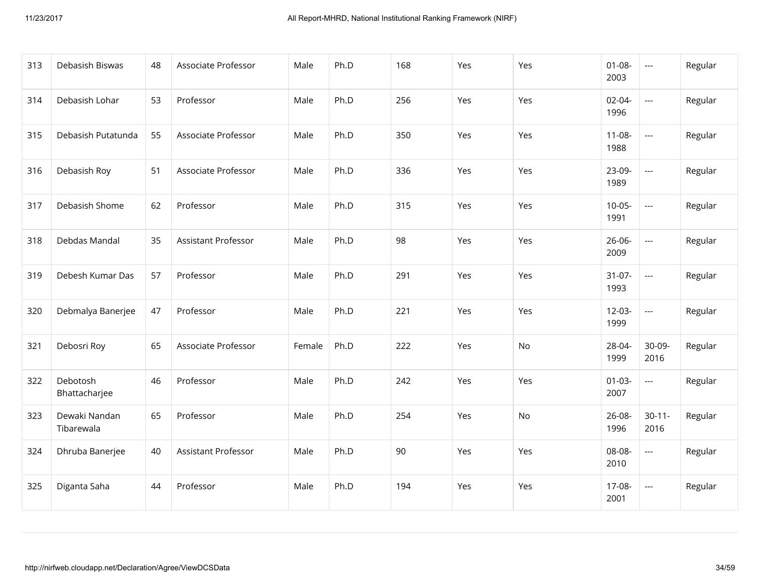| 313 | Debasish Biswas             | 48 | Associate Professor | Male   | Ph.D | 168 | Yes | Yes | $01 - 08 -$<br>2003 | $\scriptstyle\cdots$     | Regular |
|-----|-----------------------------|----|---------------------|--------|------|-----|-----|-----|---------------------|--------------------------|---------|
| 314 | Debasish Lohar              | 53 | Professor           | Male   | Ph.D | 256 | Yes | Yes | 02-04-<br>1996      | $\overline{a}$           | Regular |
| 315 | Debasish Putatunda          | 55 | Associate Professor | Male   | Ph.D | 350 | Yes | Yes | $11 - 08 -$<br>1988 | $\overline{\phantom{a}}$ | Regular |
| 316 | Debasish Roy                | 51 | Associate Professor | Male   | Ph.D | 336 | Yes | Yes | 23-09-<br>1989      | $\scriptstyle\cdots$     | Regular |
| 317 | Debasish Shome              | 62 | Professor           | Male   | Ph.D | 315 | Yes | Yes | $10-05-$<br>1991    | $\overline{a}$           | Regular |
| 318 | Debdas Mandal               | 35 | Assistant Professor | Male   | Ph.D | 98  | Yes | Yes | $26 - 06 -$<br>2009 | $\overline{\phantom{a}}$ | Regular |
| 319 | Debesh Kumar Das            | 57 | Professor           | Male   | Ph.D | 291 | Yes | Yes | $31-07-$<br>1993    | $\overline{\phantom{a}}$ | Regular |
| 320 | Debmalya Banerjee           | 47 | Professor           | Male   | Ph.D | 221 | Yes | Yes | $12 - 03 -$<br>1999 | $\overline{\phantom{a}}$ | Regular |
| 321 | Debosri Roy                 | 65 | Associate Professor | Female | Ph.D | 222 | Yes | No  | 28-04-<br>1999      | 30-09-<br>2016           | Regular |
| 322 | Debotosh<br>Bhattacharjee   | 46 | Professor           | Male   | Ph.D | 242 | Yes | Yes | $01 - 03 -$<br>2007 | ---                      | Regular |
| 323 | Dewaki Nandan<br>Tibarewala | 65 | Professor           | Male   | Ph.D | 254 | Yes | No  | 26-08-<br>1996      | $30 - 11 -$<br>2016      | Regular |
| 324 | Dhruba Banerjee             | 40 | Assistant Professor | Male   | Ph.D | 90  | Yes | Yes | 08-08-<br>2010      | $\overline{\phantom{a}}$ | Regular |
| 325 | Diganta Saha                | 44 | Professor           | Male   | Ph.D | 194 | Yes | Yes | 17-08-<br>2001      | $\scriptstyle\cdots$     | Regular |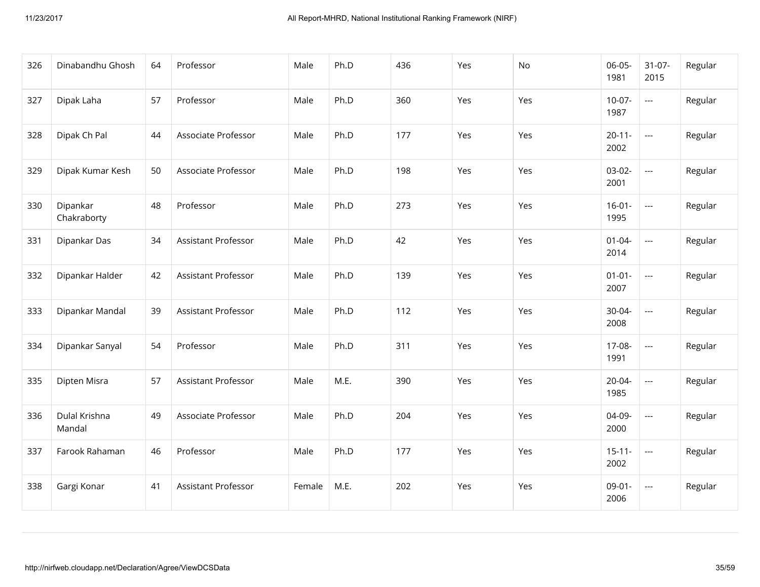| 326 | Dinabandhu Ghosh        | 64 | Professor                  | Male   | Ph.D | 436 | Yes | No  | $06-05-$<br>1981    | $31-07-$<br>2015         | Regular |
|-----|-------------------------|----|----------------------------|--------|------|-----|-----|-----|---------------------|--------------------------|---------|
| 327 | Dipak Laha              | 57 | Professor                  | Male   | Ph.D | 360 | Yes | Yes | $10-07-$<br>1987    | $\hspace{0.05cm} \ldots$ | Regular |
| 328 | Dipak Ch Pal            | 44 | Associate Professor        | Male   | Ph.D | 177 | Yes | Yes | $20 - 11 -$<br>2002 | $\overline{\phantom{a}}$ | Regular |
| 329 | Dipak Kumar Kesh        | 50 | Associate Professor        | Male   | Ph.D | 198 | Yes | Yes | $03-02-$<br>2001    | $\overline{\phantom{a}}$ | Regular |
| 330 | Dipankar<br>Chakraborty | 48 | Professor                  | Male   | Ph.D | 273 | Yes | Yes | $16-01-$<br>1995    | $\overline{a}$           | Regular |
| 331 | Dipankar Das            | 34 | <b>Assistant Professor</b> | Male   | Ph.D | 42  | Yes | Yes | $01 - 04 -$<br>2014 | $\overline{\phantom{a}}$ | Regular |
| 332 | Dipankar Halder         | 42 | Assistant Professor        | Male   | Ph.D | 139 | Yes | Yes | $01 - 01 -$<br>2007 | $\overline{\phantom{a}}$ | Regular |
| 333 | Dipankar Mandal         | 39 | Assistant Professor        | Male   | Ph.D | 112 | Yes | Yes | 30-04-<br>2008      | $\overline{\phantom{a}}$ | Regular |
| 334 | Dipankar Sanyal         | 54 | Professor                  | Male   | Ph.D | 311 | Yes | Yes | 17-08-<br>1991      | $\overline{\phantom{a}}$ | Regular |
| 335 | Dipten Misra            | 57 | Assistant Professor        | Male   | M.E. | 390 | Yes | Yes | 20-04-<br>1985      | $\hspace{0.05cm} \ldots$ | Regular |
| 336 | Dulal Krishna<br>Mandal | 49 | Associate Professor        | Male   | Ph.D | 204 | Yes | Yes | 04-09-<br>2000      | $\overline{\phantom{a}}$ | Regular |
| 337 | Farook Rahaman          | 46 | Professor                  | Male   | Ph.D | 177 | Yes | Yes | $15 - 11 -$<br>2002 | $\overline{\phantom{a}}$ | Regular |
| 338 | Gargi Konar             | 41 | Assistant Professor        | Female | M.E. | 202 | Yes | Yes | $09-01 -$<br>2006   | $\overline{\phantom{a}}$ | Regular |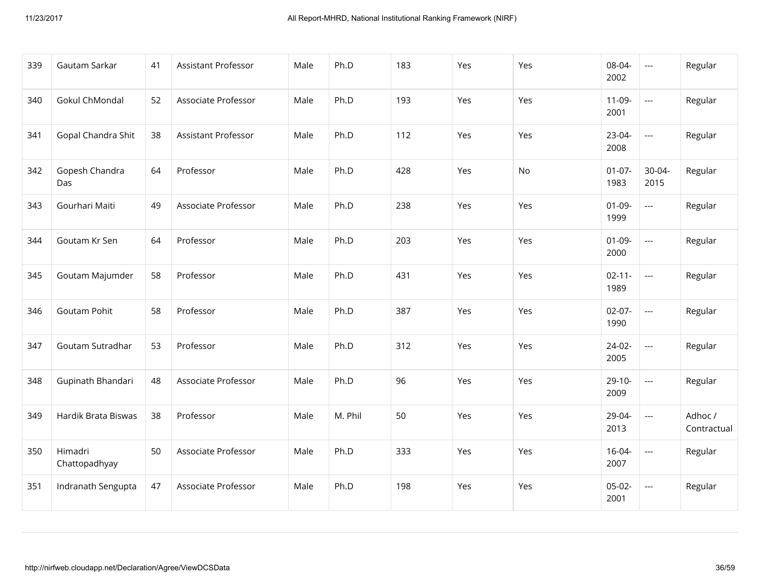| 339 | Gautam Sarkar            | 41 | Assistant Professor        | Male | Ph.D    | 183 | Yes | Yes | 08-04-<br>2002      | $\scriptstyle \cdots$    | Regular                |
|-----|--------------------------|----|----------------------------|------|---------|-----|-----|-----|---------------------|--------------------------|------------------------|
| 340 | <b>Gokul ChMondal</b>    | 52 | Associate Professor        | Male | Ph.D    | 193 | Yes | Yes | $11-09-$<br>2001    | $\overline{a}$           | Regular                |
| 341 | Gopal Chandra Shit       | 38 | <b>Assistant Professor</b> | Male | Ph.D    | 112 | Yes | Yes | 23-04-<br>2008      | $\overline{\phantom{a}}$ | Regular                |
| 342 | Gopesh Chandra<br>Das    | 64 | Professor                  | Male | Ph.D    | 428 | Yes | No  | $01-07-$<br>1983    | 30-04-<br>2015           | Regular                |
| 343 | Gourhari Maiti           | 49 | Associate Professor        | Male | Ph.D    | 238 | Yes | Yes | $01-09-$<br>1999    | $\overline{\phantom{a}}$ | Regular                |
| 344 | Goutam Kr Sen            | 64 | Professor                  | Male | Ph.D    | 203 | Yes | Yes | $01-09-$<br>2000    | $\overline{a}$           | Regular                |
| 345 | Goutam Majumder          | 58 | Professor                  | Male | Ph.D    | 431 | Yes | Yes | $02 - 11 -$<br>1989 | $\hspace{0.05cm} \ldots$ | Regular                |
| 346 | <b>Goutam Pohit</b>      | 58 | Professor                  | Male | Ph.D    | 387 | Yes | Yes | $02-07-$<br>1990    | $\overline{a}$           | Regular                |
| 347 | Goutam Sutradhar         | 53 | Professor                  | Male | Ph.D    | 312 | Yes | Yes | $24-02-$<br>2005    | $\overline{\phantom{a}}$ | Regular                |
| 348 | Gupinath Bhandari        | 48 | Associate Professor        | Male | Ph.D    | 96  | Yes | Yes | $29-10-$<br>2009    | $\hspace{0.05cm} \ldots$ | Regular                |
| 349 | Hardik Brata Biswas      | 38 | Professor                  | Male | M. Phil | 50  | Yes | Yes | 29-04-<br>2013      | $\overline{\phantom{a}}$ | Adhoc /<br>Contractual |
| 350 | Himadri<br>Chattopadhyay | 50 | Associate Professor        | Male | Ph.D    | 333 | Yes | Yes | $16 - 04 -$<br>2007 | $\overline{a}$           | Regular                |
| 351 | Indranath Sengupta       | 47 | Associate Professor        | Male | Ph.D    | 198 | Yes | Yes | $05-02-$<br>2001    | $\overline{\phantom{a}}$ | Regular                |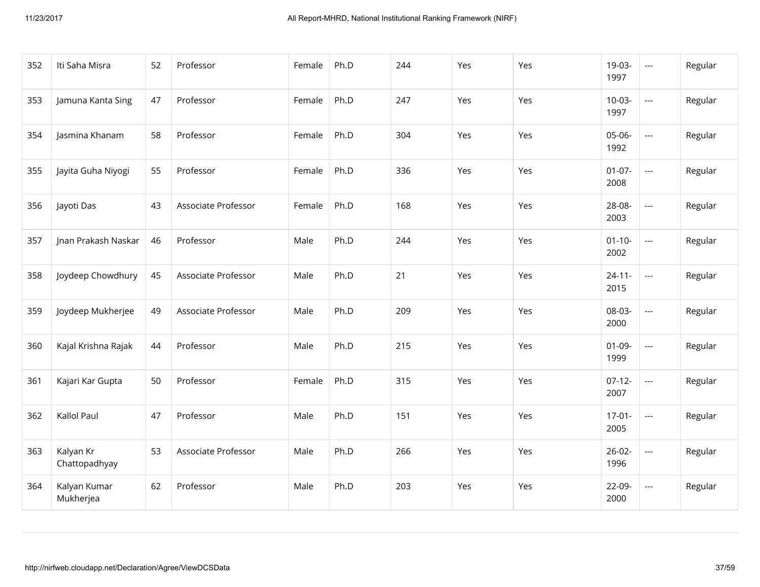| 352 | Iti Saha Misra             | 52 | Professor           | Female | Ph.D | 244 | Yes | Yes | 19-03-<br>1997      | $\hspace{0.05cm} \ldots$                 | Regular |
|-----|----------------------------|----|---------------------|--------|------|-----|-----|-----|---------------------|------------------------------------------|---------|
| 353 | Jamuna Kanta Sing          | 47 | Professor           | Female | Ph.D | 247 | Yes | Yes | $10-03-$<br>1997    | $\overline{\phantom{a}}$                 | Regular |
| 354 | Jasmina Khanam             | 58 | Professor           | Female | Ph.D | 304 | Yes | Yes | 05-06-<br>1992      | $\overline{\phantom{a}}$                 | Regular |
| 355 | Jayita Guha Niyogi         | 55 | Professor           | Female | Ph.D | 336 | Yes | Yes | $01-07-$<br>2008    | $\overline{\phantom{a}}$                 | Regular |
| 356 | Jayoti Das                 | 43 | Associate Professor | Female | Ph.D | 168 | Yes | Yes | 28-08-<br>2003      | $\overline{\phantom{a}}$                 | Regular |
| 357 | Jnan Prakash Naskar        | 46 | Professor           | Male   | Ph.D | 244 | Yes | Yes | $01 - 10 -$<br>2002 | $\overline{\phantom{a}}$                 | Regular |
| 358 | Joydeep Chowdhury          | 45 | Associate Professor | Male   | Ph.D | 21  | Yes | Yes | $24 - 11 -$<br>2015 | $\overline{\phantom{a}}$                 | Regular |
| 359 | Joydeep Mukherjee          | 49 | Associate Professor | Male   | Ph.D | 209 | Yes | Yes | 08-03-<br>2000      | $\overline{\phantom{a}}$                 | Regular |
| 360 | Kajal Krishna Rajak        | 44 | Professor           | Male   | Ph.D | 215 | Yes | Yes | $01-09-$<br>1999    | $\hspace{0.05cm} \ldots$                 | Regular |
| 361 | Kajari Kar Gupta           | 50 | Professor           | Female | Ph.D | 315 | Yes | Yes | $07-12-$<br>2007    | $\hspace{0.05cm} \ldots \hspace{0.05cm}$ | Regular |
| 362 | Kallol Paul                | 47 | Professor           | Male   | Ph.D | 151 | Yes | Yes | $17-01-$<br>2005    | $\hspace{0.05cm} \ldots$                 | Regular |
| 363 | Kalyan Kr<br>Chattopadhyay | 53 | Associate Professor | Male   | Ph.D | 266 | Yes | Yes | $26-02-$<br>1996    | $\overline{\phantom{a}}$                 | Regular |
| 364 | Kalyan Kumar<br>Mukherjea  | 62 | Professor           | Male   | Ph.D | 203 | Yes | Yes | 22-09-<br>2000      | $\hspace{0.05cm} \ldots$                 | Regular |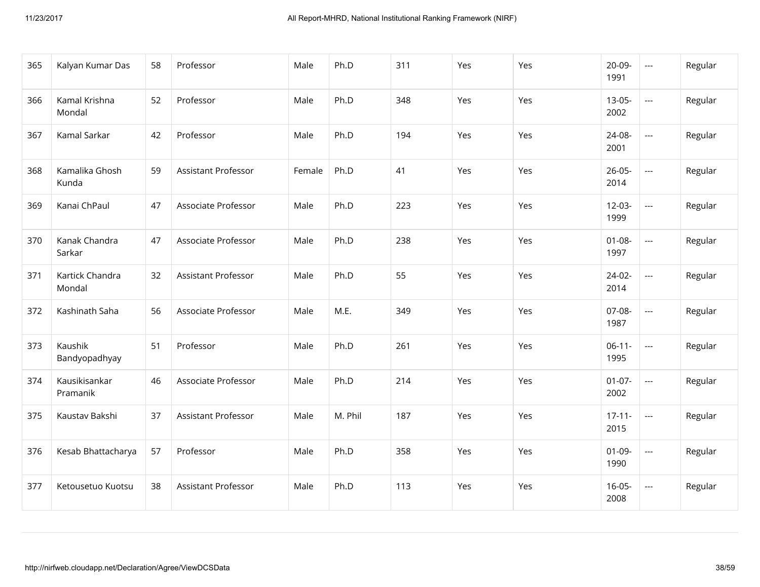| 365 | Kalyan Kumar Das          | 58 | Professor                  | Male   | Ph.D    | 311 | Yes | Yes | 20-09-<br>1991      | $\hspace{0.05cm} \ldots$ | Regular |
|-----|---------------------------|----|----------------------------|--------|---------|-----|-----|-----|---------------------|--------------------------|---------|
| 366 | Kamal Krishna<br>Mondal   | 52 | Professor                  | Male   | Ph.D    | 348 | Yes | Yes | $13-05-$<br>2002    | $\overline{\phantom{a}}$ | Regular |
| 367 | Kamal Sarkar              | 42 | Professor                  | Male   | Ph.D    | 194 | Yes | Yes | 24-08-<br>2001      | $\hspace{0.05cm} \ldots$ | Regular |
| 368 | Kamalika Ghosh<br>Kunda   | 59 | Assistant Professor        | Female | Ph.D    | 41  | Yes | Yes | $26 - 05 -$<br>2014 | $\overline{\phantom{a}}$ | Regular |
| 369 | Kanai ChPaul              | 47 | Associate Professor        | Male   | Ph.D    | 223 | Yes | Yes | $12 - 03 -$<br>1999 | $\overline{a}$           | Regular |
| 370 | Kanak Chandra<br>Sarkar   | 47 | Associate Professor        | Male   | Ph.D    | 238 | Yes | Yes | $01 - 08 -$<br>1997 | $\overline{\phantom{a}}$ | Regular |
| 371 | Kartick Chandra<br>Mondal | 32 | <b>Assistant Professor</b> | Male   | Ph.D    | 55  | Yes | Yes | $24-02-$<br>2014    | $\overline{a}$           | Regular |
| 372 | Kashinath Saha            | 56 | Associate Professor        | Male   | M.E.    | 349 | Yes | Yes | 07-08-<br>1987      | $\overline{\phantom{a}}$ | Regular |
| 373 | Kaushik<br>Bandyopadhyay  | 51 | Professor                  | Male   | Ph.D    | 261 | Yes | Yes | $06-11-$<br>1995    | $\overline{\phantom{a}}$ | Regular |
| 374 | Kausikisankar<br>Pramanik | 46 | Associate Professor        | Male   | Ph.D    | 214 | Yes | Yes | $01-07-$<br>2002    | $\scriptstyle\cdots$     | Regular |
| 375 | Kaustav Bakshi            | 37 | Assistant Professor        | Male   | M. Phil | 187 | Yes | Yes | $17 - 11 -$<br>2015 | $\overline{\phantom{a}}$ | Regular |
| 376 | Kesab Bhattacharya        | 57 | Professor                  | Male   | Ph.D    | 358 | Yes | Yes | $01-09-$<br>1990    | $\hspace{0.05cm} \ldots$ | Regular |
| 377 | Ketousetuo Kuotsu         | 38 | Assistant Professor        | Male   | Ph.D    | 113 | Yes | Yes | $16-05-$<br>2008    | $\hspace{0.05cm} \ldots$ | Regular |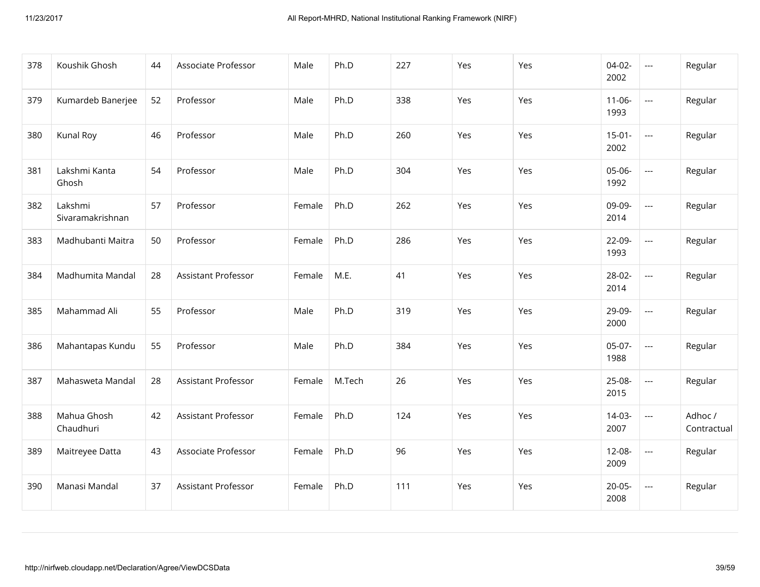| 378 | Koushik Ghosh               | 44 | Associate Professor        | Male   | Ph.D   | 227 | Yes | Yes | $04-02-$<br>2002    | $\scriptstyle\cdots$     | Regular                |
|-----|-----------------------------|----|----------------------------|--------|--------|-----|-----|-----|---------------------|--------------------------|------------------------|
| 379 | Kumardeb Banerjee           | 52 | Professor                  | Male   | Ph.D   | 338 | Yes | Yes | $11-06-$<br>1993    | $\overline{a}$           | Regular                |
| 380 | Kunal Roy                   | 46 | Professor                  | Male   | Ph.D   | 260 | Yes | Yes | $15-01-$<br>2002    | $\overline{\phantom{a}}$ | Regular                |
| 381 | Lakshmi Kanta<br>Ghosh      | 54 | Professor                  | Male   | Ph.D   | 304 | Yes | Yes | 05-06-<br>1992      | $\overline{a}$           | Regular                |
| 382 | Lakshmi<br>Sivaramakrishnan | 57 | Professor                  | Female | Ph.D   | 262 | Yes | Yes | 09-09-<br>2014      | $\overline{\phantom{a}}$ | Regular                |
| 383 | Madhubanti Maitra           | 50 | Professor                  | Female | Ph.D   | 286 | Yes | Yes | 22-09-<br>1993      | $\overline{\phantom{a}}$ | Regular                |
| 384 | Madhumita Mandal            | 28 | Assistant Professor        | Female | M.E.   | 41  | Yes | Yes | 28-02-<br>2014      | $\overline{\phantom{a}}$ | Regular                |
| 385 | Mahammad Ali                | 55 | Professor                  | Male   | Ph.D   | 319 | Yes | Yes | 29-09-<br>2000      | $\overline{\phantom{a}}$ | Regular                |
| 386 | Mahantapas Kundu            | 55 | Professor                  | Male   | Ph.D   | 384 | Yes | Yes | $05-07-$<br>1988    | $\overline{\phantom{a}}$ | Regular                |
| 387 | Mahasweta Mandal            | 28 | Assistant Professor        | Female | M.Tech | 26  | Yes | Yes | 25-08-<br>2015      | $\cdots$                 | Regular                |
| 388 | Mahua Ghosh<br>Chaudhuri    | 42 | <b>Assistant Professor</b> | Female | Ph.D   | 124 | Yes | Yes | $14-03-$<br>2007    | $\hspace{0.05cm} \ldots$ | Adhoc /<br>Contractual |
| 389 | Maitreyee Datta             | 43 | Associate Professor        | Female | Ph.D   | 96  | Yes | Yes | 12-08-<br>2009      | $\hspace{0.05cm} \ldots$ | Regular                |
| 390 | Manasi Mandal               | 37 | <b>Assistant Professor</b> | Female | Ph.D   | 111 | Yes | Yes | $20 - 05 -$<br>2008 | $\scriptstyle\cdots$     | Regular                |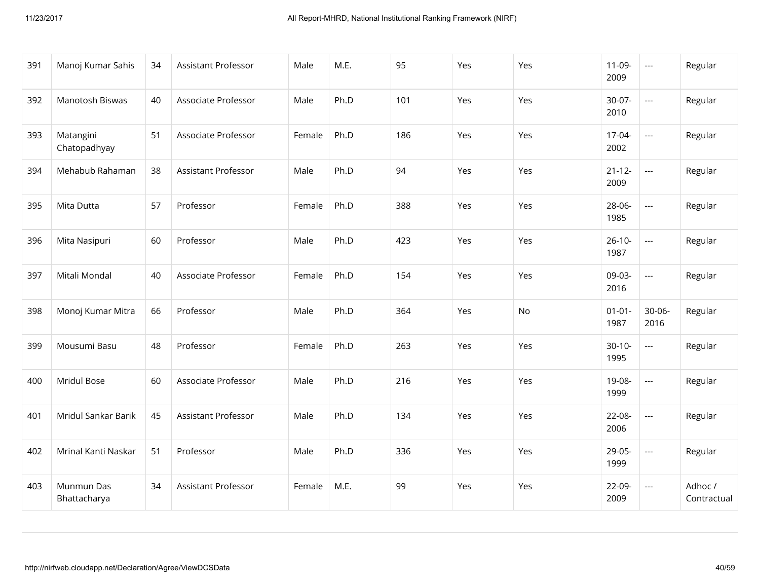| 391 | Manoj Kumar Sahis          | 34 | Assistant Professor        | Male   | M.E. | 95  | Yes | Yes | $11-09-$<br>2009    | $\scriptstyle\cdots$     | Regular                |
|-----|----------------------------|----|----------------------------|--------|------|-----|-----|-----|---------------------|--------------------------|------------------------|
| 392 | Manotosh Biswas            | 40 | Associate Professor        | Male   | Ph.D | 101 | Yes | Yes | $30-07-$<br>2010    | $\overline{a}$           | Regular                |
| 393 | Matangini<br>Chatopadhyay  | 51 | Associate Professor        | Female | Ph.D | 186 | Yes | Yes | 17-04-<br>2002      | $\overline{\phantom{a}}$ | Regular                |
| 394 | Mehabub Rahaman            | 38 | <b>Assistant Professor</b> | Male   | Ph.D | 94  | Yes | Yes | $21 - 12 -$<br>2009 | $\overline{\phantom{a}}$ | Regular                |
| 395 | Mita Dutta                 | 57 | Professor                  | Female | Ph.D | 388 | Yes | Yes | 28-06-<br>1985      | $\overline{a}$           | Regular                |
| 396 | Mita Nasipuri              | 60 | Professor                  | Male   | Ph.D | 423 | Yes | Yes | $26-10-$<br>1987    | $\overline{\phantom{a}}$ | Regular                |
| 397 | Mitali Mondal              | 40 | Associate Professor        | Female | Ph.D | 154 | Yes | Yes | 09-03-<br>2016      | $\overline{\phantom{a}}$ | Regular                |
| 398 | Monoj Kumar Mitra          | 66 | Professor                  | Male   | Ph.D | 364 | Yes | No  | $01 - 01 -$<br>1987 | $30 - 06 -$<br>2016      | Regular                |
| 399 | Mousumi Basu               | 48 | Professor                  | Female | Ph.D | 263 | Yes | Yes | $30-10-$<br>1995    | $\overline{\phantom{a}}$ | Regular                |
| 400 | Mridul Bose                | 60 | Associate Professor        | Male   | Ph.D | 216 | Yes | Yes | 19-08-<br>1999      | ---                      | Regular                |
| 401 | Mridul Sankar Barik        | 45 | <b>Assistant Professor</b> | Male   | Ph.D | 134 | Yes | Yes | 22-08-<br>2006      | $\overline{\phantom{a}}$ | Regular                |
| 402 | Mrinal Kanti Naskar        | 51 | Professor                  | Male   | Ph.D | 336 | Yes | Yes | 29-05-<br>1999      | $\overline{\phantom{a}}$ | Regular                |
| 403 | Munmun Das<br>Bhattacharya | 34 | <b>Assistant Professor</b> | Female | M.E. | 99  | Yes | Yes | 22-09-<br>2009      | $\hspace{0.05cm} \ldots$ | Adhoc /<br>Contractual |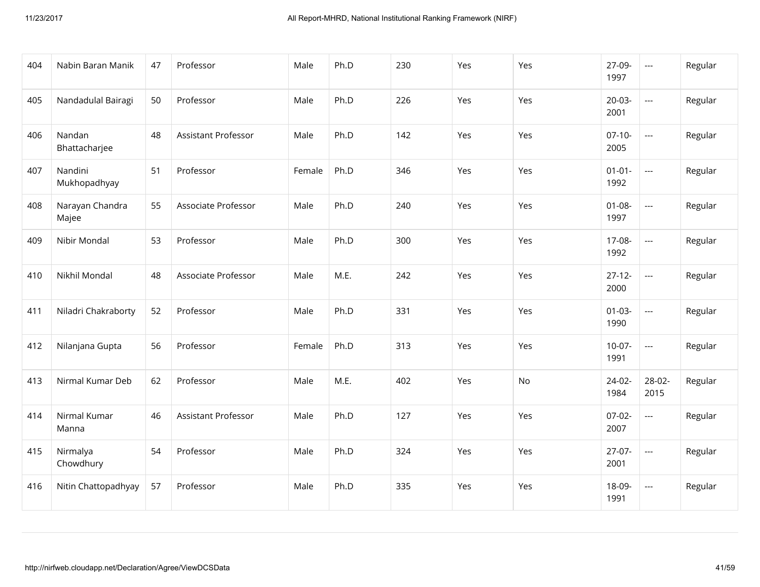| 404 | Nabin Baran Manik        | 47 | Professor                  | Male   | Ph.D | 230 | Yes | Yes | 27-09-<br>1997      | $\hspace{0.05cm} \ldots$                 | Regular |
|-----|--------------------------|----|----------------------------|--------|------|-----|-----|-----|---------------------|------------------------------------------|---------|
| 405 | Nandadulal Bairagi       | 50 | Professor                  | Male   | Ph.D | 226 | Yes | Yes | $20-03-$<br>2001    | $\hspace{0.05cm} \ldots \hspace{0.05cm}$ | Regular |
| 406 | Nandan<br>Bhattacharjee  | 48 | <b>Assistant Professor</b> | Male   | Ph.D | 142 | Yes | Yes | $07-10-$<br>2005    | $\overline{\phantom{a}}$                 | Regular |
| 407 | Nandini<br>Mukhopadhyay  | 51 | Professor                  | Female | Ph.D | 346 | Yes | Yes | $01 - 01 -$<br>1992 | $\overline{\phantom{a}}$                 | Regular |
| 408 | Narayan Chandra<br>Majee | 55 | Associate Professor        | Male   | Ph.D | 240 | Yes | Yes | $01 - 08 -$<br>1997 | $\overline{\phantom{a}}$                 | Regular |
| 409 | Nibir Mondal             | 53 | Professor                  | Male   | Ph.D | 300 | Yes | Yes | 17-08-<br>1992      | $\overline{\phantom{a}}$                 | Regular |
| 410 | Nikhil Mondal            | 48 | Associate Professor        | Male   | M.E. | 242 | Yes | Yes | $27 - 12 -$<br>2000 | $\overline{\phantom{a}}$                 | Regular |
| 411 | Niladri Chakraborty      | 52 | Professor                  | Male   | Ph.D | 331 | Yes | Yes | $01 - 03 -$<br>1990 | $\overline{\phantom{a}}$                 | Regular |
| 412 | Nilanjana Gupta          | 56 | Professor                  | Female | Ph.D | 313 | Yes | Yes | $10-07-$<br>1991    | $\overline{a}$                           | Regular |
| 413 | Nirmal Kumar Deb         | 62 | Professor                  | Male   | M.E. | 402 | Yes | No  | 24-02-<br>1984      | 28-02-<br>2015                           | Regular |
| 414 | Nirmal Kumar<br>Manna    | 46 | Assistant Professor        | Male   | Ph.D | 127 | Yes | Yes | $07-02-$<br>2007    | $\overline{\phantom{a}}$                 | Regular |
| 415 | Nirmalya<br>Chowdhury    | 54 | Professor                  | Male   | Ph.D | 324 | Yes | Yes | $27-07-$<br>2001    | $\overline{a}$                           | Regular |
| 416 | Nitin Chattopadhyay      | 57 | Professor                  | Male   | Ph.D | 335 | Yes | Yes | 18-09-<br>1991      | $\hspace{0.05cm} \ldots \hspace{0.05cm}$ | Regular |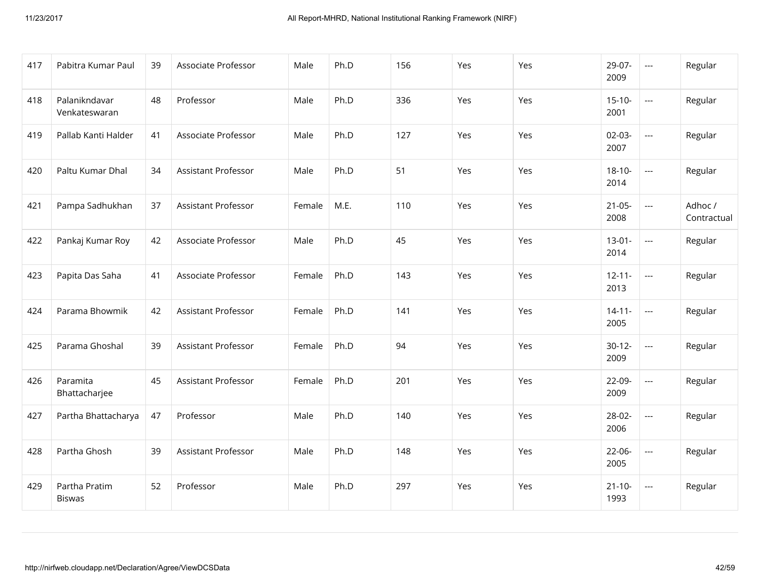| 417 | Pabitra Kumar Paul             | 39 | Associate Professor        | Male   | Ph.D | 156 | Yes | Yes | 29-07-<br>2009      | $\scriptstyle\cdots$     | Regular                |
|-----|--------------------------------|----|----------------------------|--------|------|-----|-----|-----|---------------------|--------------------------|------------------------|
| 418 | Palanikndavar<br>Venkateswaran | 48 | Professor                  | Male   | Ph.D | 336 | Yes | Yes | $15 - 10 -$<br>2001 | $\overline{a}$           | Regular                |
| 419 | Pallab Kanti Halder            | 41 | Associate Professor        | Male   | Ph.D | 127 | Yes | Yes | $02-03-$<br>2007    | $\scriptstyle\cdots$     | Regular                |
| 420 | Paltu Kumar Dhal               | 34 | <b>Assistant Professor</b> | Male   | Ph.D | 51  | Yes | Yes | $18 - 10 -$<br>2014 | $\overline{a}$           | Regular                |
| 421 | Pampa Sadhukhan                | 37 | Assistant Professor        | Female | M.E. | 110 | Yes | Yes | $21-05-$<br>2008    | $\hspace{0.05cm} \ldots$ | Adhoc /<br>Contractual |
| 422 | Pankaj Kumar Roy               | 42 | Associate Professor        | Male   | Ph.D | 45  | Yes | Yes | $13 - 01 -$<br>2014 | $\overline{a}$           | Regular                |
| 423 | Papita Das Saha                | 41 | Associate Professor        | Female | Ph.D | 143 | Yes | Yes | $12 - 11 -$<br>2013 | $\overline{a}$           | Regular                |
| 424 | Parama Bhowmik                 | 42 | <b>Assistant Professor</b> | Female | Ph.D | 141 | Yes | Yes | $14 - 11 -$<br>2005 | $\overline{\phantom{a}}$ | Regular                |
| 425 | Parama Ghoshal                 | 39 | Assistant Professor        | Female | Ph.D | 94  | Yes | Yes | $30-12-$<br>2009    | $\overline{\phantom{a}}$ | Regular                |
| 426 | Paramita<br>Bhattacharjee      | 45 | Assistant Professor        | Female | Ph.D | 201 | Yes | Yes | 22-09-<br>2009      | ---                      | Regular                |
| 427 | Partha Bhattacharya            | 47 | Professor                  | Male   | Ph.D | 140 | Yes | Yes | 28-02-<br>2006      | $\overline{\phantom{a}}$ | Regular                |
| 428 | Partha Ghosh                   | 39 | Assistant Professor        | Male   | Ph.D | 148 | Yes | Yes | $22-06-$<br>2005    | ---                      | Regular                |
| 429 | Partha Pratim<br><b>Biswas</b> | 52 | Professor                  | Male   | Ph.D | 297 | Yes | Yes | $21 - 10 -$<br>1993 | $\scriptstyle\cdots$     | Regular                |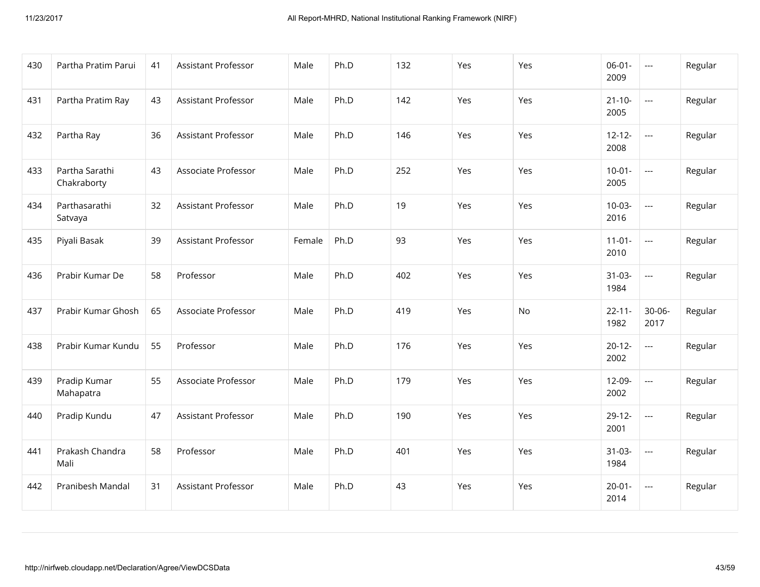| 430 | Partha Pratim Parui           | 41 | Assistant Professor        | Male   | Ph.D | 132 | Yes | Yes | $06-01-$<br>2009    | $\scriptstyle\cdots$     | Regular |
|-----|-------------------------------|----|----------------------------|--------|------|-----|-----|-----|---------------------|--------------------------|---------|
| 431 | Partha Pratim Ray             | 43 | <b>Assistant Professor</b> | Male   | Ph.D | 142 | Yes | Yes | $21 - 10 -$<br>2005 | $\overline{\phantom{a}}$ | Regular |
| 432 | Partha Ray                    | 36 | Assistant Professor        | Male   | Ph.D | 146 | Yes | Yes | $12 - 12 -$<br>2008 | $\scriptstyle\cdots$     | Regular |
| 433 | Partha Sarathi<br>Chakraborty | 43 | Associate Professor        | Male   | Ph.D | 252 | Yes | Yes | $10-01 -$<br>2005   | $\overline{\phantom{a}}$ | Regular |
| 434 | Parthasarathi<br>Satvaya      | 32 | Assistant Professor        | Male   | Ph.D | 19  | Yes | Yes | $10-03-$<br>2016    | $\hspace{0.05cm} \ldots$ | Regular |
| 435 | Piyali Basak                  | 39 | Assistant Professor        | Female | Ph.D | 93  | Yes | Yes | $11 - 01 -$<br>2010 | $\overline{\phantom{a}}$ | Regular |
| 436 | Prabir Kumar De               | 58 | Professor                  | Male   | Ph.D | 402 | Yes | Yes | $31-03-$<br>1984    | $\overline{\phantom{a}}$ | Regular |
| 437 | Prabir Kumar Ghosh            | 65 | Associate Professor        | Male   | Ph.D | 419 | Yes | No. | $22 - 11 -$<br>1982 | $30 - 06 -$<br>2017      | Regular |
| 438 | Prabir Kumar Kundu            | 55 | Professor                  | Male   | Ph.D | 176 | Yes | Yes | $20 - 12 -$<br>2002 | $\overline{\phantom{a}}$ | Regular |
| 439 | Pradip Kumar<br>Mahapatra     | 55 | Associate Professor        | Male   | Ph.D | 179 | Yes | Yes | 12-09-<br>2002      | ---                      | Regular |
| 440 | Pradip Kundu                  | 47 | <b>Assistant Professor</b> | Male   | Ph.D | 190 | Yes | Yes | $29-12-$<br>2001    | $\overline{\phantom{a}}$ | Regular |
| 441 | Prakash Chandra<br>Mali       | 58 | Professor                  | Male   | Ph.D | 401 | Yes | Yes | $31-03-$<br>1984    | $\hspace{0.05cm} \ldots$ | Regular |
| 442 | Pranibesh Mandal              | 31 | <b>Assistant Professor</b> | Male   | Ph.D | 43  | Yes | Yes | $20 - 01 -$<br>2014 | $\scriptstyle\cdots$     | Regular |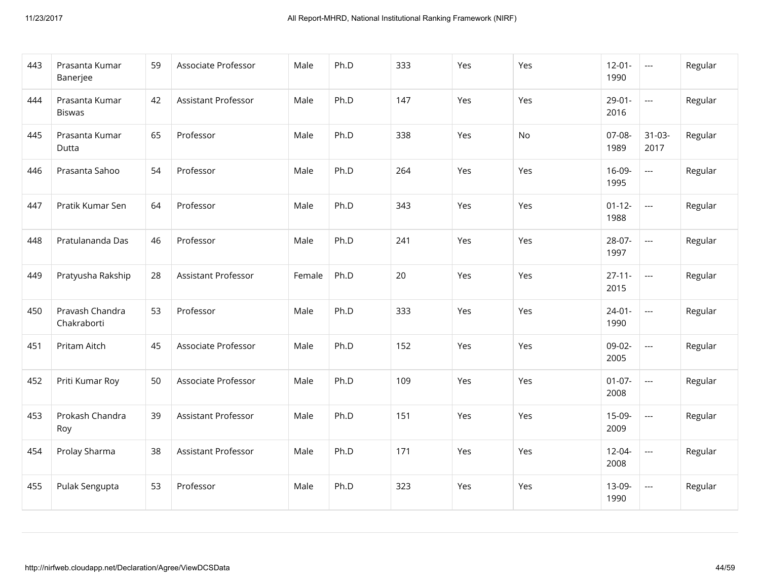| 443 | Prasanta Kumar<br>Banerjee      | 59 | Associate Professor        | Male   | Ph.D | 333 | Yes | Yes | $12 - 01 -$<br>1990 | $\scriptstyle \cdots$    | Regular |
|-----|---------------------------------|----|----------------------------|--------|------|-----|-----|-----|---------------------|--------------------------|---------|
| 444 | Prasanta Kumar<br><b>Biswas</b> | 42 | <b>Assistant Professor</b> | Male   | Ph.D | 147 | Yes | Yes | $29 - 01 -$<br>2016 | $\overline{a}$           | Regular |
| 445 | Prasanta Kumar<br>Dutta         | 65 | Professor                  | Male   | Ph.D | 338 | Yes | No  | 07-08-<br>1989      | $31 - 03 -$<br>2017      | Regular |
| 446 | Prasanta Sahoo                  | 54 | Professor                  | Male   | Ph.D | 264 | Yes | Yes | 16-09-<br>1995      | $\overline{\phantom{a}}$ | Regular |
| 447 | Pratik Kumar Sen                | 64 | Professor                  | Male   | Ph.D | 343 | Yes | Yes | $01 - 12 -$<br>1988 | $\overline{\phantom{a}}$ | Regular |
| 448 | Pratulananda Das                | 46 | Professor                  | Male   | Ph.D | 241 | Yes | Yes | 28-07-<br>1997      | $\overline{\phantom{a}}$ | Regular |
| 449 | Pratyusha Rakship               | 28 | Assistant Professor        | Female | Ph.D | 20  | Yes | Yes | $27 - 11 -$<br>2015 | $\overline{\phantom{a}}$ | Regular |
| 450 | Pravash Chandra<br>Chakraborti  | 53 | Professor                  | Male   | Ph.D | 333 | Yes | Yes | $24 - 01 -$<br>1990 | $\overline{\phantom{a}}$ | Regular |
| 451 | Pritam Aitch                    | 45 | Associate Professor        | Male   | Ph.D | 152 | Yes | Yes | 09-02-<br>2005      | $\overline{a}$           | Regular |
| 452 | Priti Kumar Roy                 | 50 | Associate Professor        | Male   | Ph.D | 109 | Yes | Yes | $01-07-$<br>2008    | $\overline{\phantom{a}}$ | Regular |
| 453 | Prokash Chandra<br>Roy          | 39 | Assistant Professor        | Male   | Ph.D | 151 | Yes | Yes | 15-09-<br>2009      | $\overline{\phantom{a}}$ | Regular |
| 454 | Prolay Sharma                   | 38 | Assistant Professor        | Male   | Ph.D | 171 | Yes | Yes | $12 - 04 -$<br>2008 | $\overline{\phantom{a}}$ | Regular |
| 455 | Pulak Sengupta                  | 53 | Professor                  | Male   | Ph.D | 323 | Yes | Yes | 13-09-<br>1990      | $\overline{\phantom{a}}$ | Regular |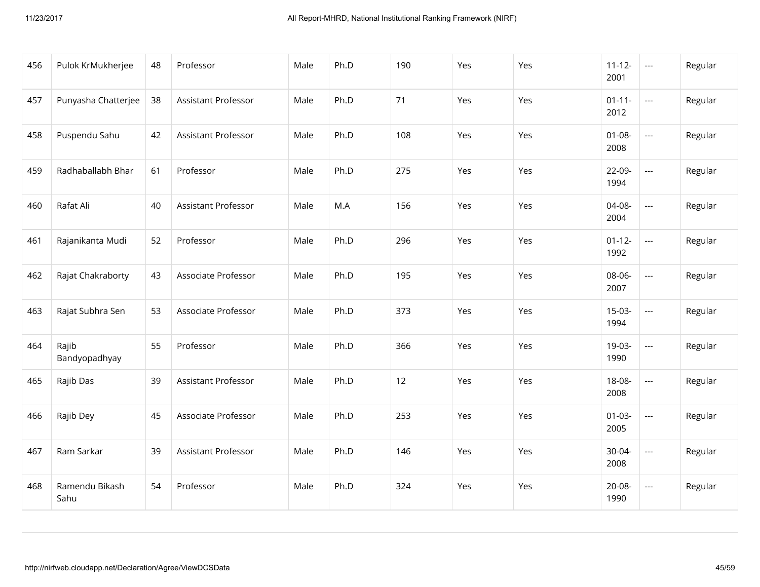| 456 | Pulok KrMukherjee      | 48 | Professor           | Male | Ph.D | 190 | Yes | Yes | $11 - 12 -$<br>2001 | $\scriptstyle\cdots$     | Regular |
|-----|------------------------|----|---------------------|------|------|-----|-----|-----|---------------------|--------------------------|---------|
| 457 | Punyasha Chatterjee    | 38 | Assistant Professor | Male | Ph.D | 71  | Yes | Yes | $01 - 11 -$<br>2012 | $\overline{\phantom{a}}$ | Regular |
| 458 | Puspendu Sahu          | 42 | Assistant Professor | Male | Ph.D | 108 | Yes | Yes | $01 - 08 -$<br>2008 | $\overline{\phantom{a}}$ | Regular |
| 459 | Radhaballabh Bhar      | 61 | Professor           | Male | Ph.D | 275 | Yes | Yes | 22-09-<br>1994      | $\overline{\phantom{a}}$ | Regular |
| 460 | Rafat Ali              | 40 | Assistant Professor | Male | M.A  | 156 | Yes | Yes | 04-08-<br>2004      | $\overline{\phantom{a}}$ | Regular |
| 461 | Rajanikanta Mudi       | 52 | Professor           | Male | Ph.D | 296 | Yes | Yes | $01 - 12 -$<br>1992 | $\overline{\phantom{a}}$ | Regular |
| 462 | Rajat Chakraborty      | 43 | Associate Professor | Male | Ph.D | 195 | Yes | Yes | 08-06-<br>2007      | $\overline{\phantom{a}}$ | Regular |
| 463 | Rajat Subhra Sen       | 53 | Associate Professor | Male | Ph.D | 373 | Yes | Yes | $15-03-$<br>1994    | $\overline{a}$           | Regular |
| 464 | Rajib<br>Bandyopadhyay | 55 | Professor           | Male | Ph.D | 366 | Yes | Yes | 19-03-<br>1990      | $\overline{\phantom{a}}$ | Regular |
| 465 | Rajib Das              | 39 | Assistant Professor | Male | Ph.D | 12  | Yes | Yes | 18-08-<br>2008      | $\overline{\phantom{a}}$ | Regular |
| 466 | Rajib Dey              | 45 | Associate Professor | Male | Ph.D | 253 | Yes | Yes | $01 - 03 -$<br>2005 | $\overline{\phantom{a}}$ | Regular |
| 467 | Ram Sarkar             | 39 | Assistant Professor | Male | Ph.D | 146 | Yes | Yes | 30-04-<br>2008      | $\scriptstyle\cdots$     | Regular |
| 468 | Ramendu Bikash<br>Sahu | 54 | Professor           | Male | Ph.D | 324 | Yes | Yes | $20-08-$<br>1990    | $\overline{\phantom{a}}$ | Regular |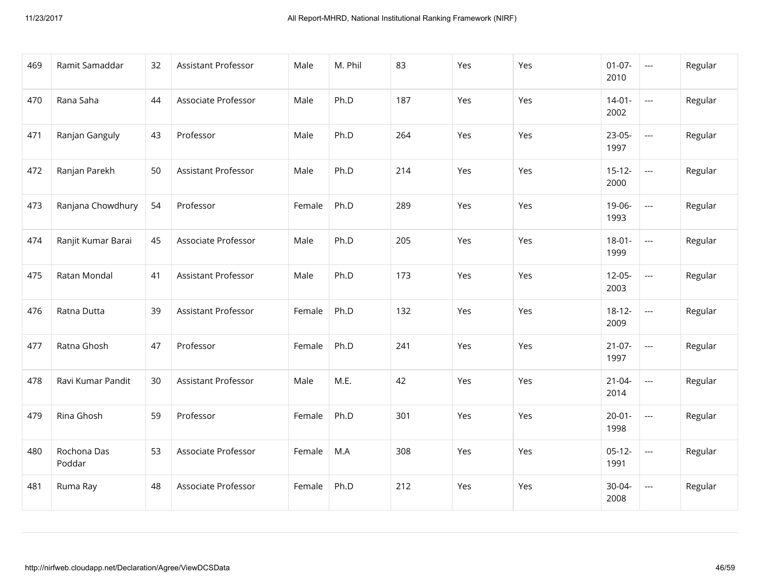| 469 | Ramit Samaddar        | 32 | Assistant Professor        | Male   | M. Phil | 83  | Yes | Yes | $01-07-$<br>2010    | $\scriptstyle\cdots$     | Regular |
|-----|-----------------------|----|----------------------------|--------|---------|-----|-----|-----|---------------------|--------------------------|---------|
| 470 | Rana Saha             | 44 | Associate Professor        | Male   | Ph.D    | 187 | Yes | Yes | $14 - 01 -$<br>2002 | $\overline{\phantom{a}}$ | Regular |
| 471 | Ranjan Ganguly        | 43 | Professor                  | Male   | Ph.D    | 264 | Yes | Yes | 23-05-<br>1997      | $\hspace{0.05cm} \ldots$ | Regular |
| 472 | Ranjan Parekh         | 50 | <b>Assistant Professor</b> | Male   | Ph.D    | 214 | Yes | Yes | $15 - 12 -$<br>2000 | $\overline{\phantom{a}}$ | Regular |
| 473 | Ranjana Chowdhury     | 54 | Professor                  | Female | Ph.D    | 289 | Yes | Yes | 19-06-<br>1993      | $\scriptstyle\cdots$     | Regular |
| 474 | Ranjit Kumar Barai    | 45 | Associate Professor        | Male   | Ph.D    | 205 | Yes | Yes | $18 - 01 -$<br>1999 | $\overline{\phantom{a}}$ | Regular |
| 475 | Ratan Mondal          | 41 | Assistant Professor        | Male   | Ph.D    | 173 | Yes | Yes | $12-05-$<br>2003    | $\overline{\phantom{a}}$ | Regular |
| 476 | Ratna Dutta           | 39 | Assistant Professor        | Female | Ph.D    | 132 | Yes | Yes | $18 - 12 -$<br>2009 | $\scriptstyle\cdots$     | Regular |
| 477 | Ratna Ghosh           | 47 | Professor                  | Female | Ph.D    | 241 | Yes | Yes | $21-07-$<br>1997    | $\overline{\phantom{a}}$ | Regular |
| 478 | Ravi Kumar Pandit     | 30 | Assistant Professor        | Male   | M.E.    | 42  | Yes | Yes | $21 - 04 -$<br>2014 | $\hspace{0.05cm} \ldots$ | Regular |
| 479 | Rina Ghosh            | 59 | Professor                  | Female | Ph.D    | 301 | Yes | Yes | $20 - 01 -$<br>1998 | $\overline{\phantom{a}}$ | Regular |
| 480 | Rochona Das<br>Poddar | 53 | Associate Professor        | Female | M.A     | 308 | Yes | Yes | $05-12-$<br>1991    | $\hspace{0.05cm} \ldots$ | Regular |
| 481 | Ruma Ray              | 48 | Associate Professor        | Female | Ph.D    | 212 | Yes | Yes | 30-04-<br>2008      | $\overline{\phantom{a}}$ | Regular |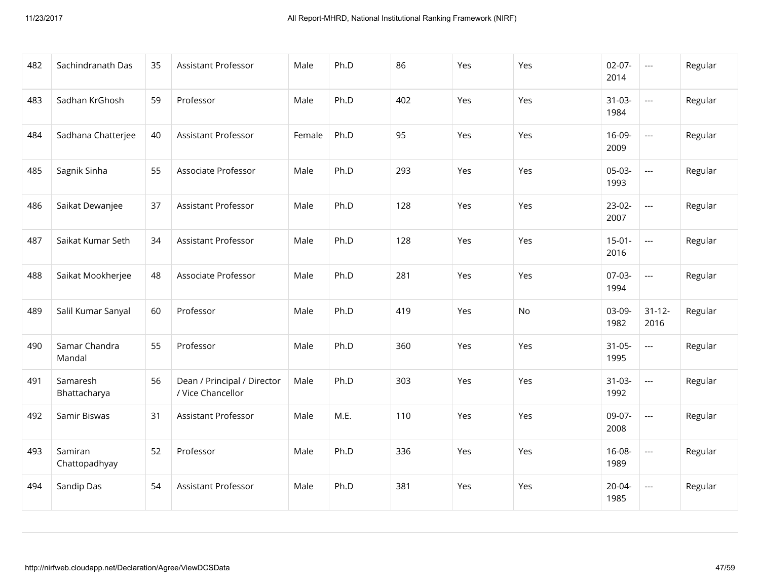| 482 | Sachindranath Das        | 35 | Assistant Professor                              | Male   | Ph.D | 86  | Yes | Yes | $02-07-$<br>2014    | $\scriptstyle \cdots$    | Regular |
|-----|--------------------------|----|--------------------------------------------------|--------|------|-----|-----|-----|---------------------|--------------------------|---------|
| 483 | Sadhan KrGhosh           | 59 | Professor                                        | Male   | Ph.D | 402 | Yes | Yes | $31-03-$<br>1984    | $\overline{\phantom{a}}$ | Regular |
| 484 | Sadhana Chatterjee       | 40 | Assistant Professor                              | Female | Ph.D | 95  | Yes | Yes | 16-09-<br>2009      | $\overline{a}$           | Regular |
| 485 | Sagnik Sinha             | 55 | Associate Professor                              | Male   | Ph.D | 293 | Yes | Yes | $05-03-$<br>1993    | $\overline{\phantom{a}}$ | Regular |
| 486 | Saikat Dewanjee          | 37 | Assistant Professor                              | Male   | Ph.D | 128 | Yes | Yes | $23-02-$<br>2007    | $\overline{a}$           | Regular |
| 487 | Saikat Kumar Seth        | 34 | Assistant Professor                              | Male   | Ph.D | 128 | Yes | Yes | $15 - 01 -$<br>2016 | $\overline{\phantom{a}}$ | Regular |
| 488 | Saikat Mookherjee        | 48 | Associate Professor                              | Male   | Ph.D | 281 | Yes | Yes | $07-03-$<br>1994    | $\overline{\phantom{a}}$ | Regular |
| 489 | Salil Kumar Sanyal       | 60 | Professor                                        | Male   | Ph.D | 419 | Yes | No  | 03-09-<br>1982      | $31 - 12 -$<br>2016      | Regular |
| 490 | Samar Chandra<br>Mandal  | 55 | Professor                                        | Male   | Ph.D | 360 | Yes | Yes | $31 - 05 -$<br>1995 | $\overline{\phantom{a}}$ | Regular |
| 491 | Samaresh<br>Bhattacharya | 56 | Dean / Principal / Director<br>/ Vice Chancellor | Male   | Ph.D | 303 | Yes | Yes | $31-03-$<br>1992    | $\overline{\phantom{a}}$ | Regular |
| 492 | Samir Biswas             | 31 | <b>Assistant Professor</b>                       | Male   | M.E. | 110 | Yes | Yes | 09-07-<br>2008      | $\overline{\phantom{a}}$ | Regular |
| 493 | Samiran<br>Chattopadhyay | 52 | Professor                                        | Male   | Ph.D | 336 | Yes | Yes | $16 - 08 -$<br>1989 | $\overline{\phantom{a}}$ | Regular |
| 494 | Sandip Das               | 54 | <b>Assistant Professor</b>                       | Male   | Ph.D | 381 | Yes | Yes | $20 - 04 -$<br>1985 | $\overline{\phantom{a}}$ | Regular |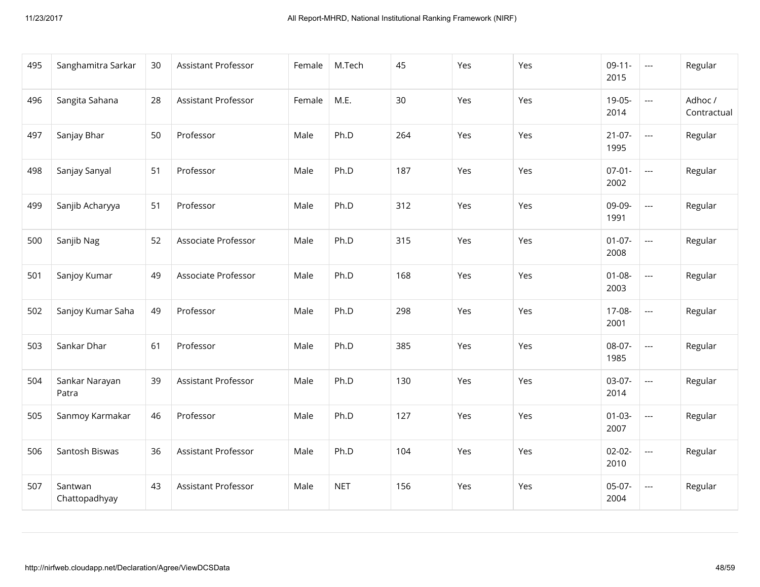| 495 | Sanghamitra Sarkar       | 30 | Assistant Professor        | Female | M.Tech     | 45  | Yes | Yes | $09-11-$<br>2015    | $\cdots$                 | Regular                |
|-----|--------------------------|----|----------------------------|--------|------------|-----|-----|-----|---------------------|--------------------------|------------------------|
| 496 | Sangita Sahana           | 28 | Assistant Professor        | Female | M.E.       | 30  | Yes | Yes | 19-05-<br>2014      | $\overline{\phantom{a}}$ | Adhoc /<br>Contractual |
| 497 | Sanjay Bhar              | 50 | Professor                  | Male   | Ph.D       | 264 | Yes | Yes | $21-07-$<br>1995    | $\hspace{0.05cm} \ldots$ | Regular                |
| 498 | Sanjay Sanyal            | 51 | Professor                  | Male   | Ph.D       | 187 | Yes | Yes | $07 - 01 -$<br>2002 | $\overline{\phantom{a}}$ | Regular                |
| 499 | Sanjib Acharyya          | 51 | Professor                  | Male   | Ph.D       | 312 | Yes | Yes | 09-09-<br>1991      | $\overline{a}$           | Regular                |
| 500 | Sanjib Nag               | 52 | Associate Professor        | Male   | Ph.D       | 315 | Yes | Yes | $01-07-$<br>2008    | $\overline{a}$           | Regular                |
| 501 | Sanjoy Kumar             | 49 | Associate Professor        | Male   | Ph.D       | 168 | Yes | Yes | $01 - 08 -$<br>2003 | $\overline{a}$           | Regular                |
| 502 | Sanjoy Kumar Saha        | 49 | Professor                  | Male   | Ph.D       | 298 | Yes | Yes | 17-08-<br>2001      | $\overline{\phantom{a}}$ | Regular                |
| 503 | Sankar Dhar              | 61 | Professor                  | Male   | Ph.D       | 385 | Yes | Yes | 08-07-<br>1985      | $\overline{\phantom{a}}$ | Regular                |
| 504 | Sankar Narayan<br>Patra  | 39 | Assistant Professor        | Male   | Ph.D       | 130 | Yes | Yes | 03-07-<br>2014      | $\overline{\phantom{a}}$ | Regular                |
| 505 | Sanmoy Karmakar          | 46 | Professor                  | Male   | Ph.D       | 127 | Yes | Yes | $01 - 03 -$<br>2007 | $\overline{\phantom{a}}$ | Regular                |
| 506 | Santosh Biswas           | 36 | Assistant Professor        | Male   | Ph.D       | 104 | Yes | Yes | $02 - 02 -$<br>2010 | $\overline{\phantom{a}}$ | Regular                |
| 507 | Santwan<br>Chattopadhyay | 43 | <b>Assistant Professor</b> | Male   | <b>NET</b> | 156 | Yes | Yes | $05-07-$<br>2004    | $\overline{\phantom{a}}$ | Regular                |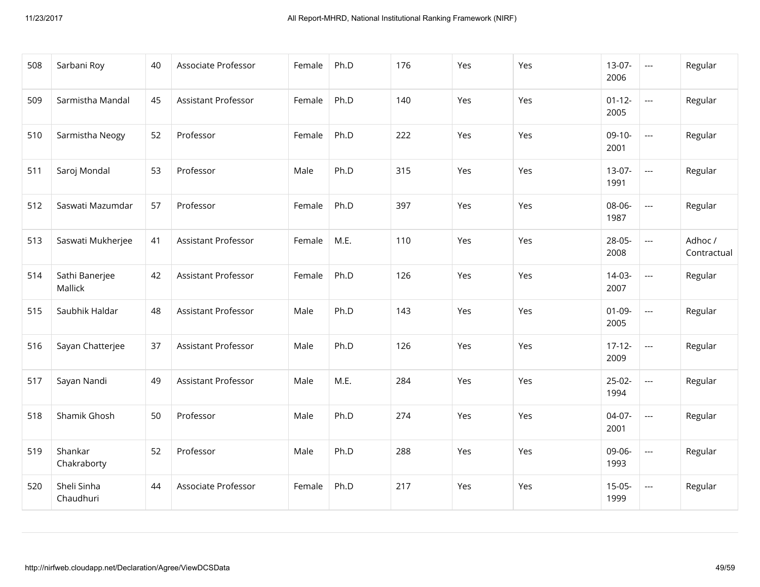| 508 | Sarbani Roy               | 40 | Associate Professor        | Female | Ph.D | 176 | Yes | Yes | $13-07-$<br>2006    | $\scriptstyle\cdots$     | Regular                |
|-----|---------------------------|----|----------------------------|--------|------|-----|-----|-----|---------------------|--------------------------|------------------------|
| 509 | Sarmistha Mandal          | 45 | <b>Assistant Professor</b> | Female | Ph.D | 140 | Yes | Yes | $01 - 12 -$<br>2005 | $\overline{\phantom{a}}$ | Regular                |
| 510 | Sarmistha Neogy           | 52 | Professor                  | Female | Ph.D | 222 | Yes | Yes | $09-10-$<br>2001    | $\scriptstyle\cdots$     | Regular                |
| 511 | Saroj Mondal              | 53 | Professor                  | Male   | Ph.D | 315 | Yes | Yes | $13-07-$<br>1991    | $\overline{\phantom{a}}$ | Regular                |
| 512 | Saswati Mazumdar          | 57 | Professor                  | Female | Ph.D | 397 | Yes | Yes | 08-06-<br>1987      | $\scriptstyle\cdots$     | Regular                |
| 513 | Saswati Mukherjee         | 41 | <b>Assistant Professor</b> | Female | M.E. | 110 | Yes | Yes | 28-05-<br>2008      | $\overline{\phantom{a}}$ | Adhoc /<br>Contractual |
| 514 | Sathi Banerjee<br>Mallick | 42 | Assistant Professor        | Female | Ph.D | 126 | Yes | Yes | $14-03-$<br>2007    | $\overline{\phantom{a}}$ | Regular                |
| 515 | Saubhik Haldar            | 48 | Assistant Professor        | Male   | Ph.D | 143 | Yes | Yes | $01-09-$<br>2005    | $\overline{\phantom{a}}$ | Regular                |
| 516 | Sayan Chatterjee          | 37 | Assistant Professor        | Male   | Ph.D | 126 | Yes | Yes | $17 - 12 -$<br>2009 | $\overline{\phantom{a}}$ | Regular                |
| 517 | Sayan Nandi               | 49 | Assistant Professor        | Male   | M.E. | 284 | Yes | Yes | $25-02-$<br>1994    | ---                      | Regular                |
| 518 | Shamik Ghosh              | 50 | Professor                  | Male   | Ph.D | 274 | Yes | Yes | 04-07-<br>2001      | $\overline{\phantom{a}}$ | Regular                |
| 519 | Shankar<br>Chakraborty    | 52 | Professor                  | Male   | Ph.D | 288 | Yes | Yes | 09-06-<br>1993      | $\overline{\phantom{a}}$ | Regular                |
| 520 | Sheli Sinha<br>Chaudhuri  | 44 | Associate Professor        | Female | Ph.D | 217 | Yes | Yes | $15-05-$<br>1999    | $\scriptstyle\cdots$     | Regular                |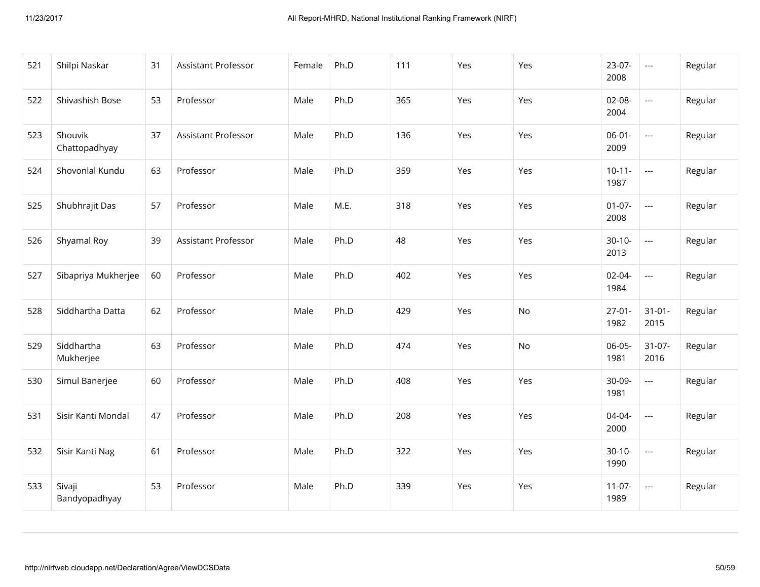| 521 | Shilpi Naskar            | 31 | Assistant Professor | Female | Ph.D | 111 | Yes | Yes | $23-07-$<br>2008    | $\hspace{0.05cm} \ldots$                 | Regular |
|-----|--------------------------|----|---------------------|--------|------|-----|-----|-----|---------------------|------------------------------------------|---------|
| 522 | Shivashish Bose          | 53 | Professor           | Male   | Ph.D | 365 | Yes | Yes | $02-08-$<br>2004    | $\hspace{0.05cm} \ldots \hspace{0.05cm}$ | Regular |
| 523 | Shouvik<br>Chattopadhyay | 37 | Assistant Professor | Male   | Ph.D | 136 | Yes | Yes | $06-01-$<br>2009    | $\hspace{0.05cm} \ldots$                 | Regular |
| 524 | Shovonlal Kundu          | 63 | Professor           | Male   | Ph.D | 359 | Yes | Yes | $10-11-$<br>1987    | $\hspace{0.05cm} \ldots \hspace{0.05cm}$ | Regular |
| 525 | Shubhrajit Das           | 57 | Professor           | Male   | M.E. | 318 | Yes | Yes | $01-07-$<br>2008    | $\overline{\phantom{a}}$                 | Regular |
| 526 | Shyamal Roy              | 39 | Assistant Professor | Male   | Ph.D | 48  | Yes | Yes | $30-10-$<br>2013    | $\hspace{0.05cm} \ldots \hspace{0.05cm}$ | Regular |
| 527 | Sibapriya Mukherjee      | 60 | Professor           | Male   | Ph.D | 402 | Yes | Yes | $02 - 04 -$<br>1984 | $\hspace{0.05cm} \ldots \hspace{0.05cm}$ | Regular |
| 528 | Siddhartha Datta         | 62 | Professor           | Male   | Ph.D | 429 | Yes | No  | $27 - 01 -$<br>1982 | $31 - 01 -$<br>2015                      | Regular |
| 529 | Siddhartha<br>Mukherjee  | 63 | Professor           | Male   | Ph.D | 474 | Yes | No  | $06 - 05 -$<br>1981 | $31-07-$<br>2016                         | Regular |
| 530 | Simul Banerjee           | 60 | Professor           | Male   | Ph.D | 408 | Yes | Yes | 30-09-<br>1981      | $\hspace{0.05cm} \ldots$                 | Regular |
| 531 | Sisir Kanti Mondal       | 47 | Professor           | Male   | Ph.D | 208 | Yes | Yes | 04-04-<br>2000      | $\overline{\phantom{a}}$                 | Regular |
| 532 | Sisir Kanti Nag          | 61 | Professor           | Male   | Ph.D | 322 | Yes | Yes | $30-10-$<br>1990    | $\hspace{0.05cm} \ldots$                 | Regular |
| 533 | Sivaji<br>Bandyopadhyay  | 53 | Professor           | Male   | Ph.D | 339 | Yes | Yes | $11-07-$<br>1989    | $\hspace{0.05cm} \ldots$                 | Regular |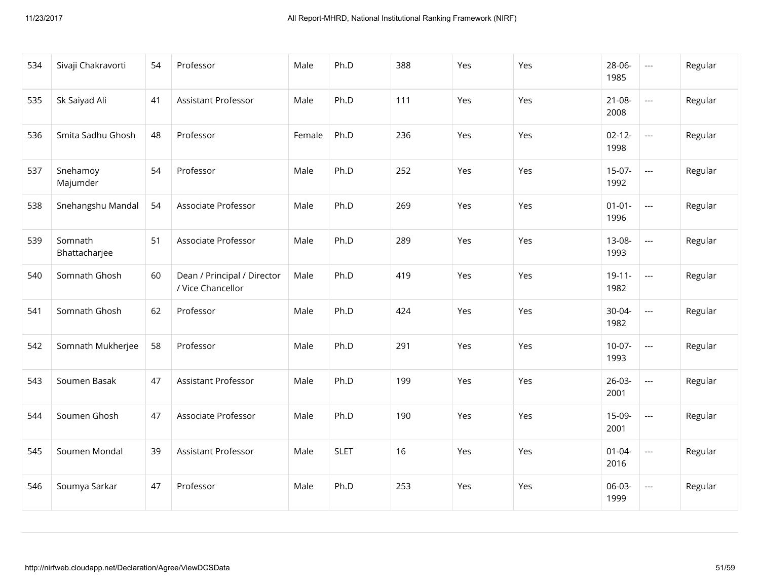| 534 | Sivaji Chakravorti       | 54 | Professor                                        | Male   | Ph.D        | 388 | Yes | Yes | 28-06-<br>1985      | $\hspace{0.05cm} \ldots$                 | Regular |
|-----|--------------------------|----|--------------------------------------------------|--------|-------------|-----|-----|-----|---------------------|------------------------------------------|---------|
| 535 | Sk Saiyad Ali            | 41 | <b>Assistant Professor</b>                       | Male   | Ph.D        | 111 | Yes | Yes | $21 - 08 -$<br>2008 | $\hspace{0.05cm} \ldots \hspace{0.05cm}$ | Regular |
| 536 | Smita Sadhu Ghosh        | 48 | Professor                                        | Female | Ph.D        | 236 | Yes | Yes | $02 - 12 -$<br>1998 | $\overline{\phantom{a}}$                 | Regular |
| 537 | Snehamoy<br>Majumder     | 54 | Professor                                        | Male   | Ph.D        | 252 | Yes | Yes | $15-07-$<br>1992    | $\hspace{0.05cm} \ldots$                 | Regular |
| 538 | Snehangshu Mandal        | 54 | Associate Professor                              | Male   | Ph.D        | 269 | Yes | Yes | $01 - 01 -$<br>1996 | $\overline{\phantom{a}}$                 | Regular |
| 539 | Somnath<br>Bhattacharjee | 51 | Associate Professor                              | Male   | Ph.D        | 289 | Yes | Yes | 13-08-<br>1993      | $\overline{\phantom{a}}$                 | Regular |
| 540 | Somnath Ghosh            | 60 | Dean / Principal / Director<br>/ Vice Chancellor | Male   | Ph.D        | 419 | Yes | Yes | $19 - 11 -$<br>1982 | $\overline{\phantom{a}}$                 | Regular |
| 541 | Somnath Ghosh            | 62 | Professor                                        | Male   | Ph.D        | 424 | Yes | Yes | 30-04-<br>1982      | $\overline{\phantom{a}}$                 | Regular |
| 542 | Somnath Mukherjee        | 58 | Professor                                        | Male   | Ph.D        | 291 | Yes | Yes | $10-07-$<br>1993    | $\overline{a}$                           | Regular |
| 543 | Soumen Basak             | 47 | Assistant Professor                              | Male   | Ph.D        | 199 | Yes | Yes | $26-03-$<br>2001    | $\hspace{0.05cm} \ldots \hspace{0.05cm}$ | Regular |
| 544 | Soumen Ghosh             | 47 | Associate Professor                              | Male   | Ph.D        | 190 | Yes | Yes | 15-09-<br>2001      | $\hspace{0.05cm} \ldots$                 | Regular |
| 545 | Soumen Mondal            | 39 | Assistant Professor                              | Male   | <b>SLET</b> | 16  | Yes | Yes | $01 - 04 -$<br>2016 | $\overline{a}$                           | Regular |
| 546 | Soumya Sarkar            | 47 | Professor                                        | Male   | Ph.D        | 253 | Yes | Yes | 06-03-<br>1999      | $\hspace{0.05cm} \ldots \hspace{0.05cm}$ | Regular |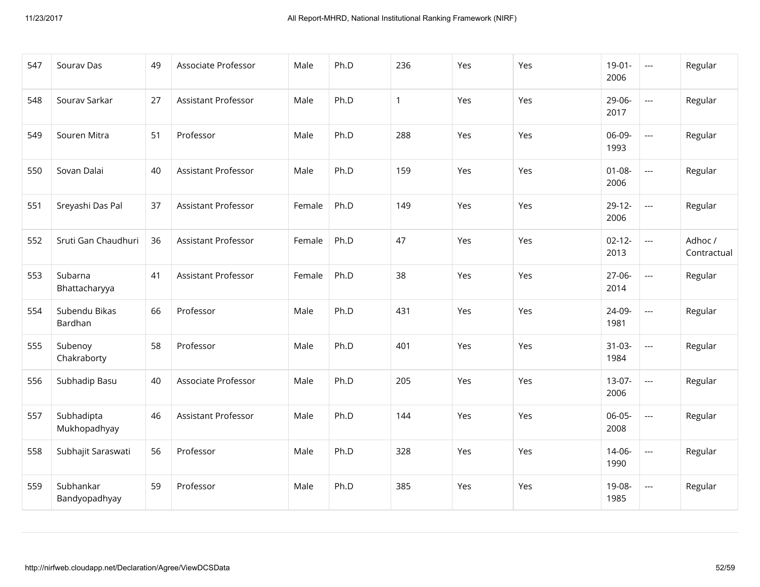| 547 | Sourav Das                 | 49 | Associate Professor        | Male   | Ph.D | 236          | Yes | Yes | $19-01-$<br>2006    | $\hspace{0.05cm} \ldots$ | Regular                |
|-----|----------------------------|----|----------------------------|--------|------|--------------|-----|-----|---------------------|--------------------------|------------------------|
| 548 | Sourav Sarkar              | 27 | <b>Assistant Professor</b> | Male   | Ph.D | $\mathbf{1}$ | Yes | Yes | 29-06-<br>2017      | $\overline{\phantom{a}}$ | Regular                |
| 549 | Souren Mitra               | 51 | Professor                  | Male   | Ph.D | 288          | Yes | Yes | 06-09-<br>1993      | $\overline{a}$           | Regular                |
| 550 | Sovan Dalai                | 40 | Assistant Professor        | Male   | Ph.D | 159          | Yes | Yes | $01 - 08 -$<br>2006 | $\overline{\phantom{a}}$ | Regular                |
| 551 | Sreyashi Das Pal           | 37 | Assistant Professor        | Female | Ph.D | 149          | Yes | Yes | $29-12-$<br>2006    | $\overline{\phantom{a}}$ | Regular                |
| 552 | Sruti Gan Chaudhuri        | 36 | Assistant Professor        | Female | Ph.D | 47           | Yes | Yes | $02 - 12 -$<br>2013 | $\hspace{0.05cm} \ldots$ | Adhoc /<br>Contractual |
| 553 | Subarna<br>Bhattacharyya   | 41 | Assistant Professor        | Female | Ph.D | 38           | Yes | Yes | 27-06-<br>2014      | $\overline{\phantom{a}}$ | Regular                |
| 554 | Subendu Bikas<br>Bardhan   | 66 | Professor                  | Male   | Ph.D | 431          | Yes | Yes | 24-09-<br>1981      | $\overline{a}$           | Regular                |
| 555 | Subenoy<br>Chakraborty     | 58 | Professor                  | Male   | Ph.D | 401          | Yes | Yes | $31-03-$<br>1984    | $\overline{\phantom{a}}$ | Regular                |
| 556 | Subhadip Basu              | 40 | Associate Professor        | Male   | Ph.D | 205          | Yes | Yes | $13-07-$<br>2006    | $\overline{\phantom{a}}$ | Regular                |
| 557 | Subhadipta<br>Mukhopadhyay | 46 | Assistant Professor        | Male   | Ph.D | 144          | Yes | Yes | 06-05-<br>2008      | $\overline{\phantom{a}}$ | Regular                |
| 558 | Subhajit Saraswati         | 56 | Professor                  | Male   | Ph.D | 328          | Yes | Yes | $14 - 06 -$<br>1990 | $\overline{\phantom{a}}$ | Regular                |
| 559 | Subhankar<br>Bandyopadhyay | 59 | Professor                  | Male   | Ph.D | 385          | Yes | Yes | 19-08-<br>1985      | $\overline{\phantom{a}}$ | Regular                |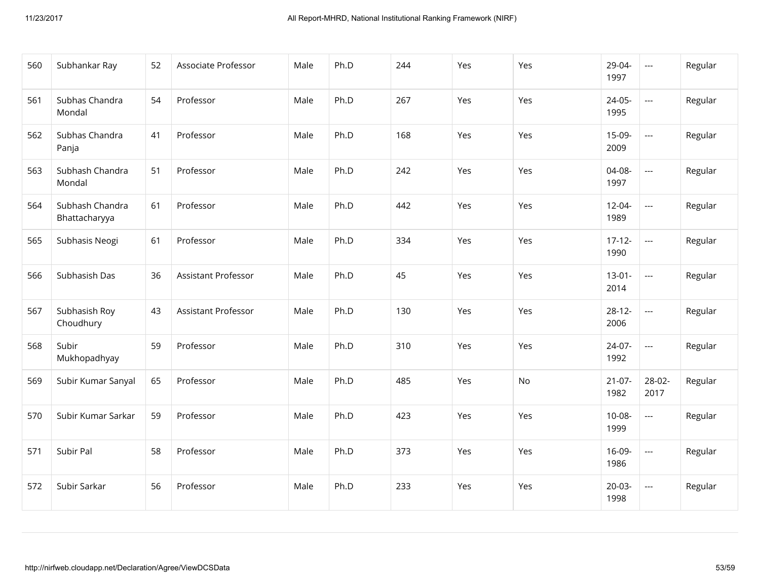| 560 | Subhankar Ray                    | 52 | Associate Professor | Male | Ph.D | 244 | Yes | Yes | 29-04-<br>1997      | $\scriptstyle\cdots$     | Regular |
|-----|----------------------------------|----|---------------------|------|------|-----|-----|-----|---------------------|--------------------------|---------|
| 561 | Subhas Chandra<br>Mondal         | 54 | Professor           | Male | Ph.D | 267 | Yes | Yes | $24-05-$<br>1995    | $\overline{a}$           | Regular |
| 562 | Subhas Chandra<br>Panja          | 41 | Professor           | Male | Ph.D | 168 | Yes | Yes | 15-09-<br>2009      | $\overline{\phantom{a}}$ | Regular |
| 563 | Subhash Chandra<br>Mondal        | 51 | Professor           | Male | Ph.D | 242 | Yes | Yes | 04-08-<br>1997      | $\overline{\phantom{a}}$ | Regular |
| 564 | Subhash Chandra<br>Bhattacharyya | 61 | Professor           | Male | Ph.D | 442 | Yes | Yes | $12 - 04 -$<br>1989 | $\overline{\phantom{a}}$ | Regular |
| 565 | Subhasis Neogi                   | 61 | Professor           | Male | Ph.D | 334 | Yes | Yes | $17 - 12 -$<br>1990 | $\overline{\phantom{a}}$ | Regular |
| 566 | Subhasish Das                    | 36 | Assistant Professor | Male | Ph.D | 45  | Yes | Yes | $13-01-$<br>2014    | $\overline{\phantom{a}}$ | Regular |
| 567 | Subhasish Roy<br>Choudhury       | 43 | Assistant Professor | Male | Ph.D | 130 | Yes | Yes | $28-12-$<br>2006    | $\overline{\phantom{a}}$ | Regular |
| 568 | Subir<br>Mukhopadhyay            | 59 | Professor           | Male | Ph.D | 310 | Yes | Yes | 24-07-<br>1992      | $\scriptstyle\cdots$     | Regular |
| 569 | Subir Kumar Sanyal               | 65 | Professor           | Male | Ph.D | 485 | Yes | No  | $21-07-$<br>1982    | 28-02-<br>2017           | Regular |
| 570 | Subir Kumar Sarkar               | 59 | Professor           | Male | Ph.D | 423 | Yes | Yes | $10-08-$<br>1999    | $\overline{\phantom{a}}$ | Regular |
| 571 | Subir Pal                        | 58 | Professor           | Male | Ph.D | 373 | Yes | Yes | 16-09-<br>1986      | $\overline{\phantom{a}}$ | Regular |
| 572 | Subir Sarkar                     | 56 | Professor           | Male | Ph.D | 233 | Yes | Yes | $20-03-$<br>1998    | ---                      | Regular |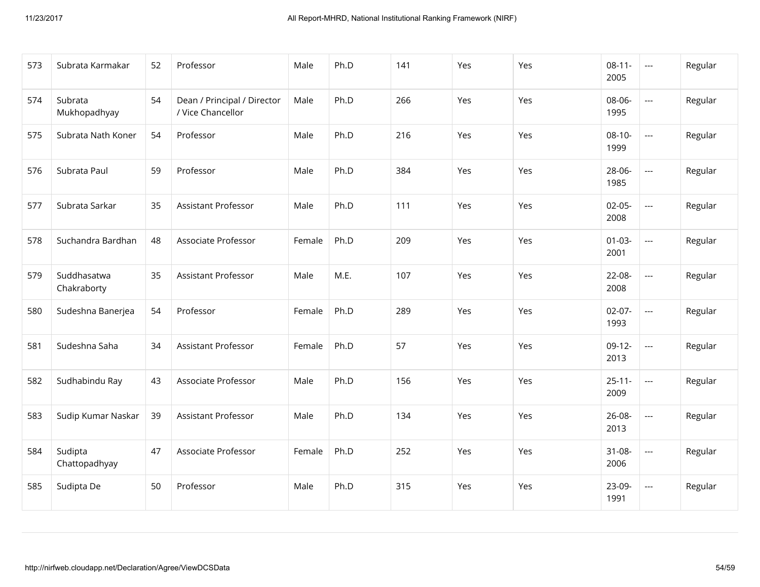| 573 | Subrata Karmakar           | 52 | Professor                                        | Male   | Ph.D | 141 | Yes | Yes | $08-11-$<br>2005    | $\hspace{0.05cm} \ldots$                 | Regular |
|-----|----------------------------|----|--------------------------------------------------|--------|------|-----|-----|-----|---------------------|------------------------------------------|---------|
| 574 | Subrata<br>Mukhopadhyay    | 54 | Dean / Principal / Director<br>/ Vice Chancellor | Male   | Ph.D | 266 | Yes | Yes | 08-06-<br>1995      | $\hspace{0.05cm} \ldots \hspace{0.05cm}$ | Regular |
| 575 | Subrata Nath Koner         | 54 | Professor                                        | Male   | Ph.D | 216 | Yes | Yes | $08-10-$<br>1999    | $\overline{a}$                           | Regular |
| 576 | Subrata Paul               | 59 | Professor                                        | Male   | Ph.D | 384 | Yes | Yes | 28-06-<br>1985      | $\overline{a}$                           | Regular |
| 577 | Subrata Sarkar             | 35 | <b>Assistant Professor</b>                       | Male   | Ph.D | 111 | Yes | Yes | $02-05-$<br>2008    | $\overline{\phantom{a}}$                 | Regular |
| 578 | Suchandra Bardhan          | 48 | Associate Professor                              | Female | Ph.D | 209 | Yes | Yes | $01 - 03 -$<br>2001 | $\overline{\phantom{a}}$                 | Regular |
| 579 | Suddhasatwa<br>Chakraborty | 35 | Assistant Professor                              | Male   | M.E. | 107 | Yes | Yes | 22-08-<br>2008      | $\overline{\phantom{a}}$                 | Regular |
| 580 | Sudeshna Banerjea          | 54 | Professor                                        | Female | Ph.D | 289 | Yes | Yes | $02-07-$<br>1993    | $\overline{\phantom{a}}$                 | Regular |
| 581 | Sudeshna Saha              | 34 | Assistant Professor                              | Female | Ph.D | 57  | Yes | Yes | $09-12-$<br>2013    | $\overline{\phantom{a}}$                 | Regular |
| 582 | Sudhabindu Ray             | 43 | Associate Professor                              | Male   | Ph.D | 156 | Yes | Yes | $25 - 11 -$<br>2009 | $\hspace{0.05cm} \ldots$                 | Regular |
| 583 | Sudip Kumar Naskar         | 39 | Assistant Professor                              | Male   | Ph.D | 134 | Yes | Yes | 26-08-<br>2013      | $\hspace{0.05cm} \ldots \hspace{0.05cm}$ | Regular |
| 584 | Sudipta<br>Chattopadhyay   | 47 | Associate Professor                              | Female | Ph.D | 252 | Yes | Yes | $31 - 08 -$<br>2006 | $\overline{a}$                           | Regular |
| 585 | Sudipta De                 | 50 | Professor                                        | Male   | Ph.D | 315 | Yes | Yes | 23-09-<br>1991      | $\hspace{0.05cm} \ldots \hspace{0.05cm}$ | Regular |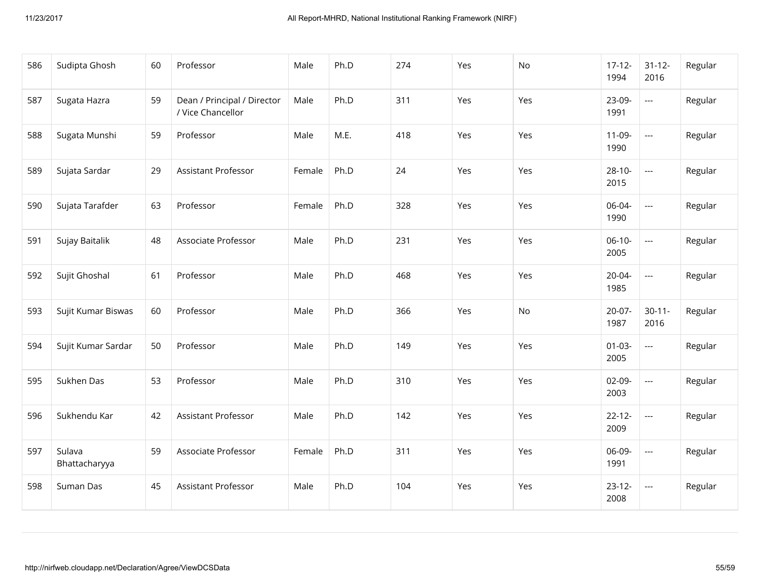| 586 | Sudipta Ghosh           | 60 | Professor                                        | Male   | Ph.D | 274 | Yes | No  | $17-12-$<br>1994    | $31 - 12 -$<br>2016      | Regular |
|-----|-------------------------|----|--------------------------------------------------|--------|------|-----|-----|-----|---------------------|--------------------------|---------|
| 587 | Sugata Hazra            | 59 | Dean / Principal / Director<br>/ Vice Chancellor | Male   | Ph.D | 311 | Yes | Yes | 23-09-<br>1991      | $\hspace{0.05cm} \ldots$ | Regular |
| 588 | Sugata Munshi           | 59 | Professor                                        | Male   | M.E. | 418 | Yes | Yes | $11-09-$<br>1990    | $\overline{\phantom{a}}$ | Regular |
| 589 | Sujata Sardar           | 29 | Assistant Professor                              | Female | Ph.D | 24  | Yes | Yes | $28-10-$<br>2015    | $\overline{\phantom{a}}$ | Regular |
| 590 | Sujata Tarafder         | 63 | Professor                                        | Female | Ph.D | 328 | Yes | Yes | 06-04-<br>1990      | $\overline{\phantom{a}}$ | Regular |
| 591 | Sujay Baitalik          | 48 | Associate Professor                              | Male   | Ph.D | 231 | Yes | Yes | $06-10-$<br>2005    | $\overline{\phantom{a}}$ | Regular |
| 592 | Sujit Ghoshal           | 61 | Professor                                        | Male   | Ph.D | 468 | Yes | Yes | $20 - 04 -$<br>1985 | $\overline{\phantom{a}}$ | Regular |
| 593 | Sujit Kumar Biswas      | 60 | Professor                                        | Male   | Ph.D | 366 | Yes | No  | $20-07-$<br>1987    | $30 - 11 -$<br>2016      | Regular |
| 594 | Sujit Kumar Sardar      | 50 | Professor                                        | Male   | Ph.D | 149 | Yes | Yes | $01-03-$<br>2005    | $\overline{\phantom{a}}$ | Regular |
| 595 | Sukhen Das              | 53 | Professor                                        | Male   | Ph.D | 310 | Yes | Yes | $02-09-$<br>2003    | $\overline{\phantom{a}}$ | Regular |
| 596 | Sukhendu Kar            | 42 | Assistant Professor                              | Male   | Ph.D | 142 | Yes | Yes | $22 - 12 -$<br>2009 | $\overline{\phantom{a}}$ | Regular |
| 597 | Sulava<br>Bhattacharyya | 59 | Associate Professor                              | Female | Ph.D | 311 | Yes | Yes | 06-09-<br>1991      | $\overline{\phantom{a}}$ | Regular |
| 598 | Suman Das               | 45 | Assistant Professor                              | Male   | Ph.D | 104 | Yes | Yes | $23-12-$<br>2008    | $\hspace{0.05cm} \ldots$ | Regular |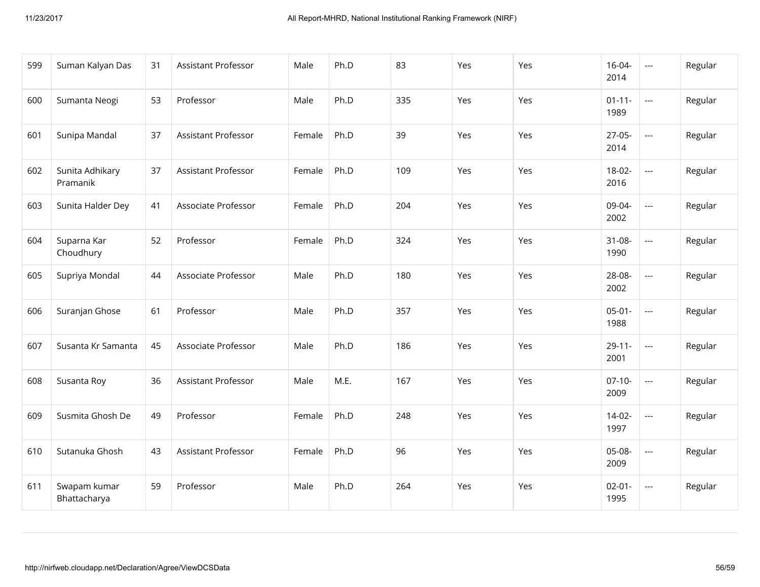| 599 | Suman Kalyan Das             | 31 | Assistant Professor        | Male   | Ph.D | 83  | Yes | Yes | $16 - 04 -$<br>2014 | $\scriptstyle\cdots$     | Regular |
|-----|------------------------------|----|----------------------------|--------|------|-----|-----|-----|---------------------|--------------------------|---------|
| 600 | Sumanta Neogi                | 53 | Professor                  | Male   | Ph.D | 335 | Yes | Yes | $01 - 11 -$<br>1989 | $\overline{\phantom{a}}$ | Regular |
| 601 | Sunipa Mandal                | 37 | Assistant Professor        | Female | Ph.D | 39  | Yes | Yes | $27-05-$<br>2014    | $\overline{a}$           | Regular |
| 602 | Sunita Adhikary<br>Pramanik  | 37 | <b>Assistant Professor</b> | Female | Ph.D | 109 | Yes | Yes | $18-02-$<br>2016    | $\overline{\phantom{a}}$ | Regular |
| 603 | Sunita Halder Dey            | 41 | Associate Professor        | Female | Ph.D | 204 | Yes | Yes | 09-04-<br>2002      | $\overline{\phantom{a}}$ | Regular |
| 604 | Suparna Kar<br>Choudhury     | 52 | Professor                  | Female | Ph.D | 324 | Yes | Yes | $31 - 08 -$<br>1990 | $\overline{\phantom{a}}$ | Regular |
| 605 | Supriya Mondal               | 44 | Associate Professor        | Male   | Ph.D | 180 | Yes | Yes | 28-08-<br>2002      | $\overline{\phantom{a}}$ | Regular |
| 606 | Suranjan Ghose               | 61 | Professor                  | Male   | Ph.D | 357 | Yes | Yes | $05-01-$<br>1988    | $\overline{a}$           | Regular |
| 607 | Susanta Kr Samanta           | 45 | Associate Professor        | Male   | Ph.D | 186 | Yes | Yes | $29 - 11 -$<br>2001 | $\hspace{0.05cm} \ldots$ | Regular |
| 608 | Susanta Roy                  | 36 | <b>Assistant Professor</b> | Male   | M.E. | 167 | Yes | Yes | $07-10-$<br>2009    | $\overline{\phantom{a}}$ | Regular |
| 609 | Susmita Ghosh De             | 49 | Professor                  | Female | Ph.D | 248 | Yes | Yes | $14-02-$<br>1997    | $\overline{\phantom{a}}$ | Regular |
| 610 | Sutanuka Ghosh               | 43 | Assistant Professor        | Female | Ph.D | 96  | Yes | Yes | 05-08-<br>2009      | $\overline{\phantom{a}}$ | Regular |
| 611 | Swapam kumar<br>Bhattacharya | 59 | Professor                  | Male   | Ph.D | 264 | Yes | Yes | $02 - 01 -$<br>1995 | $\overline{\phantom{a}}$ | Regular |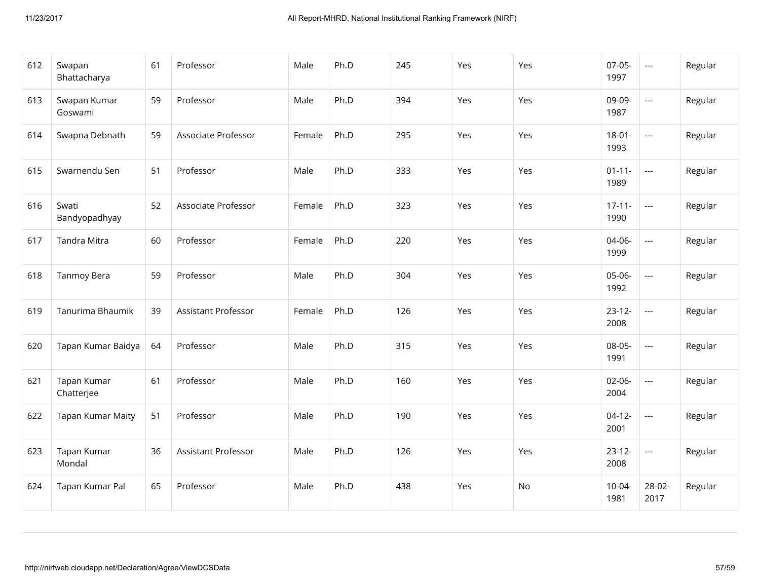| 612 | Swapan<br>Bhattacharya    | 61 | Professor           | Male   | Ph.D | 245 | Yes | Yes | $07-05-$<br>1997    | $\hspace{0.05cm} \ldots$                 | Regular |
|-----|---------------------------|----|---------------------|--------|------|-----|-----|-----|---------------------|------------------------------------------|---------|
| 613 | Swapan Kumar<br>Goswami   | 59 | Professor           | Male   | Ph.D | 394 | Yes | Yes | 09-09-<br>1987      | $\hspace{0.05cm} \ldots \hspace{0.05cm}$ | Regular |
| 614 | Swapna Debnath            | 59 | Associate Professor | Female | Ph.D | 295 | Yes | Yes | $18 - 01 -$<br>1993 | $\overline{\phantom{a}}$                 | Regular |
| 615 | Swarnendu Sen             | 51 | Professor           | Male   | Ph.D | 333 | Yes | Yes | $01 - 11 -$<br>1989 | $\overline{\phantom{a}}$                 | Regular |
| 616 | Swati<br>Bandyopadhyay    | 52 | Associate Professor | Female | Ph.D | 323 | Yes | Yes | $17 - 11 -$<br>1990 | $\overline{a}$                           | Regular |
| 617 | Tandra Mitra              | 60 | Professor           | Female | Ph.D | 220 | Yes | Yes | 04-06-<br>1999      | $\overline{\phantom{a}}$                 | Regular |
| 618 | Tanmoy Bera               | 59 | Professor           | Male   | Ph.D | 304 | Yes | Yes | 05-06-<br>1992      | $\overline{a}$                           | Regular |
| 619 | Tanurima Bhaumik          | 39 | Assistant Professor | Female | Ph.D | 126 | Yes | Yes | $23 - 12 -$<br>2008 | $\overline{a}$                           | Regular |
| 620 | Tapan Kumar Baidya        | 64 | Professor           | Male   | Ph.D | 315 | Yes | Yes | 08-05-<br>1991      | $\overline{a}$                           | Regular |
| 621 | Tapan Kumar<br>Chatterjee | 61 | Professor           | Male   | Ph.D | 160 | Yes | Yes | 02-06-<br>2004      | $\hspace{0.05cm} \ldots \hspace{0.05cm}$ | Regular |
| 622 | Tapan Kumar Maity         | 51 | Professor           | Male   | Ph.D | 190 | Yes | Yes | $04-12-$<br>2001    | $\overline{\phantom{a}}$                 | Regular |
| 623 | Tapan Kumar<br>Mondal     | 36 | Assistant Professor | Male   | Ph.D | 126 | Yes | Yes | $23 - 12 -$<br>2008 | $\overline{\phantom{a}}$                 | Regular |
| 624 | Tapan Kumar Pal           | 65 | Professor           | Male   | Ph.D | 438 | Yes | No  | $10 - 04 -$<br>1981 | 28-02-<br>2017                           | Regular |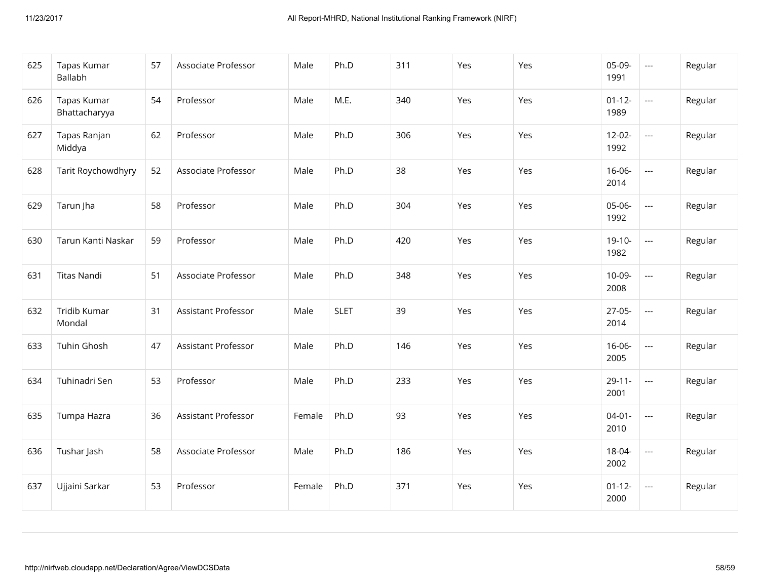| 625 | Tapas Kumar<br>Ballabh        | 57 | Associate Professor        | Male   | Ph.D        | 311 | Yes | Yes | 05-09-<br>1991      | $\scriptstyle \cdots$    | Regular |
|-----|-------------------------------|----|----------------------------|--------|-------------|-----|-----|-----|---------------------|--------------------------|---------|
| 626 | Tapas Kumar<br>Bhattacharyya  | 54 | Professor                  | Male   | M.E.        | 340 | Yes | Yes | $01 - 12 -$<br>1989 | $\overline{\phantom{a}}$ | Regular |
| 627 | Tapas Ranjan<br>Middya        | 62 | Professor                  | Male   | Ph.D        | 306 | Yes | Yes | $12 - 02 -$<br>1992 | $\overline{\phantom{a}}$ | Regular |
| 628 | Tarit Roychowdhyry            | 52 | Associate Professor        | Male   | Ph.D        | 38  | Yes | Yes | $16 - 06 -$<br>2014 | $\overline{\phantom{a}}$ | Regular |
| 629 | Tarun Jha                     | 58 | Professor                  | Male   | Ph.D        | 304 | Yes | Yes | 05-06-<br>1992      | $\overline{\phantom{a}}$ | Regular |
| 630 | Tarun Kanti Naskar            | 59 | Professor                  | Male   | Ph.D        | 420 | Yes | Yes | $19-10-$<br>1982    | $\overline{\phantom{a}}$ | Regular |
| 631 | <b>Titas Nandi</b>            | 51 | Associate Professor        | Male   | Ph.D        | 348 | Yes | Yes | $10-09-$<br>2008    | $\overline{\phantom{a}}$ | Regular |
| 632 | <b>Tridib Kumar</b><br>Mondal | 31 | <b>Assistant Professor</b> | Male   | <b>SLET</b> | 39  | Yes | Yes | $27-05-$<br>2014    | $\overline{\phantom{a}}$ | Regular |
| 633 | <b>Tuhin Ghosh</b>            | 47 | <b>Assistant Professor</b> | Male   | Ph.D        | 146 | Yes | Yes | $16 - 06 -$<br>2005 | $\overline{\phantom{a}}$ | Regular |
| 634 | Tuhinadri Sen                 | 53 | Professor                  | Male   | Ph.D        | 233 | Yes | Yes | $29 - 11 -$<br>2001 | $\overline{\phantom{a}}$ | Regular |
| 635 | Tumpa Hazra                   | 36 | Assistant Professor        | Female | Ph.D        | 93  | Yes | Yes | $04 - 01 -$<br>2010 | $\overline{\phantom{a}}$ | Regular |
| 636 | Tushar Jash                   | 58 | Associate Professor        | Male   | Ph.D        | 186 | Yes | Yes | 18-04-<br>2002      | $\overline{\phantom{a}}$ | Regular |
| 637 | Ujjaini Sarkar                | 53 | Professor                  | Female | Ph.D        | 371 | Yes | Yes | $01 - 12 -$<br>2000 | $\overline{\phantom{a}}$ | Regular |